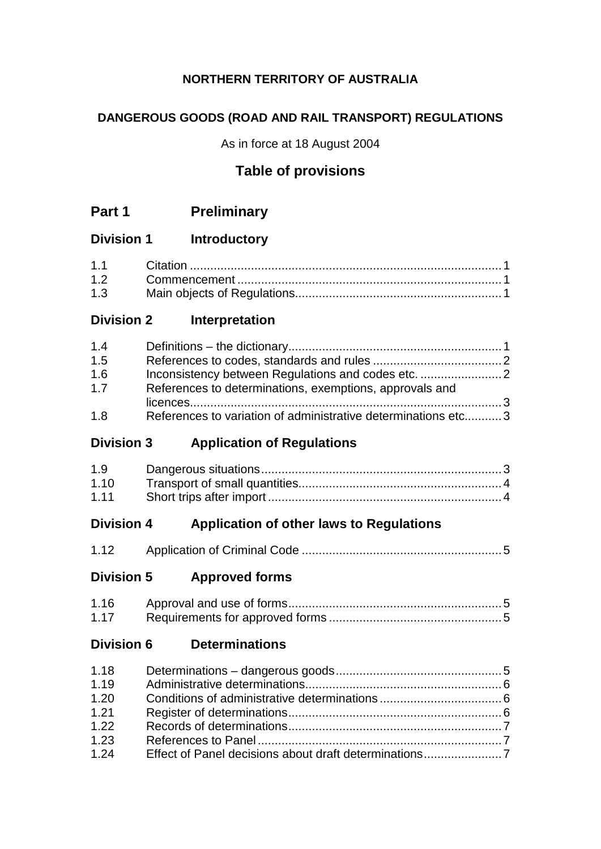# **NORTHERN TERRITORY OF AUSTRALIA**

# **DANGEROUS GOODS (ROAD AND RAIL TRANSPORT) REGULATIONS**

As in force at 18 August 2004

# **Table of provisions**

| Part 1 | <b>Preliminary</b> |
|--------|--------------------|
|--------|--------------------|

# **Division 1 Introductory**

| 1.3 |  |
|-----|--|

# **Division 2 Interpretation**

| 1.4 |                                                               |  |
|-----|---------------------------------------------------------------|--|
| 1.5 |                                                               |  |
| 1.6 |                                                               |  |
| 1.7 | References to determinations, exemptions, approvals and       |  |
|     |                                                               |  |
| 1.8 | References to variation of administrative determinations etc3 |  |

# **Division 3 Application of Regulations**

| 1.9  |  |
|------|--|
| 1.10 |  |
| 1.11 |  |

# **Division 4 Application of other laws to Regulations**

| 1.12 |  |
|------|--|
|------|--|

# **Division 5 Approved forms**

| 1.16 |  |
|------|--|
| 1.17 |  |

# **Division 6 Determinations**

| 1.18 |  |
|------|--|
| 1.19 |  |
| 1.20 |  |
| 1.21 |  |
| 1.22 |  |
| 1.23 |  |
| 1.24 |  |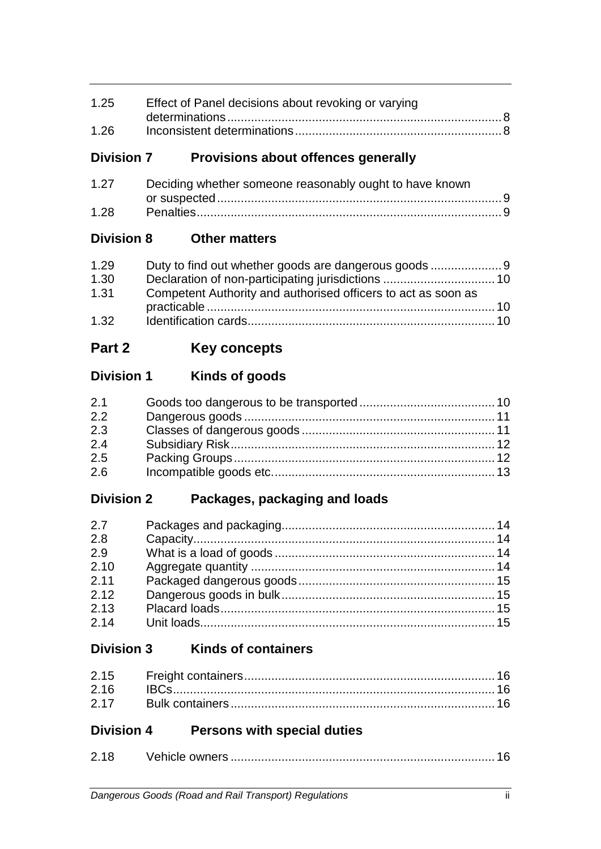| 1.25 | Effect of Panel decisions about revoking or varying |  |
|------|-----------------------------------------------------|--|
|      |                                                     |  |
| 1.26 |                                                     |  |

# **Division 7 Provisions about offences generally**

| 1.27 | Deciding whether someone reasonably ought to have known |  |
|------|---------------------------------------------------------|--|
|      |                                                         |  |
| 1.28 |                                                         |  |

# **Division 8 Other matters**

| 1.29 |                                                               |  |
|------|---------------------------------------------------------------|--|
| 1.30 |                                                               |  |
| 1.31 | Competent Authority and authorised officers to act as soon as |  |
|      |                                                               |  |
| 1.32 |                                                               |  |

# **Part 2 Key concepts**

# **Division 1 Kinds of goods**

| 2.1 |  |
|-----|--|
| 2.2 |  |
| 2.3 |  |
| 2.4 |  |
| 2.5 |  |
| 2.6 |  |

# **Division 2 Packages, packaging and loads**

| 2.7  |  |
|------|--|
| 2.8  |  |
| 2.9  |  |
| 2.10 |  |
| 2.11 |  |
| 2.12 |  |
| 2.13 |  |
| 2.14 |  |

# **Division 3 Kinds of containers**

# **Division 4 Persons with special duties**

| 2.18 |  |
|------|--|
|      |  |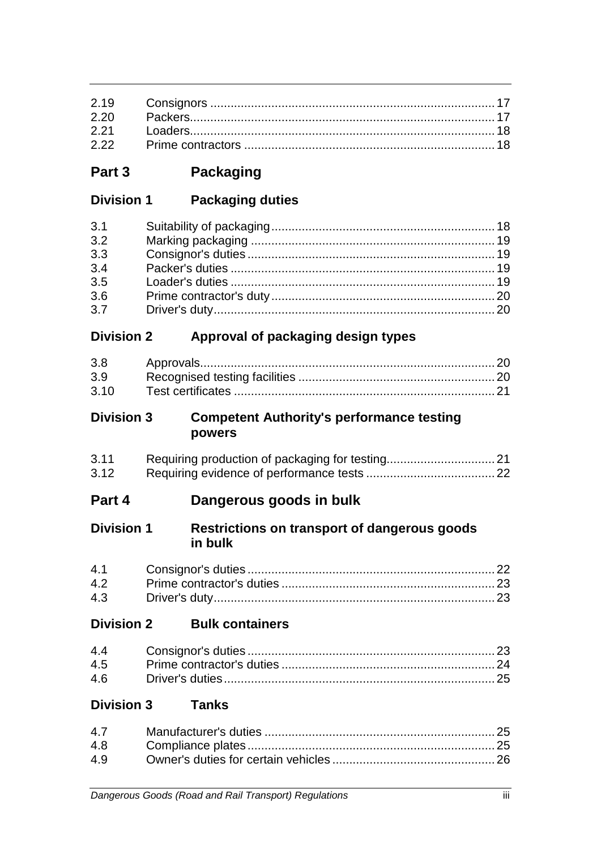**Part 3 Packaging**

| <b>Division 1</b> | <b>Packaging duties</b> |
|-------------------|-------------------------|
|-------------------|-------------------------|

| 3.1 |  |
|-----|--|
| 3.2 |  |
| 3.3 |  |
| 3.4 |  |
| 3.5 |  |
| 3.6 |  |
| 3.7 |  |

# **Division 2 Approval of packaging design types**

| 3.8              |  |
|------------------|--|
| 3.9 <sub>o</sub> |  |
| 3.10             |  |

### **Division 3 Competent Authority's performance testing powers**

| 3.11 |  |
|------|--|
| 3.12 |  |

# **Part 4 Dangerous goods in bulk**

### **Division 1 Restrictions on transport of dangerous goods in bulk**

**Division 2 Bulk containers**

# **Division 3 Tanks**

| 4.8 |  |
|-----|--|
| 49  |  |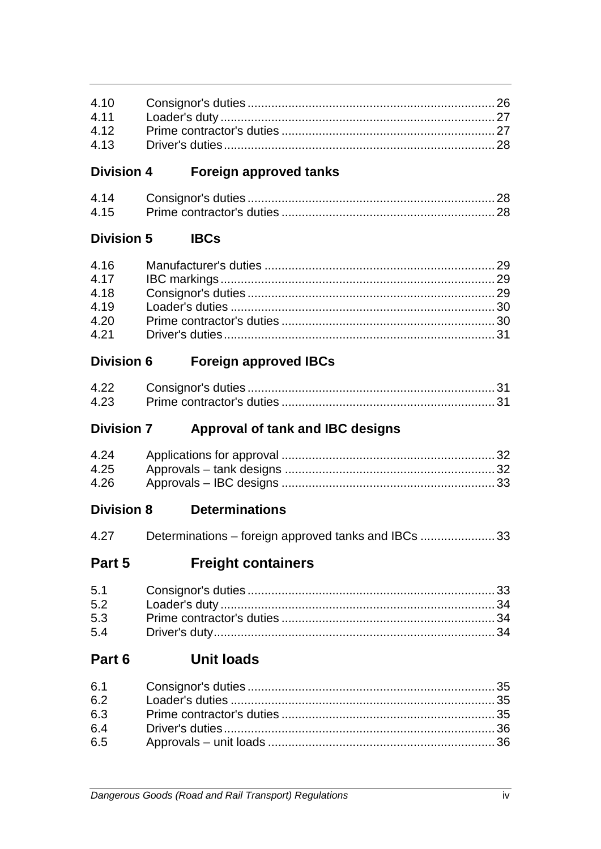#### **Foreign approved tanks Division 4**

| 4 14 |  |
|------|--|
|      |  |

#### **Division 5 IBCs**

| 4.16 |  |
|------|--|
| 4.17 |  |
| 4.18 |  |
| 4.19 |  |
| 4.20 |  |
| 4.21 |  |

#### **Foreign approved IBCs Division 6**

| 4.22 |  |
|------|--|
| 4.23 |  |

#### **Division 7** Approval of tank and IBC designs

| 4.24 |  |
|------|--|
| 4.25 |  |
| 4.26 |  |

#### **Division 8 Determinations**

| 4.27 | Determinations – foreign approved tanks and IBCs 33 |  |  |
|------|-----------------------------------------------------|--|--|
|------|-----------------------------------------------------|--|--|

#### Part 5 **Freight containers**

#### **Unit loads** Part 6

| 6.4 |  |
|-----|--|
|     |  |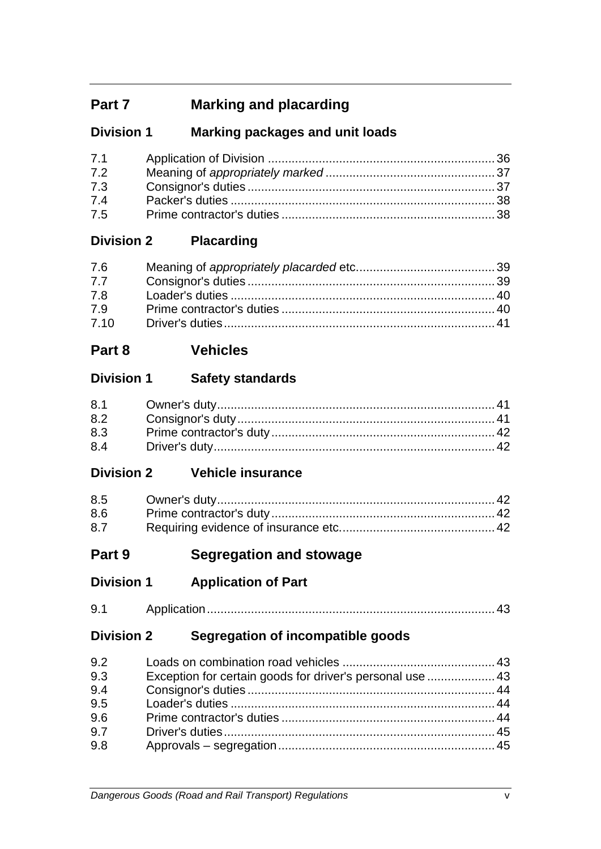# **Part 7 Marking and placarding**

# **Division 1 Marking packages and unit loads**

| 7.1 |  |
|-----|--|
| 7.2 |  |
| 7.3 |  |
| 7.4 |  |
| 7.5 |  |

# **Division 2 Placarding**

| 7.6  |  |
|------|--|
| 7.7  |  |
| 7.8  |  |
| 7.9  |  |
| 7.10 |  |

# **Part 8 Vehicles**

# **Division 1 Safety standards**

| 8.2 |  |
|-----|--|
| 8.3 |  |
| 8.4 |  |

# **Division 2 Vehicle insurance**

| 8.5 |  |
|-----|--|
| 8.6 |  |
| 8.7 |  |

# **Part 9 Segregation and stowage**

- **Division 1 Application of Part**
- 9.1 Application..................................................................................... 43

# **Division 2 Segregation of incompatible goods**

| 9.2 |                                                           |  |
|-----|-----------------------------------------------------------|--|
| 9.3 | Exception for certain goods for driver's personal use  43 |  |
| 9.4 |                                                           |  |
| 9.5 |                                                           |  |
| 9.6 |                                                           |  |
| 9.7 |                                                           |  |
| 9.8 |                                                           |  |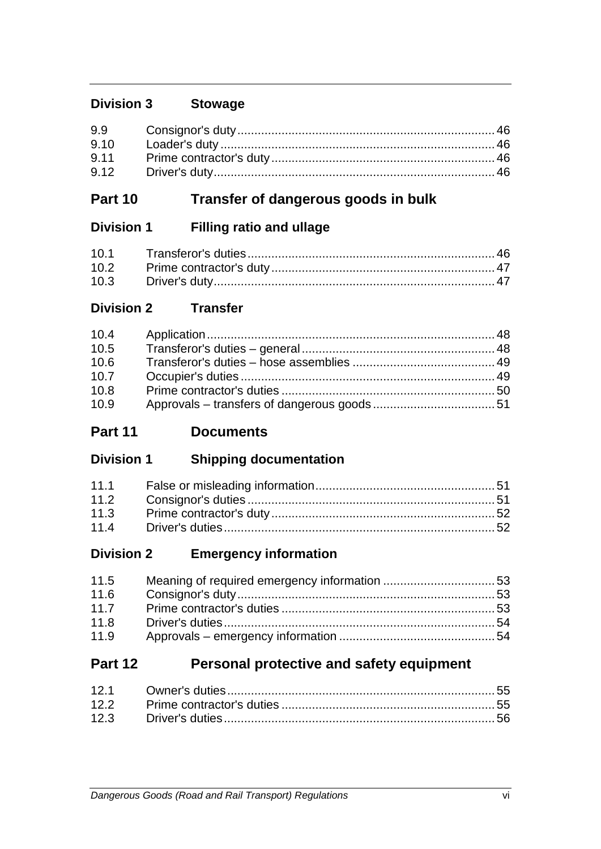# **Division 3 Stowage**

| 9.10 |  |
|------|--|
|      |  |
| 9.12 |  |

# **Part 10 Transfer of dangerous goods in bulk**

# **Division 1 Filling ratio and ullage**

# **Division 2 Transfer**

| 10.4 |  |
|------|--|
| 10.5 |  |
| 10.6 |  |
| 10.7 |  |
| 10.8 |  |
| 10.9 |  |

# **Part 11 Documents**

# **Division 1 Shipping documentation**

| 11.2 |  |
|------|--|
| 11.3 |  |
| 11.4 |  |

# **Division 2 Emergency information**

| 11.5 |  |
|------|--|
| 11.6 |  |
| 11.7 |  |
| 11.8 |  |
| 11.9 |  |

# **Part 12 Personal protective and safety equipment**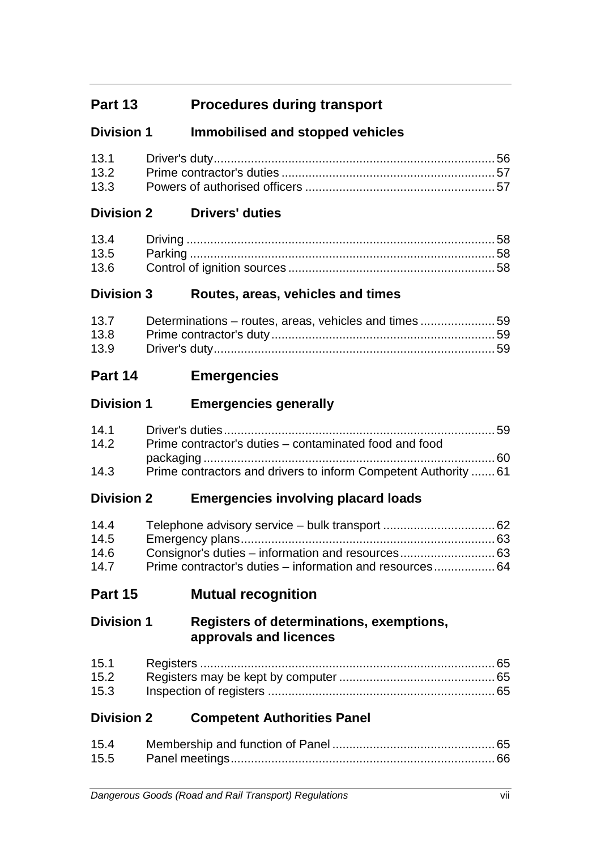# **Part 13 Procedures during transport**

# **Division 1 Immobilised and stopped vehicles**

# **Division 2 Drivers' duties**

# **Division 3 Routes, areas, vehicles and times**

|      | 13.7 Determinations – routes, areas, vehicles and times  59 |  |
|------|-------------------------------------------------------------|--|
| 13.8 |                                                             |  |
| 13.9 |                                                             |  |

# **Part 14 Emergencies**

# **Division 1 Emergencies generally**

| 14.1 |                                                                 |  |
|------|-----------------------------------------------------------------|--|
| 14.2 | Prime contractor's duties – contaminated food and food          |  |
|      |                                                                 |  |
| 14.3 | Prime contractors and drivers to inform Competent Authority  61 |  |

# **Division 2 Emergencies involving placard loads**

| 14.4 |  |
|------|--|
| 14.5 |  |
| 14.6 |  |
| 14.7 |  |

**Part 15 Mutual recognition**

# **Division 1 Registers of determinations, exemptions, approvals and licences**

| 15.2 |  |
|------|--|
| 15.3 |  |

# **Division 2 Competent Authorities Panel**

| 15.4 |  |
|------|--|
|      |  |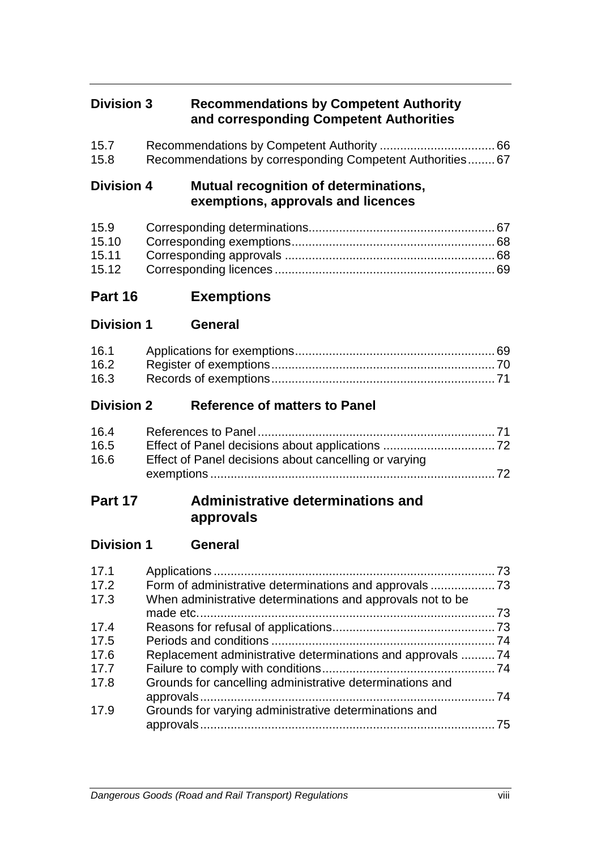# **Division 3 Recommendations by Competent Authority and corresponding Competent Authorities**

| 15.7 |                                                          |  |
|------|----------------------------------------------------------|--|
| 15.8 | Recommendations by corresponding Competent Authorities67 |  |

# **Division 4 Mutual recognition of determinations, exemptions, approvals and licences**

| 15.10 |  |
|-------|--|
|       |  |
|       |  |

- **Part 16 Exemptions**
- **Division 1 General**

| 16.1 |  |
|------|--|
| 16.2 |  |
| 16.3 |  |

# **Division 2 Reference of matters to Panel**

| 16.4 |                                                       |  |
|------|-------------------------------------------------------|--|
| 16.5 |                                                       |  |
| 16.6 | Effect of Panel decisions about cancelling or varying |  |
|      |                                                       |  |

# **Part 17 Administrative determinations and approvals**

# **Division 1 General**

| 17.1 |                                                            |  |
|------|------------------------------------------------------------|--|
| 17.2 |                                                            |  |
| 17.3 | When administrative determinations and approvals not to be |  |
|      |                                                            |  |
| 17.4 |                                                            |  |
| 17.5 |                                                            |  |
| 17.6 | Replacement administrative determinations and approvals 74 |  |
| 17.7 |                                                            |  |
| 17.8 | Grounds for cancelling administrative determinations and   |  |
|      |                                                            |  |
| 17.9 | Grounds for varying administrative determinations and      |  |
|      |                                                            |  |
|      |                                                            |  |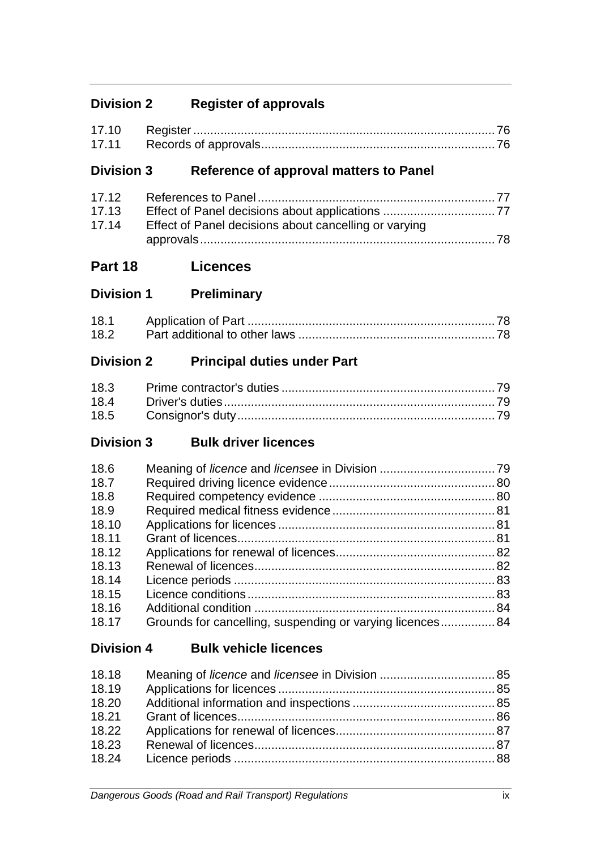# **Division 2 Register of approvals**

# **Division 3 Reference of approval matters to Panel**

| 17.13 |                                                       |  |
|-------|-------------------------------------------------------|--|
| 17.14 | Effect of Panel decisions about cancelling or varying |  |
|       |                                                       |  |

# **Part 18 Licences**

**Division 1 Preliminary**

| 18.1 |  |
|------|--|
| 18.2 |  |

# **Division 2 Principal duties under Part**

# **Division 3 Bulk driver licences**

| 18.6  |                                                           |  |
|-------|-----------------------------------------------------------|--|
| 18.7  |                                                           |  |
| 18.8  |                                                           |  |
| 18.9  |                                                           |  |
| 18.10 |                                                           |  |
| 18.11 |                                                           |  |
| 18.12 |                                                           |  |
| 18.13 |                                                           |  |
| 18.14 |                                                           |  |
| 18.15 |                                                           |  |
| 18.16 |                                                           |  |
| 18.17 | Grounds for cancelling, suspending or varying licences 84 |  |
|       |                                                           |  |

# **Division 4 Bulk vehicle licences**

| 18.18 |  |
|-------|--|
| 18.19 |  |
| 18.20 |  |
| 18.21 |  |
| 18.22 |  |
| 18.23 |  |
| 18.24 |  |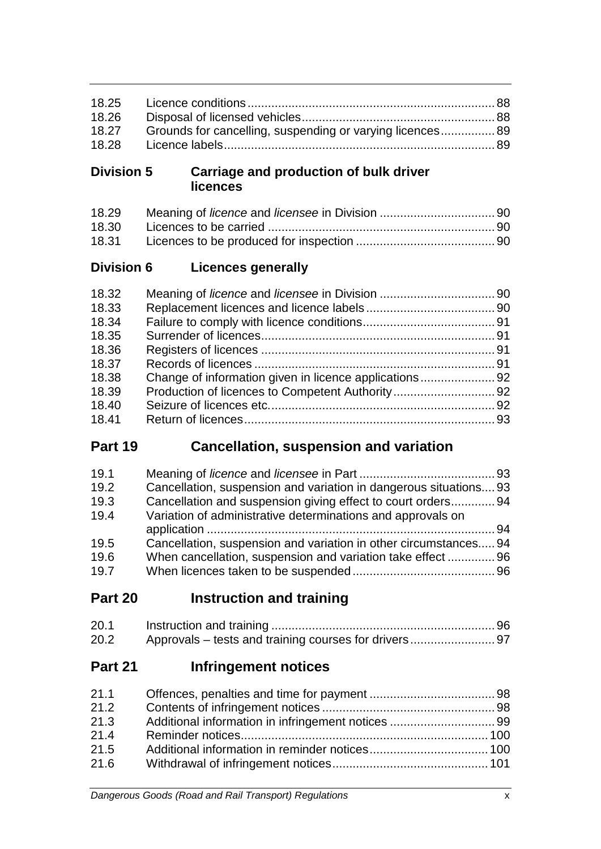| 18.26 |                                                           |  |
|-------|-----------------------------------------------------------|--|
| 18.27 | Grounds for cancelling, suspending or varying licences 89 |  |
| 18.28 |                                                           |  |

# **Division 5 Carriage and production of bulk driver licences**

# **Division 6 Licences generally**

| 18.32 |  |
|-------|--|
| 18.33 |  |
| 18.34 |  |
| 18.35 |  |
| 18.36 |  |
| 18.37 |  |
| 18.38 |  |
| 18.39 |  |
| 18.40 |  |
| 18.41 |  |

# **Part 19 Cancellation, suspension and variation**

| 19.1 |                                                                   |  |
|------|-------------------------------------------------------------------|--|
| 19.2 | Cancellation, suspension and variation in dangerous situations 93 |  |
| 19.3 | Cancellation and suspension giving effect to court orders 94      |  |
| 19.4 | Variation of administrative determinations and approvals on       |  |
|      |                                                                   |  |
| 19.5 | Cancellation, suspension and variation in other circumstances 94  |  |
| 19.6 | When cancellation, suspension and variation take effect  96       |  |
| 19.7 |                                                                   |  |

**Part 20 Instruction and training**

| 20.1 |  |
|------|--|
| 20.2 |  |

# **Part 21 Infringement notices**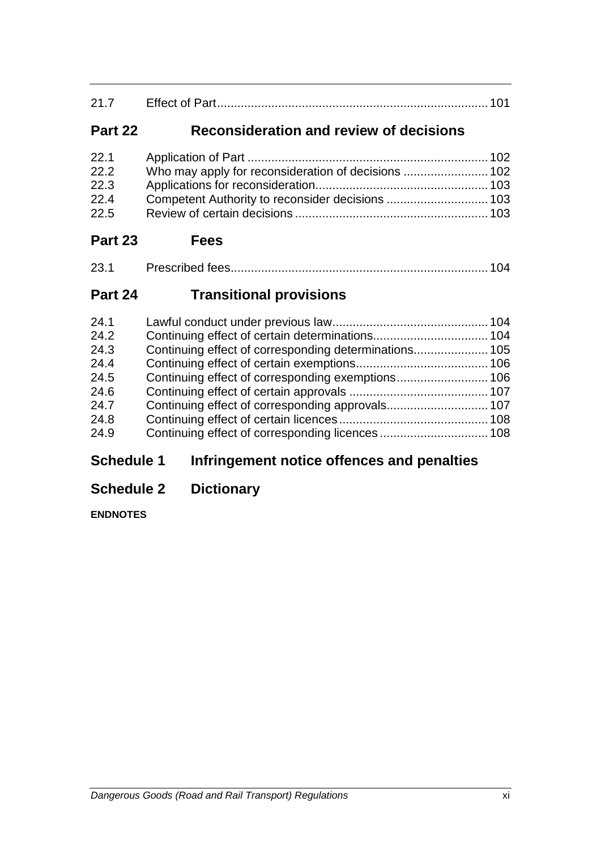| $\Omega$ $\Omega$ |  |
|-------------------|--|
|                   |  |

# **Part 22 Reconsideration and review of decisions**

| 22.1 |  |
|------|--|
| 22.2 |  |
| 22.3 |  |
| 22.4 |  |
| 22.5 |  |
|      |  |

# **Part 23 Fees**

| 23.1 |  |  |
|------|--|--|
|------|--|--|

# **Part 24 Transitional provisions**

| 24.1 |  |
|------|--|
| 24.2 |  |
| 24.3 |  |
| 24.4 |  |
| 24.5 |  |
| 24.6 |  |
| 24.7 |  |
| 24.8 |  |
| 24.9 |  |
|      |  |

# **Schedule 1 Infringement notice offences and penalties**

# **Schedule 2 Dictionary**

**ENDNOTES**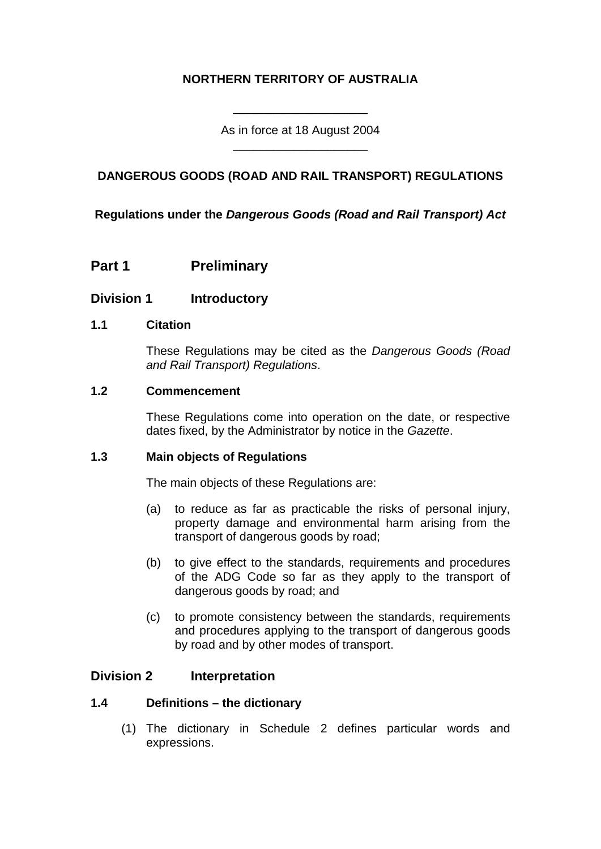### **NORTHERN TERRITORY OF AUSTRALIA**

As in force at 18 August 2004 \_\_\_\_\_\_\_\_\_\_\_\_\_\_\_\_\_\_\_\_

\_\_\_\_\_\_\_\_\_\_\_\_\_\_\_\_\_\_\_\_

### **DANGEROUS GOODS (ROAD AND RAIL TRANSPORT) REGULATIONS**

**Regulations under the** *Dangerous Goods (Road and Rail Transport) Act*

**Part 1 Preliminary**

### **Division 1 Introductory**

#### **1.1 Citation**

These Regulations may be cited as the *Dangerous Goods (Road and Rail Transport) Regulations*.

#### **1.2 Commencement**

These Regulations come into operation on the date, or respective dates fixed, by the Administrator by notice in the *Gazette*.

#### **1.3 Main objects of Regulations**

The main objects of these Regulations are:

- (a) to reduce as far as practicable the risks of personal injury, property damage and environmental harm arising from the transport of dangerous goods by road;
- (b) to give effect to the standards, requirements and procedures of the ADG Code so far as they apply to the transport of dangerous goods by road; and
- (c) to promote consistency between the standards, requirements and procedures applying to the transport of dangerous goods by road and by other modes of transport.

### **Division 2 Interpretation**

### **1.4 Definitions – the dictionary**

(1) The dictionary in Schedule 2 defines particular words and expressions.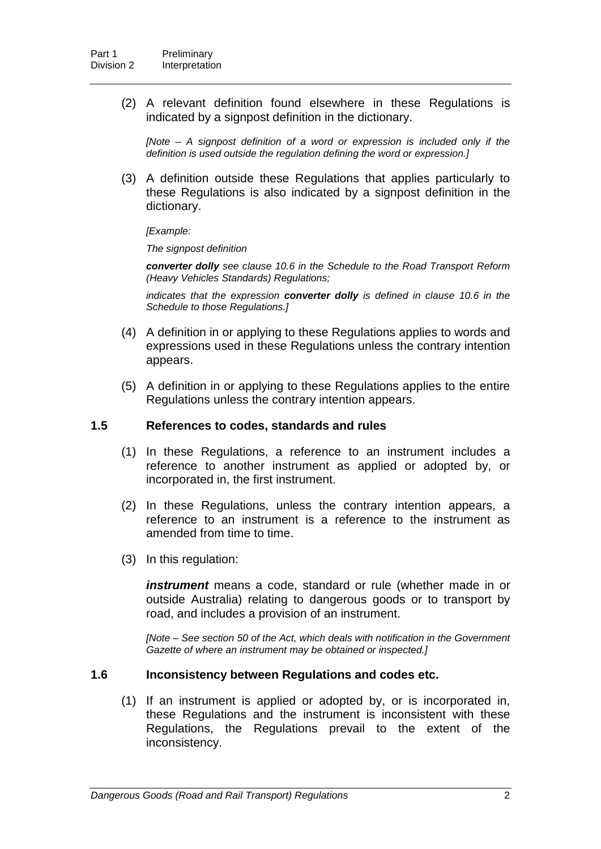(2) A relevant definition found elsewhere in these Regulations is indicated by a signpost definition in the dictionary.

*[Note – A signpost definition of a word or expression is included only if the definition is used outside the regulation defining the word or expression.]*

(3) A definition outside these Regulations that applies particularly to these Regulations is also indicated by a signpost definition in the dictionary.

*[Example:*

*The signpost definition*

*converter dolly see clause 10.6 in the Schedule to the Road Transport Reform (Heavy Vehicles Standards) Regulations;*

*indicates that the expression converter dolly is defined in clause 10.6 in the Schedule to those Regulations.]*

- (4) A definition in or applying to these Regulations applies to words and expressions used in these Regulations unless the contrary intention appears.
- (5) A definition in or applying to these Regulations applies to the entire Regulations unless the contrary intention appears.

#### **1.5 References to codes, standards and rules**

- (1) In these Regulations, a reference to an instrument includes a reference to another instrument as applied or adopted by, or incorporated in, the first instrument.
- (2) In these Regulations, unless the contrary intention appears, a reference to an instrument is a reference to the instrument as amended from time to time.
- (3) In this regulation:

*instrument* means a code, standard or rule (whether made in or outside Australia) relating to dangerous goods or to transport by road, and includes a provision of an instrument.

*[Note – See section 50 of the Act, which deals with notification in the Government Gazette of where an instrument may be obtained or inspected.]*

#### **1.6 Inconsistency between Regulations and codes etc.**

(1) If an instrument is applied or adopted by, or is incorporated in, these Regulations and the instrument is inconsistent with these Regulations, the Regulations prevail to the extent of the inconsistency.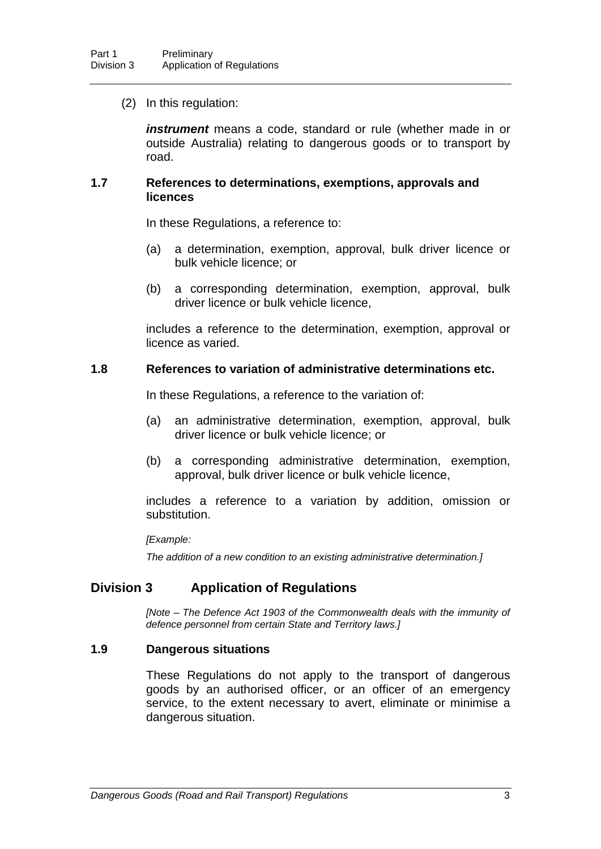(2) In this regulation:

*instrument* means a code, standard or rule (whether made in or outside Australia) relating to dangerous goods or to transport by road.

#### **1.7 References to determinations, exemptions, approvals and licences**

In these Regulations, a reference to:

- (a) a determination, exemption, approval, bulk driver licence or bulk vehicle licence; or
- (b) a corresponding determination, exemption, approval, bulk driver licence or bulk vehicle licence,

includes a reference to the determination, exemption, approval or licence as varied.

#### **1.8 References to variation of administrative determinations etc.**

In these Regulations, a reference to the variation of:

- (a) an administrative determination, exemption, approval, bulk driver licence or bulk vehicle licence; or
- (b) a corresponding administrative determination, exemption, approval, bulk driver licence or bulk vehicle licence,

includes a reference to a variation by addition, omission or substitution.

*[Example:*

*The addition of a new condition to an existing administrative determination.]*

### **Division 3 Application of Regulations**

*[Note – The Defence Act 1903 of the Commonwealth deals with the immunity of defence personnel from certain State and Territory laws.]*

#### **1.9 Dangerous situations**

These Regulations do not apply to the transport of dangerous goods by an authorised officer, or an officer of an emergency service, to the extent necessary to avert, eliminate or minimise a dangerous situation.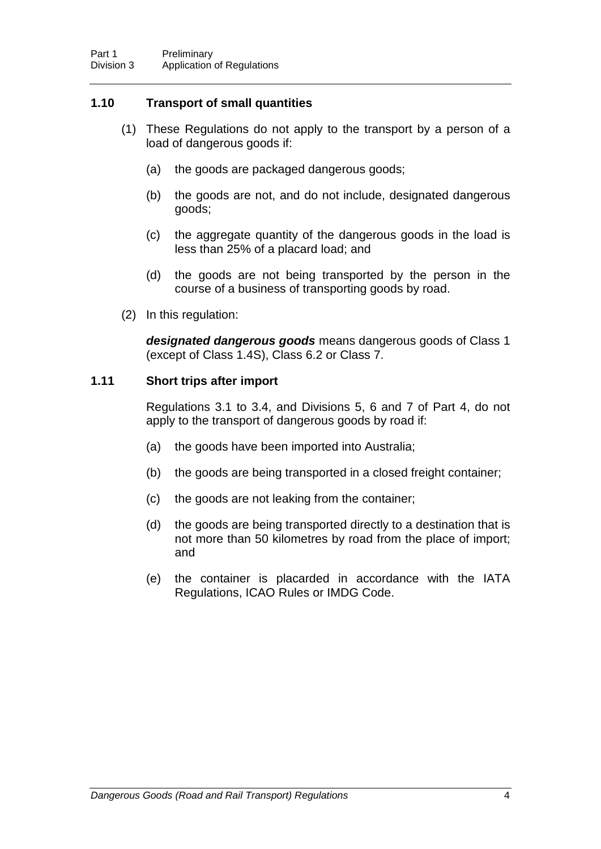### **1.10 Transport of small quantities**

- (1) These Regulations do not apply to the transport by a person of a load of dangerous goods if:
	- (a) the goods are packaged dangerous goods;
	- (b) the goods are not, and do not include, designated dangerous goods;
	- (c) the aggregate quantity of the dangerous goods in the load is less than 25% of a placard load; and
	- (d) the goods are not being transported by the person in the course of a business of transporting goods by road.
- (2) In this regulation:

*designated dangerous goods* means dangerous goods of Class 1 (except of Class 1.4S), Class 6.2 or Class 7.

### **1.11 Short trips after import**

Regulations 3.1 to 3.4, and Divisions 5, 6 and 7 of Part 4, do not apply to the transport of dangerous goods by road if:

- (a) the goods have been imported into Australia;
- (b) the goods are being transported in a closed freight container;
- (c) the goods are not leaking from the container;
- (d) the goods are being transported directly to a destination that is not more than 50 kilometres by road from the place of import; and
- (e) the container is placarded in accordance with the IATA Regulations, ICAO Rules or IMDG Code.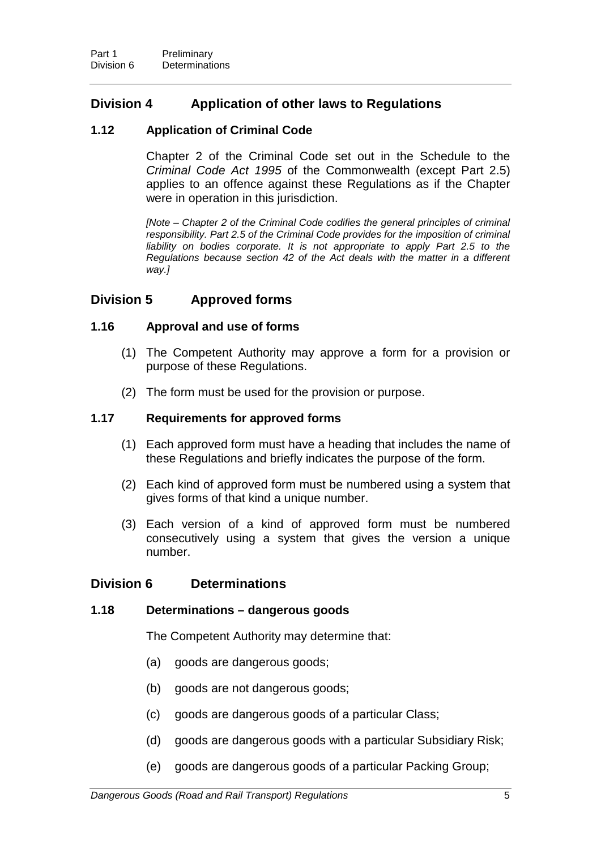# **Division 4 Application of other laws to Regulations**

### **1.12 Application of Criminal Code**

Chapter 2 of the Criminal Code set out in the Schedule to the *Criminal Code Act 1995* of the Commonwealth (except Part 2.5) applies to an offence against these Regulations as if the Chapter were in operation in this jurisdiction.

*[Note – Chapter 2 of the Criminal Code codifies the general principles of criminal responsibility. Part 2.5 of the Criminal Code provides for the imposition of criminal*  liability on bodies corporate. It is not appropriate to apply Part 2.5 to the *Regulations because section 42 of the Act deals with the matter in a different way.]*

### **Division 5 Approved forms**

### **1.16 Approval and use of forms**

- (1) The Competent Authority may approve a form for a provision or purpose of these Regulations.
- (2) The form must be used for the provision or purpose.

### **1.17 Requirements for approved forms**

- (1) Each approved form must have a heading that includes the name of these Regulations and briefly indicates the purpose of the form.
- (2) Each kind of approved form must be numbered using a system that gives forms of that kind a unique number.
- (3) Each version of a kind of approved form must be numbered consecutively using a system that gives the version a unique number.

### **Division 6 Determinations**

### **1.18 Determinations – dangerous goods**

The Competent Authority may determine that:

- (a) goods are dangerous goods;
- (b) goods are not dangerous goods;
- (c) goods are dangerous goods of a particular Class;
- (d) goods are dangerous goods with a particular Subsidiary Risk;
- (e) goods are dangerous goods of a particular Packing Group;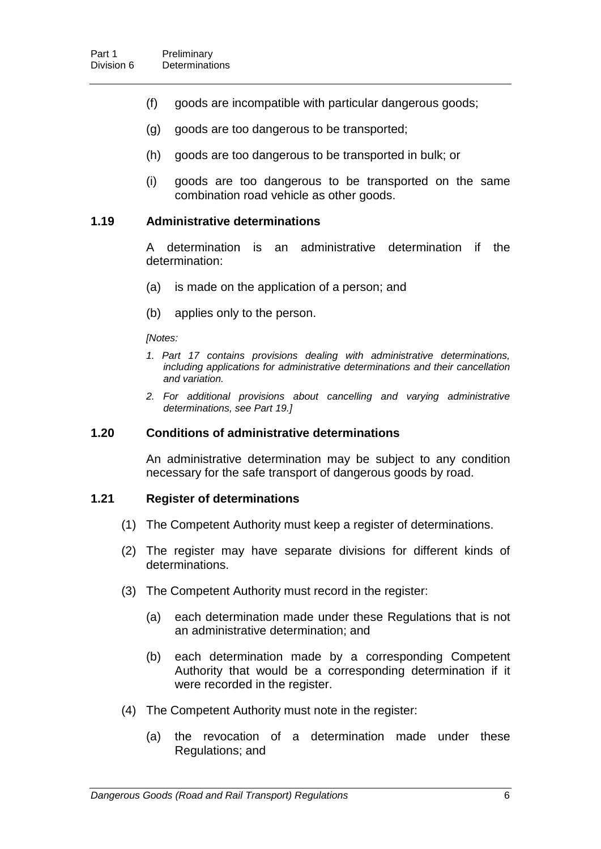- (f) goods are incompatible with particular dangerous goods;
- (g) goods are too dangerous to be transported;
- (h) goods are too dangerous to be transported in bulk; or
- (i) goods are too dangerous to be transported on the same combination road vehicle as other goods.

#### **1.19 Administrative determinations**

A determination is an administrative determination if the determination:

- (a) is made on the application of a person; and
- (b) applies only to the person.

#### *[Notes:*

- *1. Part 17 contains provisions dealing with administrative determinations, including applications for administrative determinations and their cancellation and variation.*
- *2. For additional provisions about cancelling and varying administrative determinations, see Part 19.]*

#### **1.20 Conditions of administrative determinations**

An administrative determination may be subject to any condition necessary for the safe transport of dangerous goods by road.

#### **1.21 Register of determinations**

- (1) The Competent Authority must keep a register of determinations.
- (2) The register may have separate divisions for different kinds of determinations.
- (3) The Competent Authority must record in the register:
	- (a) each determination made under these Regulations that is not an administrative determination; and
	- (b) each determination made by a corresponding Competent Authority that would be a corresponding determination if it were recorded in the register.
- (4) The Competent Authority must note in the register:
	- (a) the revocation of a determination made under these Regulations; and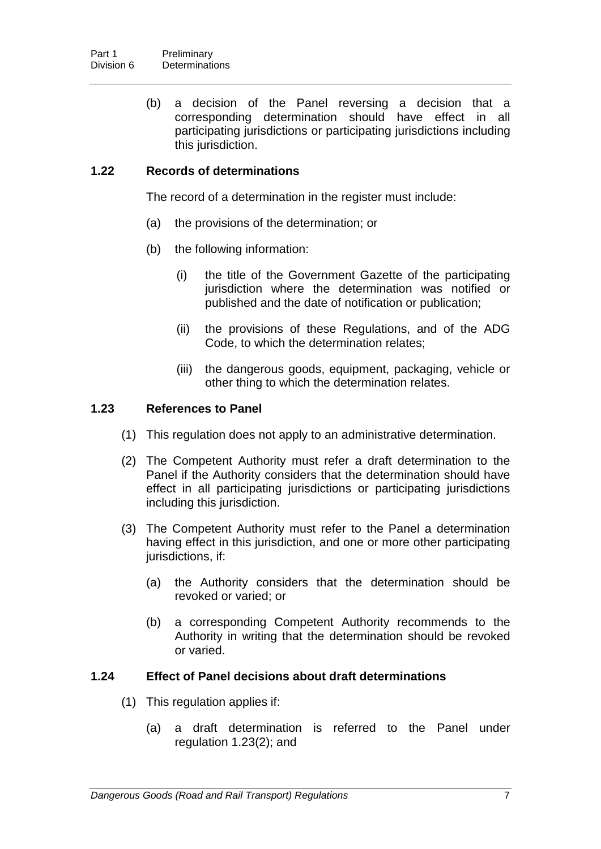(b) a decision of the Panel reversing a decision that a corresponding determination should have effect in all participating jurisdictions or participating jurisdictions including this jurisdiction.

### **1.22 Records of determinations**

The record of a determination in the register must include:

- (a) the provisions of the determination; or
- (b) the following information:
	- (i) the title of the Government Gazette of the participating jurisdiction where the determination was notified or published and the date of notification or publication;
	- (ii) the provisions of these Regulations, and of the ADG Code, to which the determination relates;
	- (iii) the dangerous goods, equipment, packaging, vehicle or other thing to which the determination relates.

#### **1.23 References to Panel**

- (1) This regulation does not apply to an administrative determination.
- (2) The Competent Authority must refer a draft determination to the Panel if the Authority considers that the determination should have effect in all participating jurisdictions or participating jurisdictions including this jurisdiction.
- (3) The Competent Authority must refer to the Panel a determination having effect in this jurisdiction, and one or more other participating jurisdictions, if:
	- (a) the Authority considers that the determination should be revoked or varied; or
	- (b) a corresponding Competent Authority recommends to the Authority in writing that the determination should be revoked or varied.

#### **1.24 Effect of Panel decisions about draft determinations**

- (1) This regulation applies if:
	- (a) a draft determination is referred to the Panel under regulation 1.23(2); and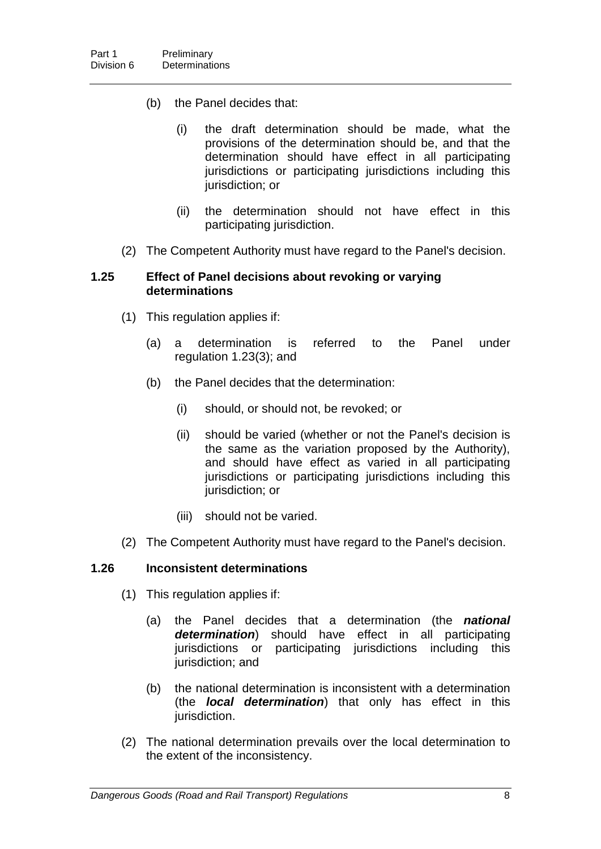- (b) the Panel decides that:
	- (i) the draft determination should be made, what the provisions of the determination should be, and that the determination should have effect in all participating jurisdictions or participating jurisdictions including this jurisdiction; or
	- (ii) the determination should not have effect in this participating jurisdiction.
- (2) The Competent Authority must have regard to the Panel's decision.

### **1.25 Effect of Panel decisions about revoking or varying determinations**

- (1) This regulation applies if:
	- (a) a determination is referred to the Panel under regulation 1.23(3); and
	- (b) the Panel decides that the determination:
		- (i) should, or should not, be revoked; or
		- (ii) should be varied (whether or not the Panel's decision is the same as the variation proposed by the Authority), and should have effect as varied in all participating jurisdictions or participating jurisdictions including this jurisdiction; or
		- (iii) should not be varied.
- (2) The Competent Authority must have regard to the Panel's decision.

### **1.26 Inconsistent determinations**

- (1) This regulation applies if:
	- (a) the Panel decides that a determination (the *national determination*) should have effect in all participating jurisdictions or participating jurisdictions including this jurisdiction; and
	- (b) the national determination is inconsistent with a determination (the *local determination*) that only has effect in this jurisdiction.
- (2) The national determination prevails over the local determination to the extent of the inconsistency.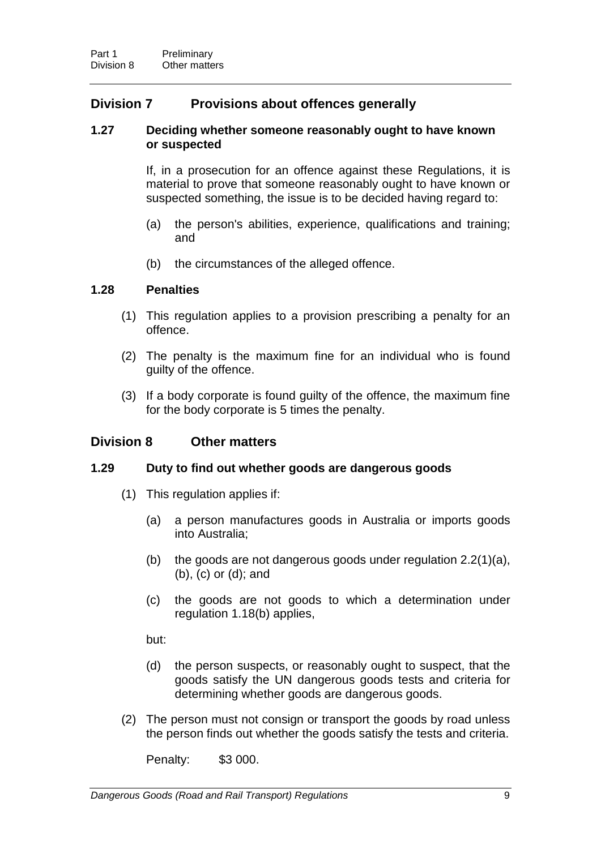## **Division 7 Provisions about offences generally**

#### **1.27 Deciding whether someone reasonably ought to have known or suspected**

If, in a prosecution for an offence against these Regulations, it is material to prove that someone reasonably ought to have known or suspected something, the issue is to be decided having regard to:

- (a) the person's abilities, experience, qualifications and training; and
- (b) the circumstances of the alleged offence.

#### **1.28 Penalties**

- (1) This regulation applies to a provision prescribing a penalty for an offence.
- (2) The penalty is the maximum fine for an individual who is found guilty of the offence.
- (3) If a body corporate is found guilty of the offence, the maximum fine for the body corporate is 5 times the penalty.

### **Division 8 Other matters**

#### **1.29 Duty to find out whether goods are dangerous goods**

- (1) This regulation applies if:
	- (a) a person manufactures goods in Australia or imports goods into Australia;
	- (b) the goods are not dangerous goods under regulation 2.2(1)(a), (b), (c) or (d); and
	- (c) the goods are not goods to which a determination under regulation 1.18(b) applies,

but:

- (d) the person suspects, or reasonably ought to suspect, that the goods satisfy the UN dangerous goods tests and criteria for determining whether goods are dangerous goods.
- (2) The person must not consign or transport the goods by road unless the person finds out whether the goods satisfy the tests and criteria.

Penalty: \$3 000.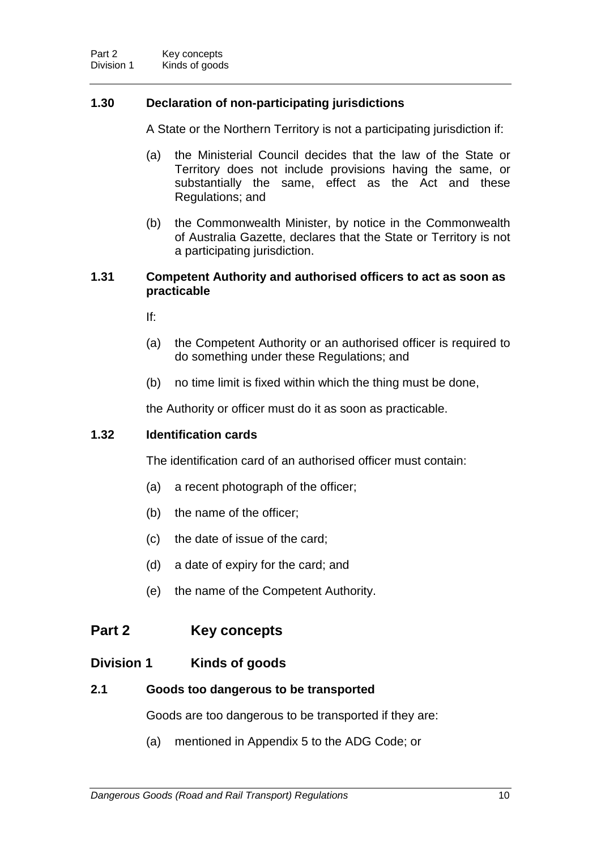### **1.30 Declaration of non-participating jurisdictions**

A State or the Northern Territory is not a participating jurisdiction if:

- (a) the Ministerial Council decides that the law of the State or Territory does not include provisions having the same, or substantially the same, effect as the Act and these Regulations; and
- (b) the Commonwealth Minister, by notice in the Commonwealth of Australia Gazette, declares that the State or Territory is not a participating jurisdiction.

### **1.31 Competent Authority and authorised officers to act as soon as practicable**

If:

- (a) the Competent Authority or an authorised officer is required to do something under these Regulations; and
- (b) no time limit is fixed within which the thing must be done,

the Authority or officer must do it as soon as practicable.

#### **1.32 Identification cards**

The identification card of an authorised officer must contain:

- (a) a recent photograph of the officer;
- (b) the name of the officer;
- (c) the date of issue of the card;
- (d) a date of expiry for the card; and
- (e) the name of the Competent Authority.

### **Part 2 Key concepts**

### **Division 1 Kinds of goods**

### **2.1 Goods too dangerous to be transported**

Goods are too dangerous to be transported if they are:

(a) mentioned in Appendix 5 to the ADG Code; or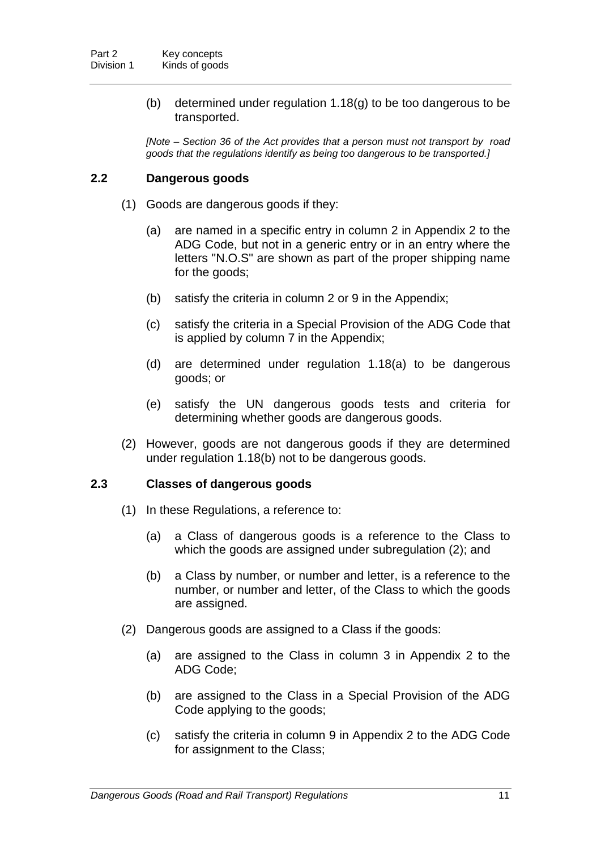(b) determined under regulation 1.18(g) to be too dangerous to be transported.

*[Note – Section 36 of the Act provides that a person must not transport by road goods that the regulations identify as being too dangerous to be transported.]*

### **2.2 Dangerous goods**

- (1) Goods are dangerous goods if they:
	- (a) are named in a specific entry in column 2 in Appendix 2 to the ADG Code, but not in a generic entry or in an entry where the letters "N.O.S" are shown as part of the proper shipping name for the goods;
	- (b) satisfy the criteria in column 2 or 9 in the Appendix;
	- (c) satisfy the criteria in a Special Provision of the ADG Code that is applied by column 7 in the Appendix;
	- (d) are determined under regulation 1.18(a) to be dangerous goods; or
	- (e) satisfy the UN dangerous goods tests and criteria for determining whether goods are dangerous goods.
- (2) However, goods are not dangerous goods if they are determined under regulation 1.18(b) not to be dangerous goods.

### **2.3 Classes of dangerous goods**

- (1) In these Regulations, a reference to:
	- (a) a Class of dangerous goods is a reference to the Class to which the goods are assigned under subregulation (2); and
	- (b) a Class by number, or number and letter, is a reference to the number, or number and letter, of the Class to which the goods are assigned.
- (2) Dangerous goods are assigned to a Class if the goods:
	- (a) are assigned to the Class in column 3 in Appendix 2 to the ADG Code;
	- (b) are assigned to the Class in a Special Provision of the ADG Code applying to the goods;
	- (c) satisfy the criteria in column 9 in Appendix 2 to the ADG Code for assignment to the Class;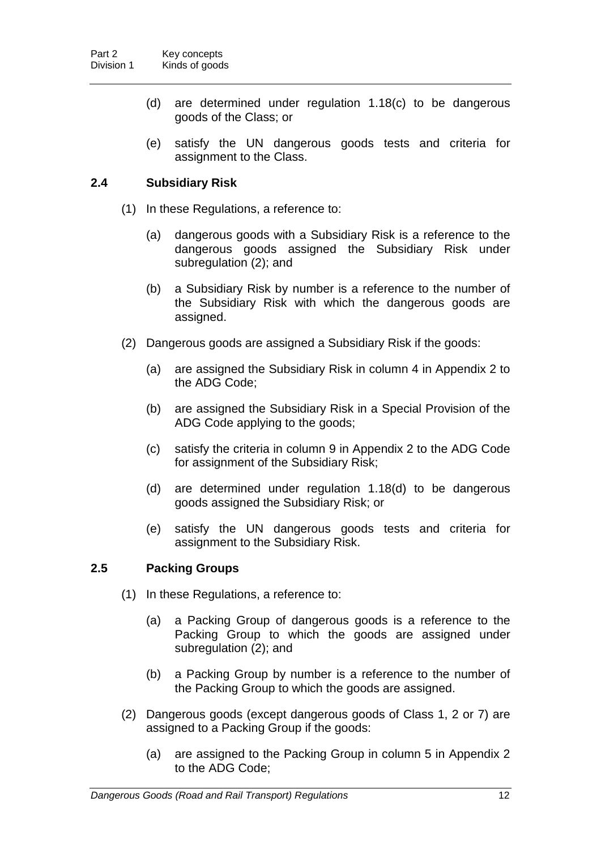- (d) are determined under regulation 1.18(c) to be dangerous goods of the Class; or
- (e) satisfy the UN dangerous goods tests and criteria for assignment to the Class.

### **2.4 Subsidiary Risk**

- (1) In these Regulations, a reference to:
	- (a) dangerous goods with a Subsidiary Risk is a reference to the dangerous goods assigned the Subsidiary Risk under subregulation (2); and
	- (b) a Subsidiary Risk by number is a reference to the number of the Subsidiary Risk with which the dangerous goods are assigned.
- (2) Dangerous goods are assigned a Subsidiary Risk if the goods:
	- (a) are assigned the Subsidiary Risk in column 4 in Appendix 2 to the ADG Code;
	- (b) are assigned the Subsidiary Risk in a Special Provision of the ADG Code applying to the goods;
	- (c) satisfy the criteria in column 9 in Appendix 2 to the ADG Code for assignment of the Subsidiary Risk;
	- (d) are determined under regulation 1.18(d) to be dangerous goods assigned the Subsidiary Risk; or
	- (e) satisfy the UN dangerous goods tests and criteria for assignment to the Subsidiary Risk.

### **2.5 Packing Groups**

- (1) In these Regulations, a reference to:
	- (a) a Packing Group of dangerous goods is a reference to the Packing Group to which the goods are assigned under subregulation (2); and
	- (b) a Packing Group by number is a reference to the number of the Packing Group to which the goods are assigned.
- (2) Dangerous goods (except dangerous goods of Class 1, 2 or 7) are assigned to a Packing Group if the goods:
	- (a) are assigned to the Packing Group in column 5 in Appendix 2 to the ADG Code;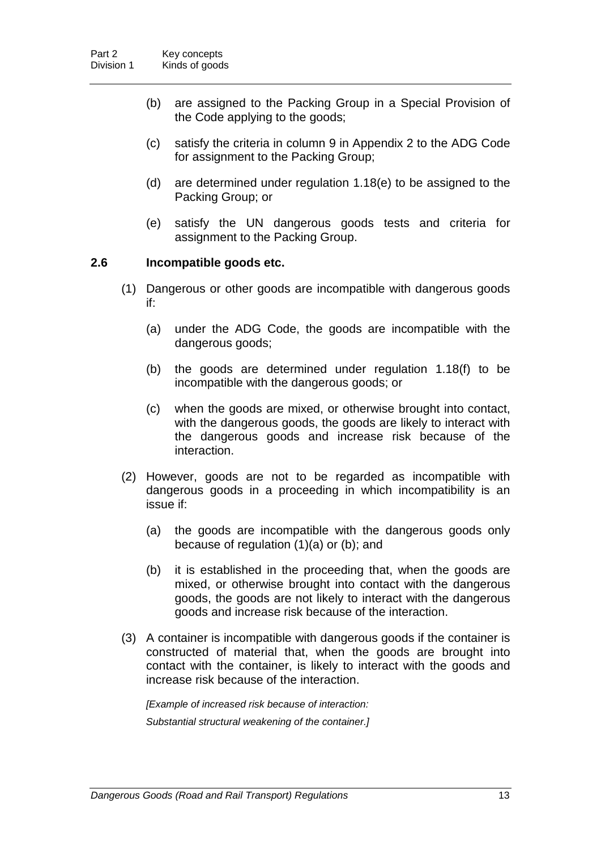- (b) are assigned to the Packing Group in a Special Provision of the Code applying to the goods;
- (c) satisfy the criteria in column 9 in Appendix 2 to the ADG Code for assignment to the Packing Group;
- (d) are determined under regulation 1.18(e) to be assigned to the Packing Group; or
- (e) satisfy the UN dangerous goods tests and criteria for assignment to the Packing Group.

### **2.6 Incompatible goods etc.**

- (1) Dangerous or other goods are incompatible with dangerous goods if:
	- (a) under the ADG Code, the goods are incompatible with the dangerous goods;
	- (b) the goods are determined under regulation 1.18(f) to be incompatible with the dangerous goods; or
	- (c) when the goods are mixed, or otherwise brought into contact, with the dangerous goods, the goods are likely to interact with the dangerous goods and increase risk because of the interaction.
- (2) However, goods are not to be regarded as incompatible with dangerous goods in a proceeding in which incompatibility is an issue if:
	- (a) the goods are incompatible with the dangerous goods only because of regulation (1)(a) or (b); and
	- (b) it is established in the proceeding that, when the goods are mixed, or otherwise brought into contact with the dangerous goods, the goods are not likely to interact with the dangerous goods and increase risk because of the interaction.
- (3) A container is incompatible with dangerous goods if the container is constructed of material that, when the goods are brought into contact with the container, is likely to interact with the goods and increase risk because of the interaction.

*[Example of increased risk because of interaction: Substantial structural weakening of the container.]*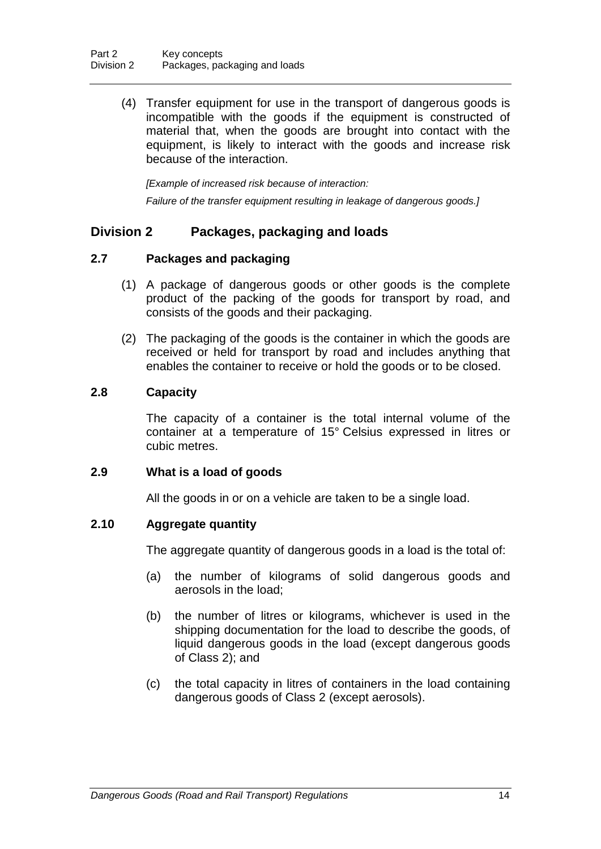(4) Transfer equipment for use in the transport of dangerous goods is incompatible with the goods if the equipment is constructed of material that, when the goods are brought into contact with the equipment, is likely to interact with the goods and increase risk because of the interaction.

*[Example of increased risk because of interaction: Failure of the transfer equipment resulting in leakage of dangerous goods.]*

### **Division 2 Packages, packaging and loads**

### **2.7 Packages and packaging**

- (1) A package of dangerous goods or other goods is the complete product of the packing of the goods for transport by road, and consists of the goods and their packaging.
- (2) The packaging of the goods is the container in which the goods are received or held for transport by road and includes anything that enables the container to receive or hold the goods or to be closed.

### **2.8 Capacity**

The capacity of a container is the total internal volume of the container at a temperature of 15° Celsius expressed in litres or cubic metres.

### **2.9 What is a load of goods**

All the goods in or on a vehicle are taken to be a single load.

### **2.10 Aggregate quantity**

The aggregate quantity of dangerous goods in a load is the total of:

- (a) the number of kilograms of solid dangerous goods and aerosols in the load;
- (b) the number of litres or kilograms, whichever is used in the shipping documentation for the load to describe the goods, of liquid dangerous goods in the load (except dangerous goods of Class 2); and
- (c) the total capacity in litres of containers in the load containing dangerous goods of Class 2 (except aerosols).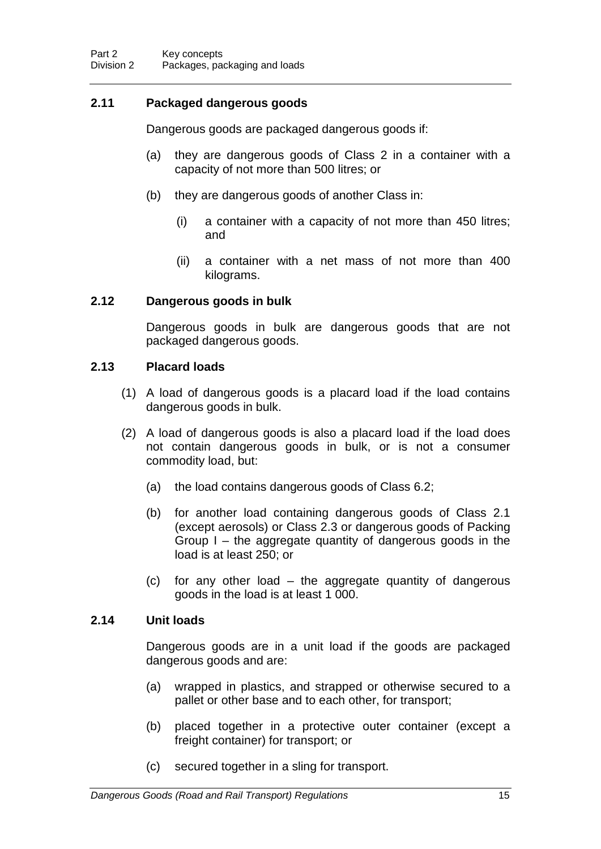### **2.11 Packaged dangerous goods**

Dangerous goods are packaged dangerous goods if:

- (a) they are dangerous goods of Class 2 in a container with a capacity of not more than 500 litres; or
- (b) they are dangerous goods of another Class in:
	- (i) a container with a capacity of not more than 450 litres; and
	- (ii) a container with a net mass of not more than 400 kilograms.

#### **2.12 Dangerous goods in bulk**

Dangerous goods in bulk are dangerous goods that are not packaged dangerous goods.

#### **2.13 Placard loads**

- (1) A load of dangerous goods is a placard load if the load contains dangerous goods in bulk.
- (2) A load of dangerous goods is also a placard load if the load does not contain dangerous goods in bulk, or is not a consumer commodity load, but:
	- (a) the load contains dangerous goods of Class 6.2;
	- (b) for another load containing dangerous goods of Class 2.1 (except aerosols) or Class 2.3 or dangerous goods of Packing Group I – the aggregate quantity of dangerous goods in the load is at least 250; or
	- (c) for any other load the aggregate quantity of dangerous goods in the load is at least 1 000.

#### **2.14 Unit loads**

Dangerous goods are in a unit load if the goods are packaged dangerous goods and are:

- (a) wrapped in plastics, and strapped or otherwise secured to a pallet or other base and to each other, for transport;
- (b) placed together in a protective outer container (except a freight container) for transport; or
- (c) secured together in a sling for transport.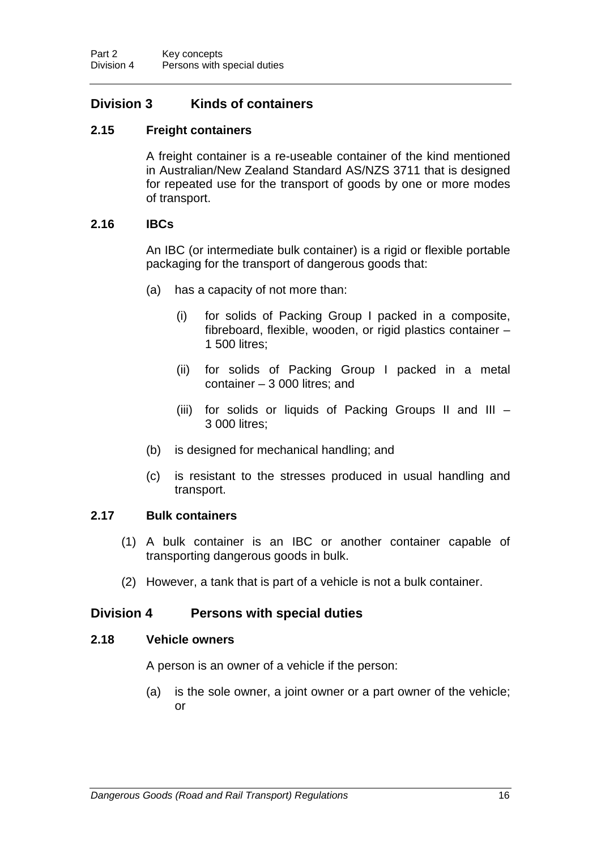## **Division 3 Kinds of containers**

### **2.15 Freight containers**

A freight container is a re-useable container of the kind mentioned in Australian/New Zealand Standard AS/NZS 3711 that is designed for repeated use for the transport of goods by one or more modes of transport.

### **2.16 IBCs**

An IBC (or intermediate bulk container) is a rigid or flexible portable packaging for the transport of dangerous goods that:

- (a) has a capacity of not more than:
	- (i) for solids of Packing Group I packed in a composite, fibreboard, flexible, wooden, or rigid plastics container – 1 500 litres;
	- (ii) for solids of Packing Group I packed in a metal container – 3 000 litres; and
	- (iii) for solids or liquids of Packing Groups II and III 3 000 litres;
- (b) is designed for mechanical handling; and
- (c) is resistant to the stresses produced in usual handling and transport.

### **2.17 Bulk containers**

- (1) A bulk container is an IBC or another container capable of transporting dangerous goods in bulk.
- (2) However, a tank that is part of a vehicle is not a bulk container.

### **Division 4 Persons with special duties**

#### **2.18 Vehicle owners**

A person is an owner of a vehicle if the person:

(a) is the sole owner, a joint owner or a part owner of the vehicle; or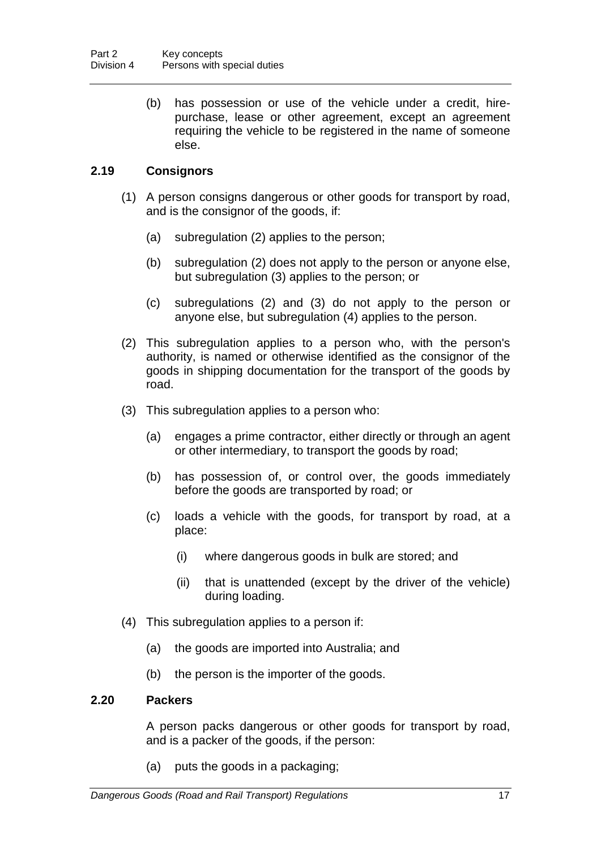(b) has possession or use of the vehicle under a credit, hirepurchase, lease or other agreement, except an agreement requiring the vehicle to be registered in the name of someone else.

### **2.19 Consignors**

- (1) A person consigns dangerous or other goods for transport by road, and is the consignor of the goods, if:
	- (a) subregulation (2) applies to the person;
	- (b) subregulation (2) does not apply to the person or anyone else, but subregulation (3) applies to the person; or
	- (c) subregulations (2) and (3) do not apply to the person or anyone else, but subregulation (4) applies to the person.
- (2) This subregulation applies to a person who, with the person's authority, is named or otherwise identified as the consignor of the goods in shipping documentation for the transport of the goods by road.
- (3) This subregulation applies to a person who:
	- (a) engages a prime contractor, either directly or through an agent or other intermediary, to transport the goods by road;
	- (b) has possession of, or control over, the goods immediately before the goods are transported by road; or
	- (c) loads a vehicle with the goods, for transport by road, at a place:
		- (i) where dangerous goods in bulk are stored; and
		- (ii) that is unattended (except by the driver of the vehicle) during loading.
- (4) This subregulation applies to a person if:
	- (a) the goods are imported into Australia; and
	- (b) the person is the importer of the goods.

### **2.20 Packers**

A person packs dangerous or other goods for transport by road, and is a packer of the goods, if the person:

(a) puts the goods in a packaging;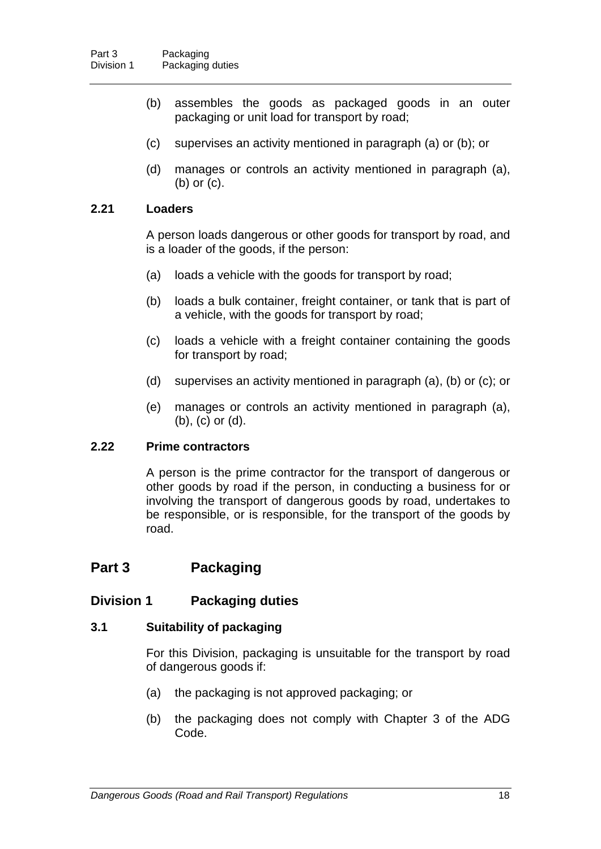- (b) assembles the goods as packaged goods in an outer packaging or unit load for transport by road;
- (c) supervises an activity mentioned in paragraph (a) or (b); or
- (d) manages or controls an activity mentioned in paragraph (a), (b) or (c).

### **2.21 Loaders**

A person loads dangerous or other goods for transport by road, and is a loader of the goods, if the person:

- (a) loads a vehicle with the goods for transport by road;
- (b) loads a bulk container, freight container, or tank that is part of a vehicle, with the goods for transport by road;
- (c) loads a vehicle with a freight container containing the goods for transport by road;
- (d) supervises an activity mentioned in paragraph (a), (b) or (c); or
- (e) manages or controls an activity mentioned in paragraph (a), (b), (c) or (d).

### **2.22 Prime contractors**

A person is the prime contractor for the transport of dangerous or other goods by road if the person, in conducting a business for or involving the transport of dangerous goods by road, undertakes to be responsible, or is responsible, for the transport of the goods by road.

# **Part 3 Packaging**

### **Division 1 Packaging duties**

### **3.1 Suitability of packaging**

For this Division, packaging is unsuitable for the transport by road of dangerous goods if:

- (a) the packaging is not approved packaging; or
- (b) the packaging does not comply with Chapter 3 of the ADG Code.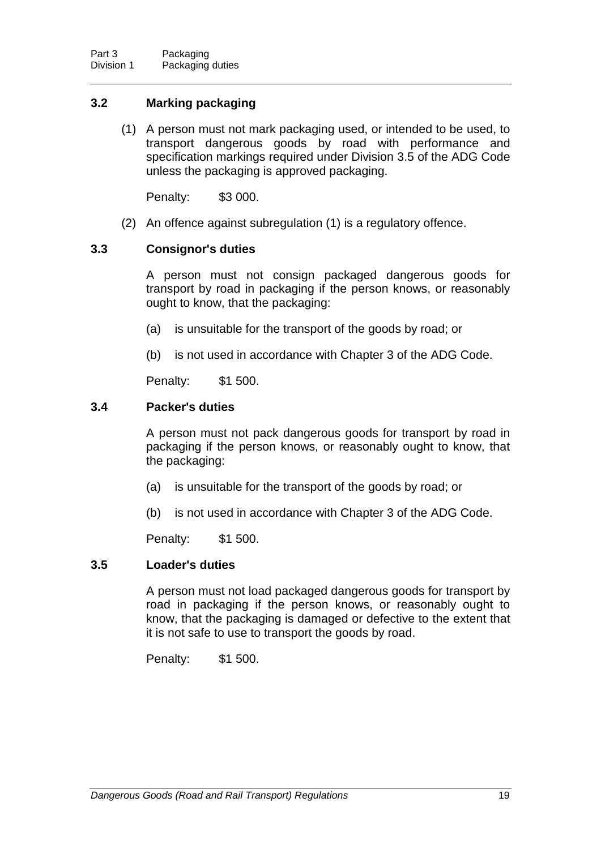### **3.2 Marking packaging**

(1) A person must not mark packaging used, or intended to be used, to transport dangerous goods by road with performance and specification markings required under Division 3.5 of the ADG Code unless the packaging is approved packaging.

Penalty: \$3 000.

(2) An offence against subregulation (1) is a regulatory offence.

### **3.3 Consignor's duties**

A person must not consign packaged dangerous goods for transport by road in packaging if the person knows, or reasonably ought to know, that the packaging:

- (a) is unsuitable for the transport of the goods by road; or
- (b) is not used in accordance with Chapter 3 of the ADG Code.

Penalty: \$1 500.

### **3.4 Packer's duties**

A person must not pack dangerous goods for transport by road in packaging if the person knows, or reasonably ought to know, that the packaging:

- (a) is unsuitable for the transport of the goods by road; or
- (b) is not used in accordance with Chapter 3 of the ADG Code.

Penalty: \$1 500.

### **3.5 Loader's duties**

A person must not load packaged dangerous goods for transport by road in packaging if the person knows, or reasonably ought to know, that the packaging is damaged or defective to the extent that it is not safe to use to transport the goods by road.

Penalty: \$1 500.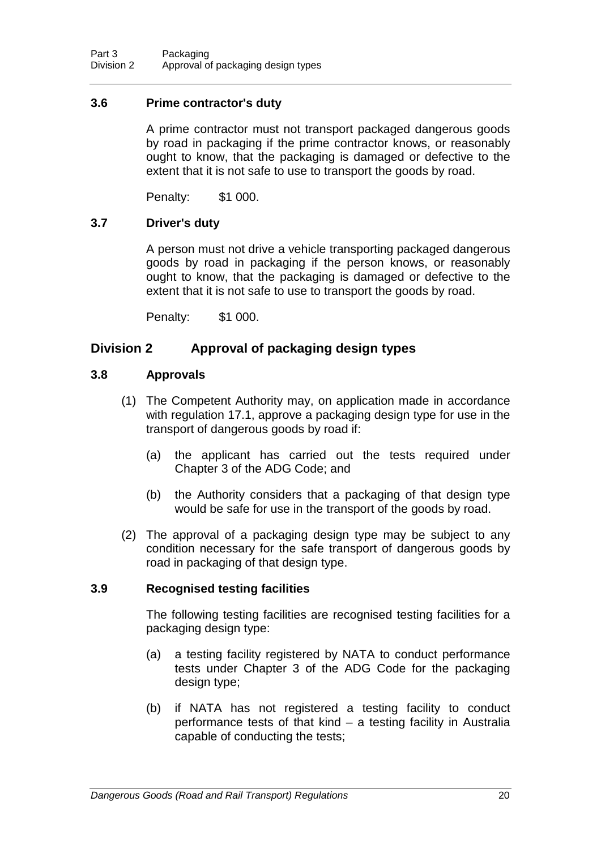### **3.6 Prime contractor's duty**

A prime contractor must not transport packaged dangerous goods by road in packaging if the prime contractor knows, or reasonably ought to know, that the packaging is damaged or defective to the extent that it is not safe to use to transport the goods by road.

Penalty: \$1 000.

### **3.7 Driver's duty**

A person must not drive a vehicle transporting packaged dangerous goods by road in packaging if the person knows, or reasonably ought to know, that the packaging is damaged or defective to the extent that it is not safe to use to transport the goods by road.

Penalty: \$1 000.

### **Division 2 Approval of packaging design types**

#### **3.8 Approvals**

- (1) The Competent Authority may, on application made in accordance with regulation 17.1, approve a packaging design type for use in the transport of dangerous goods by road if:
	- (a) the applicant has carried out the tests required under Chapter 3 of the ADG Code; and
	- (b) the Authority considers that a packaging of that design type would be safe for use in the transport of the goods by road.
- (2) The approval of a packaging design type may be subject to any condition necessary for the safe transport of dangerous goods by road in packaging of that design type.

### **3.9 Recognised testing facilities**

The following testing facilities are recognised testing facilities for a packaging design type:

- (a) a testing facility registered by NATA to conduct performance tests under Chapter 3 of the ADG Code for the packaging design type;
- (b) if NATA has not registered a testing facility to conduct performance tests of that kind – a testing facility in Australia capable of conducting the tests;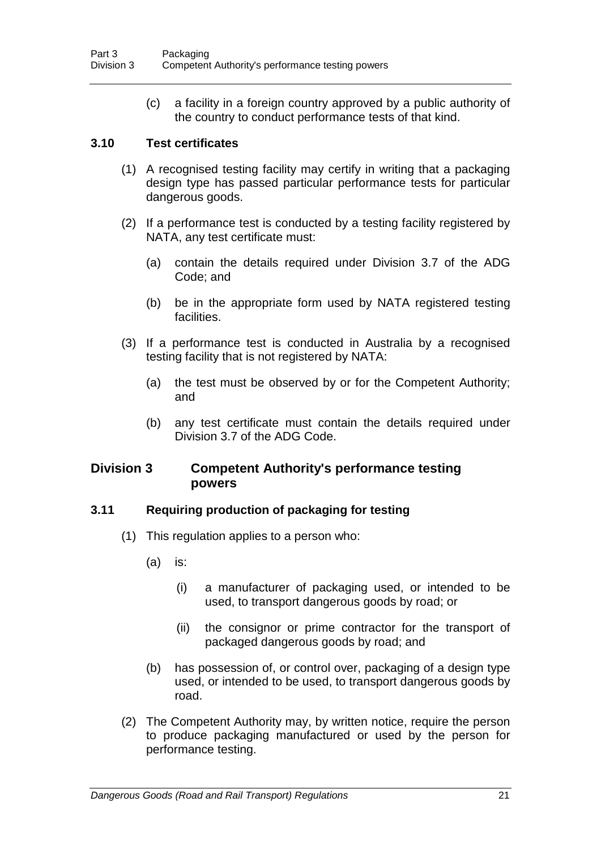(c) a facility in a foreign country approved by a public authority of the country to conduct performance tests of that kind.

### **3.10 Test certificates**

- (1) A recognised testing facility may certify in writing that a packaging design type has passed particular performance tests for particular dangerous goods.
- (2) If a performance test is conducted by a testing facility registered by NATA, any test certificate must:
	- (a) contain the details required under Division 3.7 of the ADG Code; and
	- (b) be in the appropriate form used by NATA registered testing facilities.
- (3) If a performance test is conducted in Australia by a recognised testing facility that is not registered by NATA:
	- (a) the test must be observed by or for the Competent Authority; and
	- (b) any test certificate must contain the details required under Division 3.7 of the ADG Code.

### **Division 3 Competent Authority's performance testing powers**

### **3.11 Requiring production of packaging for testing**

- (1) This regulation applies to a person who:
	- (a) is:
		- (i) a manufacturer of packaging used, or intended to be used, to transport dangerous goods by road; or
		- (ii) the consignor or prime contractor for the transport of packaged dangerous goods by road; and
	- (b) has possession of, or control over, packaging of a design type used, or intended to be used, to transport dangerous goods by road.
- (2) The Competent Authority may, by written notice, require the person to produce packaging manufactured or used by the person for performance testing.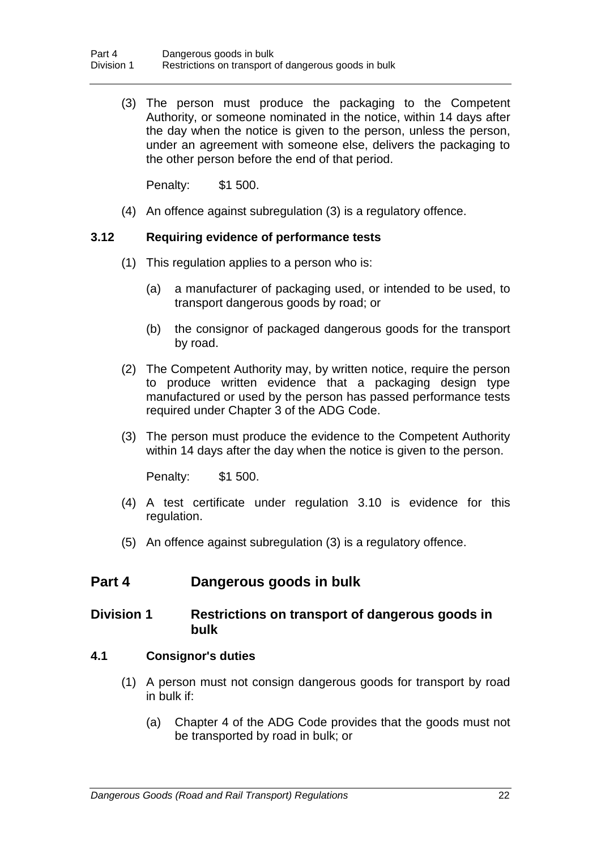(3) The person must produce the packaging to the Competent Authority, or someone nominated in the notice, within 14 days after the day when the notice is given to the person, unless the person, under an agreement with someone else, delivers the packaging to the other person before the end of that period.

Penalty: \$1 500.

(4) An offence against subregulation (3) is a regulatory offence.

### **3.12 Requiring evidence of performance tests**

- (1) This regulation applies to a person who is:
	- (a) a manufacturer of packaging used, or intended to be used, to transport dangerous goods by road; or
	- (b) the consignor of packaged dangerous goods for the transport by road.
- (2) The Competent Authority may, by written notice, require the person to produce written evidence that a packaging design type manufactured or used by the person has passed performance tests required under Chapter 3 of the ADG Code.
- (3) The person must produce the evidence to the Competent Authority within 14 days after the day when the notice is given to the person.

Penalty: \$1 500.

- (4) A test certificate under regulation 3.10 is evidence for this regulation.
- (5) An offence against subregulation (3) is a regulatory offence.

### **Part 4 Dangerous goods in bulk**

### **Division 1 Restrictions on transport of dangerous goods in bulk**

#### **4.1 Consignor's duties**

- (1) A person must not consign dangerous goods for transport by road in bulk if:
	- (a) Chapter 4 of the ADG Code provides that the goods must not be transported by road in bulk; or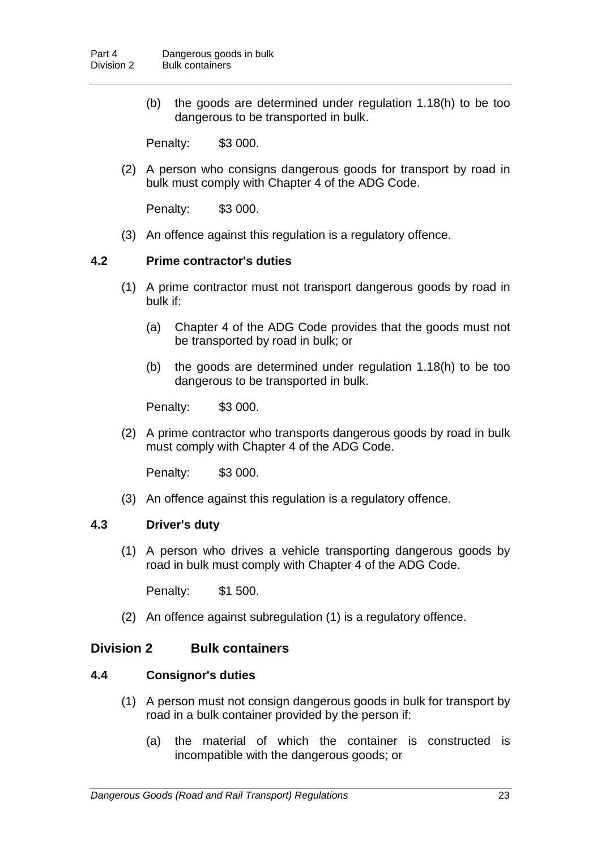(b) the goods are determined under regulation 1.18(h) to be too dangerous to be transported in bulk.

Penalty: \$3 000.

(2) A person who consigns dangerous goods for transport by road in bulk must comply with Chapter 4 of the ADG Code.

Penalty: \$3 000.

(3) An offence against this regulation is a regulatory offence.

#### **4.2 Prime contractor's duties**

- (1) A prime contractor must not transport dangerous goods by road in bulk if:
	- (a) Chapter 4 of the ADG Code provides that the goods must not be transported by road in bulk; or
	- (b) the goods are determined under regulation 1.18(h) to be too dangerous to be transported in bulk.

Penalty: \$3 000.

(2) A prime contractor who transports dangerous goods by road in bulk must comply with Chapter 4 of the ADG Code.

Penalty: \$3 000.

(3) An offence against this regulation is a regulatory offence.

#### **4.3 Driver's duty**

(1) A person who drives a vehicle transporting dangerous goods by road in bulk must comply with Chapter 4 of the ADG Code.

Penalty: \$1 500.

(2) An offence against subregulation (1) is a regulatory offence.

### **Division 2 Bulk containers**

### **4.4 Consignor's duties**

- (1) A person must not consign dangerous goods in bulk for transport by road in a bulk container provided by the person if:
	- (a) the material of which the container is constructed is incompatible with the dangerous goods; or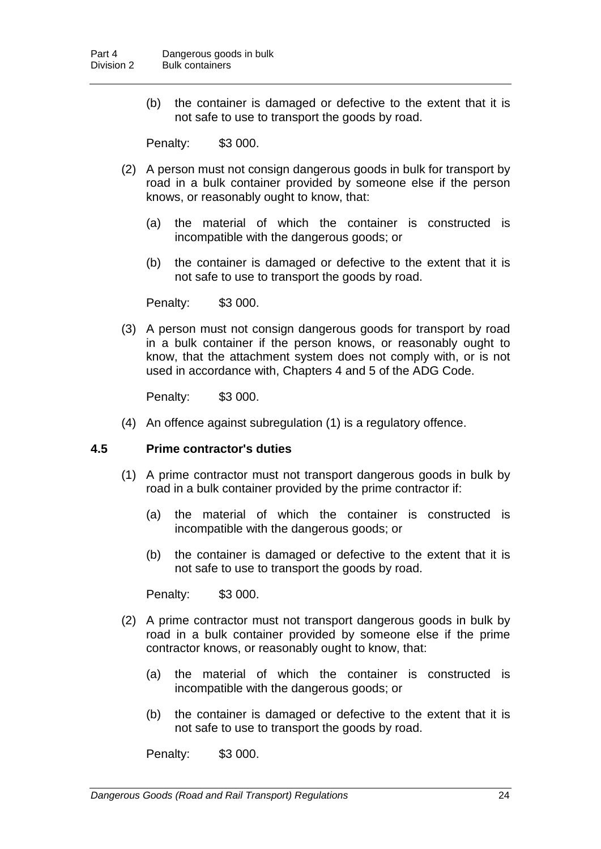(b) the container is damaged or defective to the extent that it is not safe to use to transport the goods by road.

Penalty: \$3 000.

- (2) A person must not consign dangerous goods in bulk for transport by road in a bulk container provided by someone else if the person knows, or reasonably ought to know, that:
	- (a) the material of which the container is constructed is incompatible with the dangerous goods; or
	- (b) the container is damaged or defective to the extent that it is not safe to use to transport the goods by road.

Penalty: \$3 000.

(3) A person must not consign dangerous goods for transport by road in a bulk container if the person knows, or reasonably ought to know, that the attachment system does not comply with, or is not used in accordance with, Chapters 4 and 5 of the ADG Code.

Penalty: \$3 000.

(4) An offence against subregulation (1) is a regulatory offence.

### **4.5 Prime contractor's duties**

- (1) A prime contractor must not transport dangerous goods in bulk by road in a bulk container provided by the prime contractor if:
	- (a) the material of which the container is constructed is incompatible with the dangerous goods; or
	- (b) the container is damaged or defective to the extent that it is not safe to use to transport the goods by road.

Penalty: \$3 000.

- (2) A prime contractor must not transport dangerous goods in bulk by road in a bulk container provided by someone else if the prime contractor knows, or reasonably ought to know, that:
	- (a) the material of which the container is constructed is incompatible with the dangerous goods; or
	- (b) the container is damaged or defective to the extent that it is not safe to use to transport the goods by road.

Penalty: \$3 000.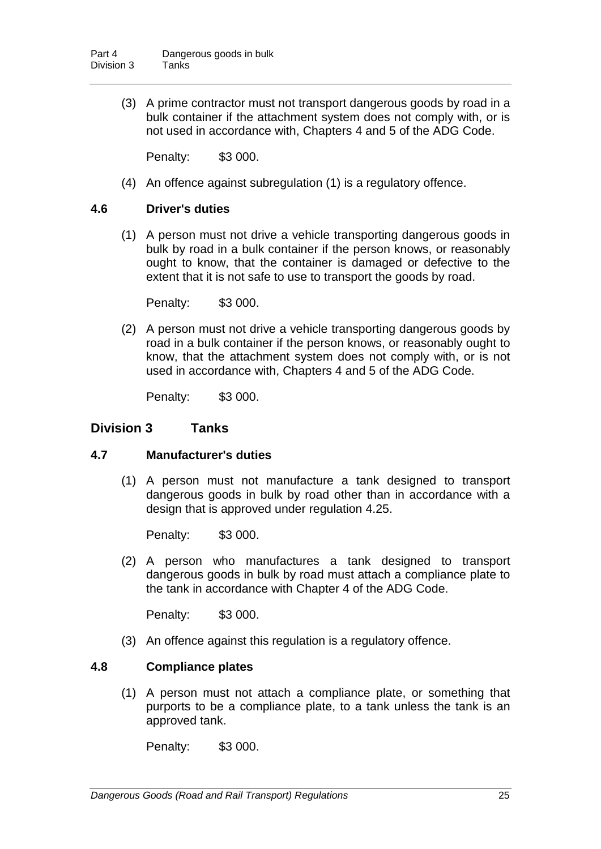(3) A prime contractor must not transport dangerous goods by road in a bulk container if the attachment system does not comply with, or is not used in accordance with, Chapters 4 and 5 of the ADG Code.

Penalty: \$3 000.

(4) An offence against subregulation (1) is a regulatory offence.

### **4.6 Driver's duties**

(1) A person must not drive a vehicle transporting dangerous goods in bulk by road in a bulk container if the person knows, or reasonably ought to know, that the container is damaged or defective to the extent that it is not safe to use to transport the goods by road.

Penalty: \$3 000.

(2) A person must not drive a vehicle transporting dangerous goods by road in a bulk container if the person knows, or reasonably ought to know, that the attachment system does not comply with, or is not used in accordance with, Chapters 4 and 5 of the ADG Code.

Penalty: \$3 000.

## **Division 3 Tanks**

#### **4.7 Manufacturer's duties**

(1) A person must not manufacture a tank designed to transport dangerous goods in bulk by road other than in accordance with a design that is approved under regulation 4.25.

Penalty: \$3 000.

(2) A person who manufactures a tank designed to transport dangerous goods in bulk by road must attach a compliance plate to the tank in accordance with Chapter 4 of the ADG Code.

Penalty: \$3 000.

(3) An offence against this regulation is a regulatory offence.

#### **4.8 Compliance plates**

(1) A person must not attach a compliance plate, or something that purports to be a compliance plate, to a tank unless the tank is an approved tank.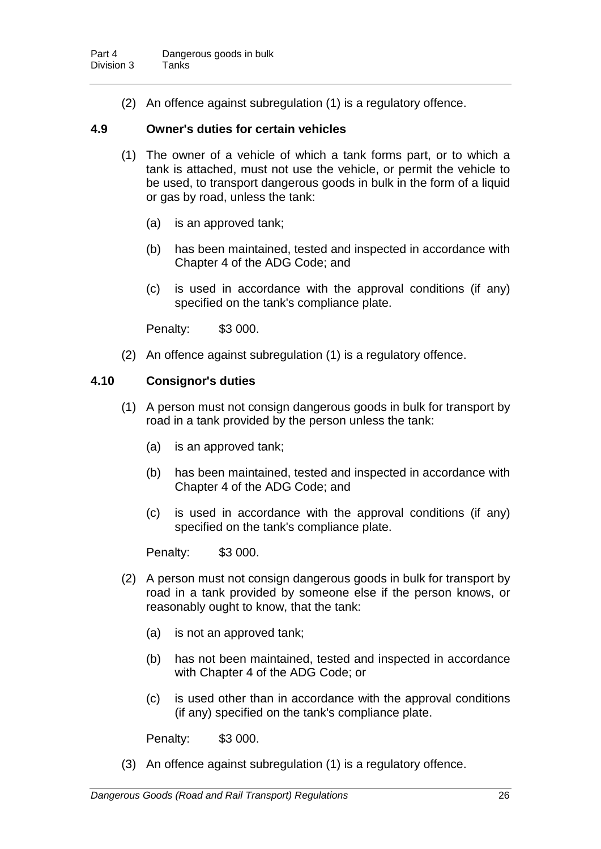(2) An offence against subregulation (1) is a regulatory offence.

### **4.9 Owner's duties for certain vehicles**

- (1) The owner of a vehicle of which a tank forms part, or to which a tank is attached, must not use the vehicle, or permit the vehicle to be used, to transport dangerous goods in bulk in the form of a liquid or gas by road, unless the tank:
	- (a) is an approved tank;
	- (b) has been maintained, tested and inspected in accordance with Chapter 4 of the ADG Code; and
	- (c) is used in accordance with the approval conditions (if any) specified on the tank's compliance plate.

Penalty: \$3 000.

(2) An offence against subregulation (1) is a regulatory offence.

### **4.10 Consignor's duties**

- (1) A person must not consign dangerous goods in bulk for transport by road in a tank provided by the person unless the tank:
	- (a) is an approved tank;
	- (b) has been maintained, tested and inspected in accordance with Chapter 4 of the ADG Code; and
	- (c) is used in accordance with the approval conditions (if any) specified on the tank's compliance plate.

Penalty: \$3 000.

- (2) A person must not consign dangerous goods in bulk for transport by road in a tank provided by someone else if the person knows, or reasonably ought to know, that the tank:
	- (a) is not an approved tank;
	- (b) has not been maintained, tested and inspected in accordance with Chapter 4 of the ADG Code; or
	- (c) is used other than in accordance with the approval conditions (if any) specified on the tank's compliance plate.

Penalty: \$3 000.

(3) An offence against subregulation (1) is a regulatory offence.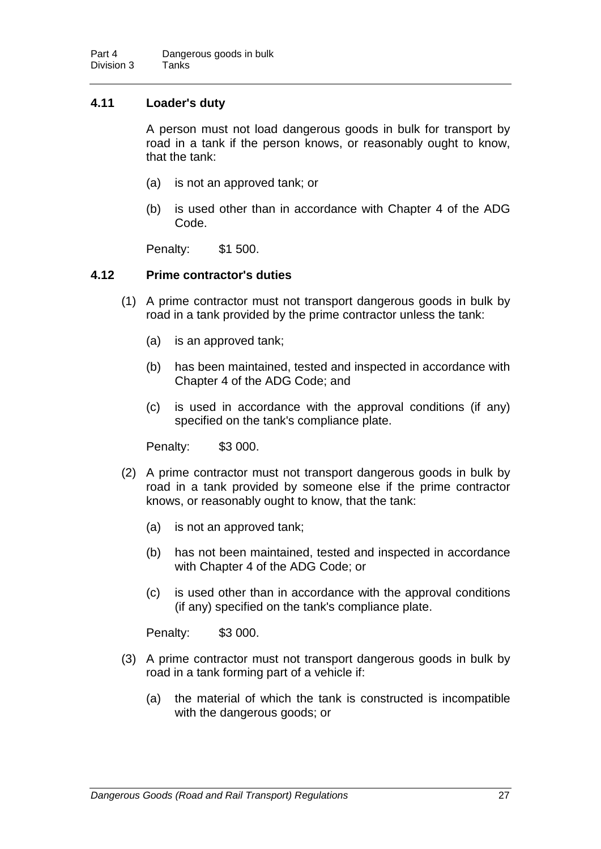## **4.11 Loader's duty**

A person must not load dangerous goods in bulk for transport by road in a tank if the person knows, or reasonably ought to know, that the tank:

- (a) is not an approved tank; or
- (b) is used other than in accordance with Chapter 4 of the ADG Code.

Penalty: \$1 500.

### **4.12 Prime contractor's duties**

- (1) A prime contractor must not transport dangerous goods in bulk by road in a tank provided by the prime contractor unless the tank:
	- (a) is an approved tank;
	- (b) has been maintained, tested and inspected in accordance with Chapter 4 of the ADG Code; and
	- (c) is used in accordance with the approval conditions (if any) specified on the tank's compliance plate.

Penalty: \$3 000.

- (2) A prime contractor must not transport dangerous goods in bulk by road in a tank provided by someone else if the prime contractor knows, or reasonably ought to know, that the tank:
	- (a) is not an approved tank;
	- (b) has not been maintained, tested and inspected in accordance with Chapter 4 of the ADG Code; or
	- (c) is used other than in accordance with the approval conditions (if any) specified on the tank's compliance plate.

- (3) A prime contractor must not transport dangerous goods in bulk by road in a tank forming part of a vehicle if:
	- (a) the material of which the tank is constructed is incompatible with the dangerous goods; or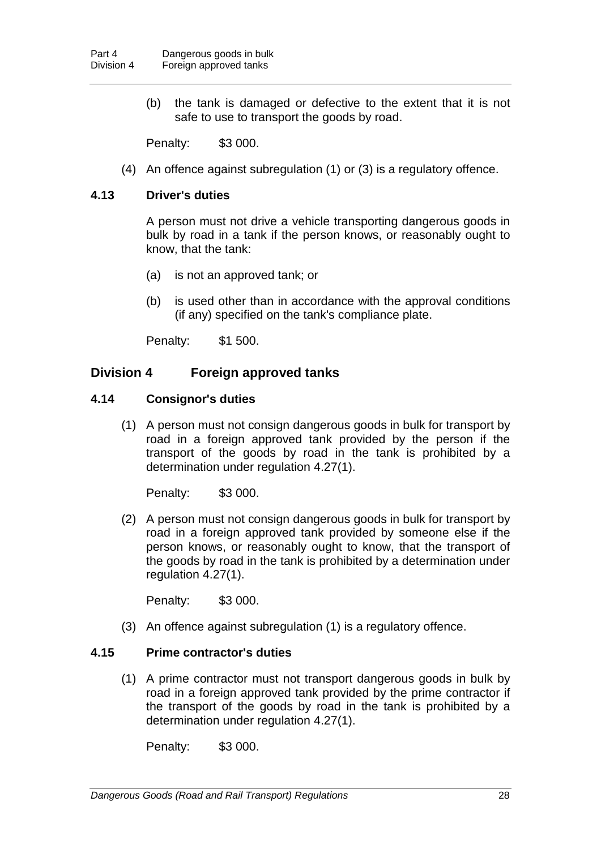(b) the tank is damaged or defective to the extent that it is not safe to use to transport the goods by road.

Penalty: \$3 000.

(4) An offence against subregulation (1) or (3) is a regulatory offence.

### **4.13 Driver's duties**

A person must not drive a vehicle transporting dangerous goods in bulk by road in a tank if the person knows, or reasonably ought to know, that the tank:

- (a) is not an approved tank; or
- (b) is used other than in accordance with the approval conditions (if any) specified on the tank's compliance plate.

Penalty: \$1 500.

## **Division 4 Foreign approved tanks**

#### **4.14 Consignor's duties**

(1) A person must not consign dangerous goods in bulk for transport by road in a foreign approved tank provided by the person if the transport of the goods by road in the tank is prohibited by a determination under regulation 4.27(1).

Penalty: \$3 000.

(2) A person must not consign dangerous goods in bulk for transport by road in a foreign approved tank provided by someone else if the person knows, or reasonably ought to know, that the transport of the goods by road in the tank is prohibited by a determination under regulation 4.27(1).

Penalty: \$3 000.

(3) An offence against subregulation (1) is a regulatory offence.

## **4.15 Prime contractor's duties**

(1) A prime contractor must not transport dangerous goods in bulk by road in a foreign approved tank provided by the prime contractor if the transport of the goods by road in the tank is prohibited by a determination under regulation 4.27(1).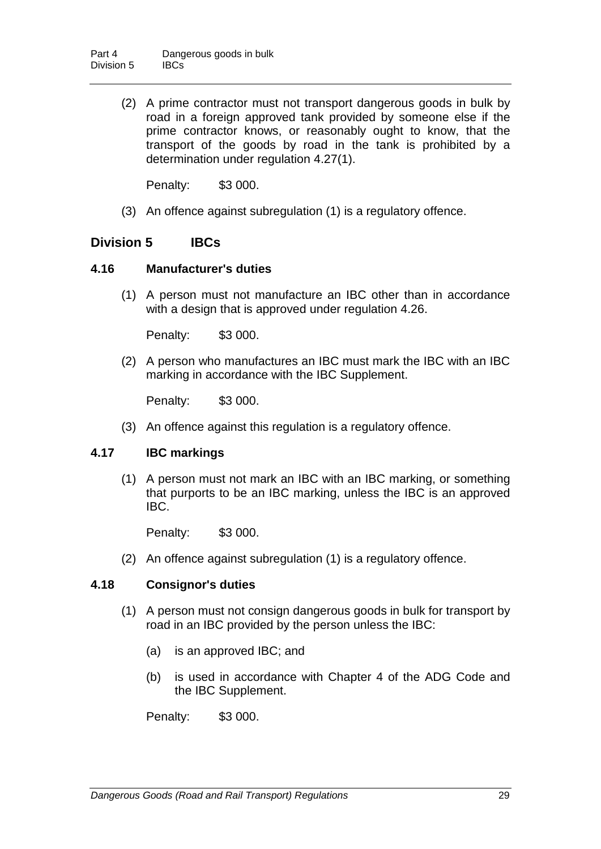(2) A prime contractor must not transport dangerous goods in bulk by road in a foreign approved tank provided by someone else if the prime contractor knows, or reasonably ought to know, that the transport of the goods by road in the tank is prohibited by a determination under regulation 4.27(1).

Penalty: \$3 000.

(3) An offence against subregulation (1) is a regulatory offence.

## **Division 5 IBCs**

## **4.16 Manufacturer's duties**

(1) A person must not manufacture an IBC other than in accordance with a design that is approved under regulation 4.26.

Penalty: \$3 000.

(2) A person who manufactures an IBC must mark the IBC with an IBC marking in accordance with the IBC Supplement.

Penalty: \$3 000.

(3) An offence against this regulation is a regulatory offence.

## **4.17 IBC markings**

(1) A person must not mark an IBC with an IBC marking, or something that purports to be an IBC marking, unless the IBC is an approved IBC.

Penalty: \$3 000.

(2) An offence against subregulation (1) is a regulatory offence.

## **4.18 Consignor's duties**

- (1) A person must not consign dangerous goods in bulk for transport by road in an IBC provided by the person unless the IBC:
	- (a) is an approved IBC; and
	- (b) is used in accordance with Chapter 4 of the ADG Code and the IBC Supplement.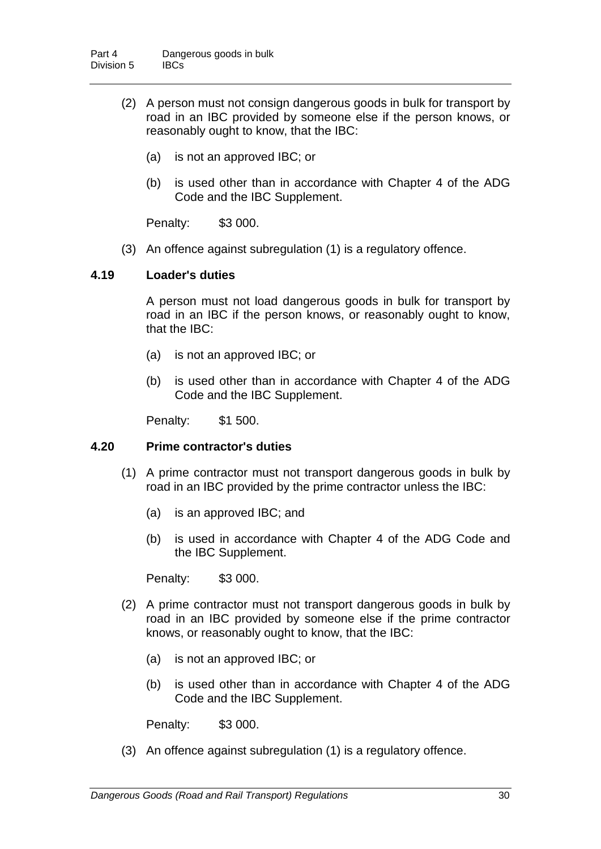- (2) A person must not consign dangerous goods in bulk for transport by road in an IBC provided by someone else if the person knows, or reasonably ought to know, that the IBC:
	- (a) is not an approved IBC; or
	- (b) is used other than in accordance with Chapter 4 of the ADG Code and the IBC Supplement.

Penalty: \$3 000.

(3) An offence against subregulation (1) is a regulatory offence.

### **4.19 Loader's duties**

A person must not load dangerous goods in bulk for transport by road in an IBC if the person knows, or reasonably ought to know, that the IBC:

- (a) is not an approved IBC; or
- (b) is used other than in accordance with Chapter 4 of the ADG Code and the IBC Supplement.

Penalty: \$1 500.

#### **4.20 Prime contractor's duties**

- (1) A prime contractor must not transport dangerous goods in bulk by road in an IBC provided by the prime contractor unless the IBC:
	- (a) is an approved IBC; and
	- (b) is used in accordance with Chapter 4 of the ADG Code and the IBC Supplement.

Penalty: \$3 000.

- (2) A prime contractor must not transport dangerous goods in bulk by road in an IBC provided by someone else if the prime contractor knows, or reasonably ought to know, that the IBC:
	- (a) is not an approved IBC; or
	- (b) is used other than in accordance with Chapter 4 of the ADG Code and the IBC Supplement.

Penalty: \$3 000.

(3) An offence against subregulation (1) is a regulatory offence.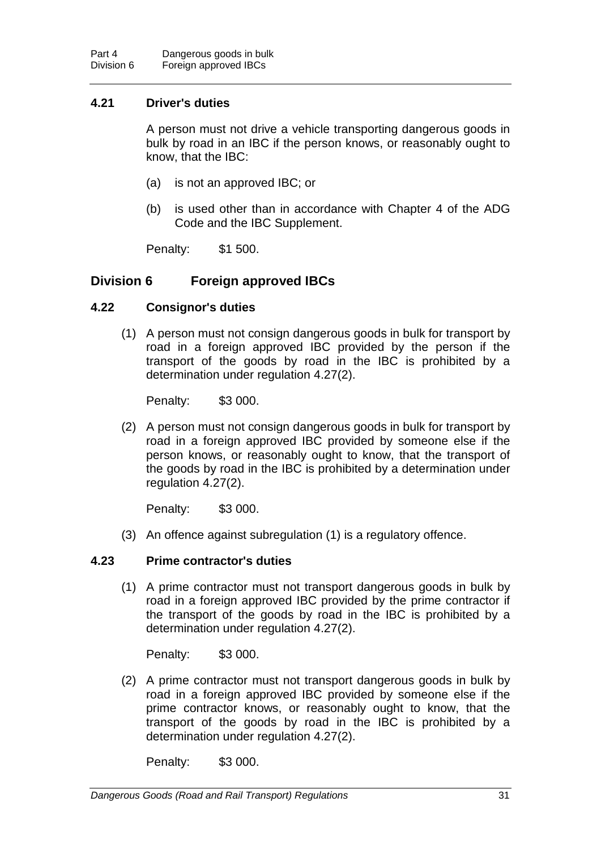## **4.21 Driver's duties**

A person must not drive a vehicle transporting dangerous goods in bulk by road in an IBC if the person knows, or reasonably ought to know, that the IBC:

- (a) is not an approved IBC; or
- (b) is used other than in accordance with Chapter 4 of the ADG Code and the IBC Supplement.

Penalty: \$1 500.

## **Division 6 Foreign approved IBCs**

## **4.22 Consignor's duties**

(1) A person must not consign dangerous goods in bulk for transport by road in a foreign approved IBC provided by the person if the transport of the goods by road in the IBC is prohibited by a determination under regulation 4.27(2).

Penalty: \$3 000.

(2) A person must not consign dangerous goods in bulk for transport by road in a foreign approved IBC provided by someone else if the person knows, or reasonably ought to know, that the transport of the goods by road in the IBC is prohibited by a determination under regulation 4.27(2).

Penalty: \$3 000.

(3) An offence against subregulation (1) is a regulatory offence.

## **4.23 Prime contractor's duties**

(1) A prime contractor must not transport dangerous goods in bulk by road in a foreign approved IBC provided by the prime contractor if the transport of the goods by road in the IBC is prohibited by a determination under regulation 4.27(2).

Penalty: \$3 000.

(2) A prime contractor must not transport dangerous goods in bulk by road in a foreign approved IBC provided by someone else if the prime contractor knows, or reasonably ought to know, that the transport of the goods by road in the IBC is prohibited by a determination under regulation 4.27(2).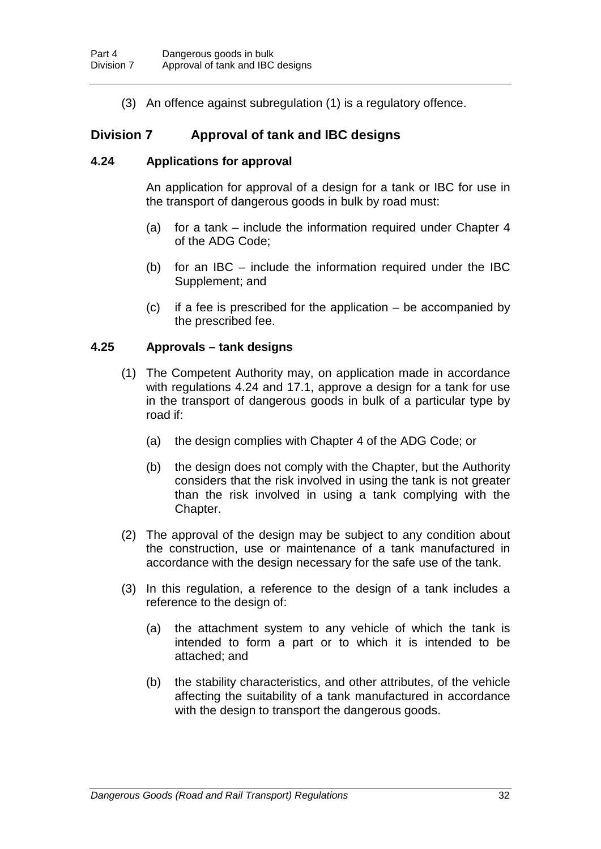(3) An offence against subregulation (1) is a regulatory offence.

# **Division 7 Approval of tank and IBC designs**

## **4.24 Applications for approval**

An application for approval of a design for a tank or IBC for use in the transport of dangerous goods in bulk by road must:

- (a) for a tank include the information required under Chapter 4 of the ADG Code;
- (b) for an IBC include the information required under the IBC Supplement; and
- (c) if a fee is prescribed for the application be accompanied by the prescribed fee.

## **4.25 Approvals – tank designs**

- (1) The Competent Authority may, on application made in accordance with regulations 4.24 and 17.1, approve a design for a tank for use in the transport of dangerous goods in bulk of a particular type by road if:
	- (a) the design complies with Chapter 4 of the ADG Code; or
	- (b) the design does not comply with the Chapter, but the Authority considers that the risk involved in using the tank is not greater than the risk involved in using a tank complying with the Chapter.
- (2) The approval of the design may be subject to any condition about the construction, use or maintenance of a tank manufactured in accordance with the design necessary for the safe use of the tank.
- (3) In this regulation, a reference to the design of a tank includes a reference to the design of:
	- (a) the attachment system to any vehicle of which the tank is intended to form a part or to which it is intended to be attached; and
	- (b) the stability characteristics, and other attributes, of the vehicle affecting the suitability of a tank manufactured in accordance with the design to transport the dangerous goods.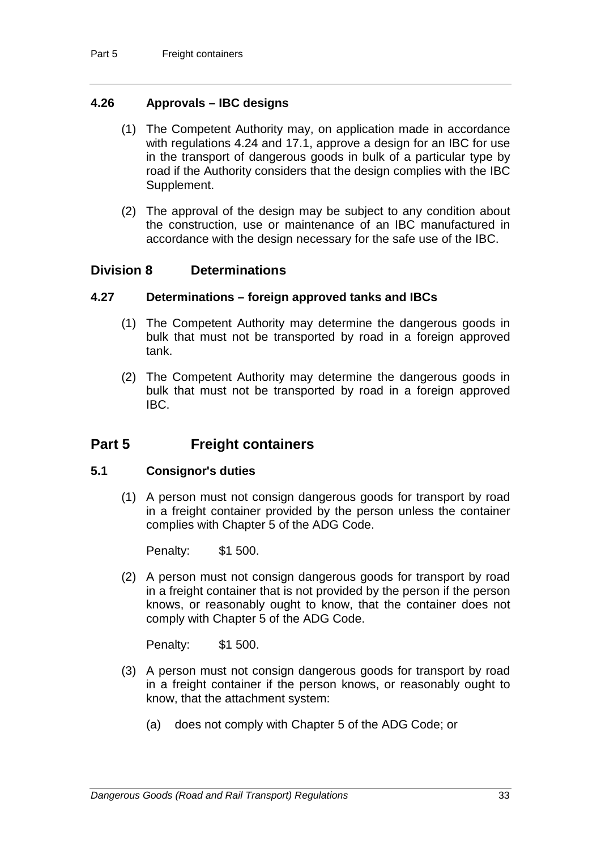## **4.26 Approvals – IBC designs**

- (1) The Competent Authority may, on application made in accordance with regulations 4.24 and 17.1, approve a design for an IBC for use in the transport of dangerous goods in bulk of a particular type by road if the Authority considers that the design complies with the IBC Supplement.
- (2) The approval of the design may be subject to any condition about the construction, use or maintenance of an IBC manufactured in accordance with the design necessary for the safe use of the IBC.

## **Division 8 Determinations**

#### **4.27 Determinations – foreign approved tanks and IBCs**

- (1) The Competent Authority may determine the dangerous goods in bulk that must not be transported by road in a foreign approved tank.
- (2) The Competent Authority may determine the dangerous goods in bulk that must not be transported by road in a foreign approved IBC.

# **Part 5 Freight containers**

#### **5.1 Consignor's duties**

(1) A person must not consign dangerous goods for transport by road in a freight container provided by the person unless the container complies with Chapter 5 of the ADG Code.

Penalty: \$1 500.

(2) A person must not consign dangerous goods for transport by road in a freight container that is not provided by the person if the person knows, or reasonably ought to know, that the container does not comply with Chapter 5 of the ADG Code.

Penalty: \$1 500.

- (3) A person must not consign dangerous goods for transport by road in a freight container if the person knows, or reasonably ought to know, that the attachment system:
	- (a) does not comply with Chapter 5 of the ADG Code; or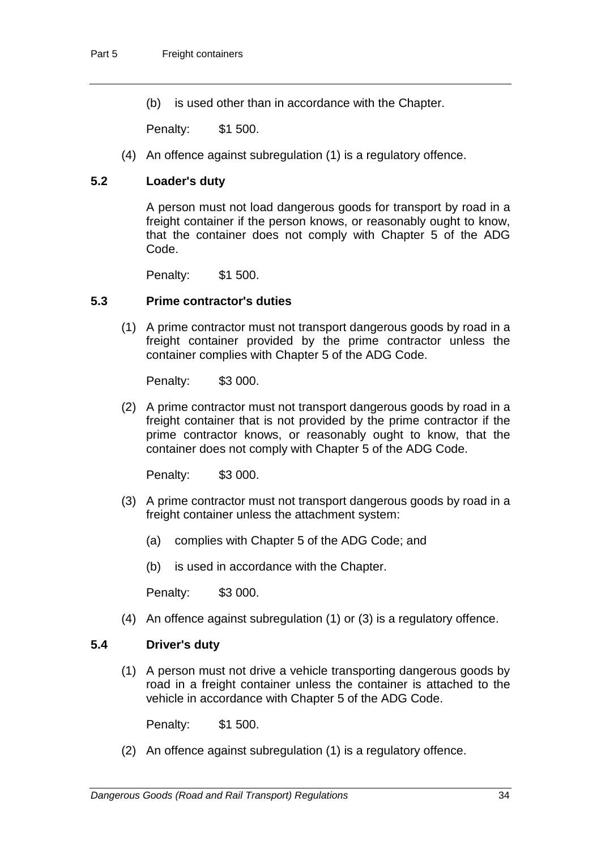(b) is used other than in accordance with the Chapter.

Penalty: \$1 500.

(4) An offence against subregulation (1) is a regulatory offence.

## **5.2 Loader's duty**

A person must not load dangerous goods for transport by road in a freight container if the person knows, or reasonably ought to know, that the container does not comply with Chapter 5 of the ADG Code.

Penalty: \$1 500.

#### **5.3 Prime contractor's duties**

(1) A prime contractor must not transport dangerous goods by road in a freight container provided by the prime contractor unless the container complies with Chapter 5 of the ADG Code.

Penalty: \$3 000.

(2) A prime contractor must not transport dangerous goods by road in a freight container that is not provided by the prime contractor if the prime contractor knows, or reasonably ought to know, that the container does not comply with Chapter 5 of the ADG Code.

Penalty: \$3 000.

- (3) A prime contractor must not transport dangerous goods by road in a freight container unless the attachment system:
	- (a) complies with Chapter 5 of the ADG Code; and
	- (b) is used in accordance with the Chapter.

Penalty: \$3 000.

(4) An offence against subregulation (1) or (3) is a regulatory offence.

#### **5.4 Driver's duty**

(1) A person must not drive a vehicle transporting dangerous goods by road in a freight container unless the container is attached to the vehicle in accordance with Chapter 5 of the ADG Code.

Penalty: \$1 500.

(2) An offence against subregulation (1) is a regulatory offence.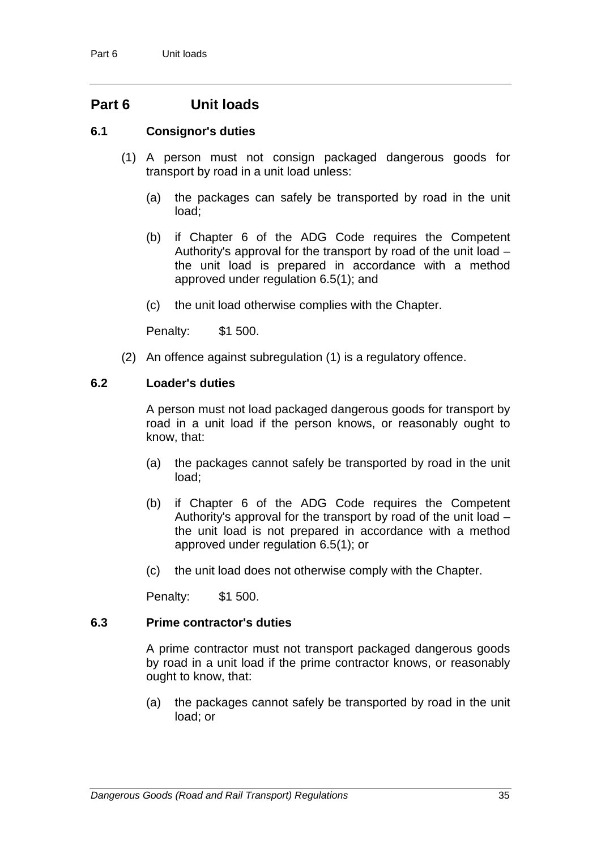# **Part 6 Unit loads**

### **6.1 Consignor's duties**

- (1) A person must not consign packaged dangerous goods for transport by road in a unit load unless:
	- (a) the packages can safely be transported by road in the unit load;
	- (b) if Chapter 6 of the ADG Code requires the Competent Authority's approval for the transport by road of the unit load – the unit load is prepared in accordance with a method approved under regulation 6.5(1); and
	- (c) the unit load otherwise complies with the Chapter.

Penalty: \$1 500.

(2) An offence against subregulation (1) is a regulatory offence.

### **6.2 Loader's duties**

A person must not load packaged dangerous goods for transport by road in a unit load if the person knows, or reasonably ought to know, that:

- (a) the packages cannot safely be transported by road in the unit load;
- (b) if Chapter 6 of the ADG Code requires the Competent Authority's approval for the transport by road of the unit load – the unit load is not prepared in accordance with a method approved under regulation 6.5(1); or
- (c) the unit load does not otherwise comply with the Chapter.

Penalty: \$1 500.

#### **6.3 Prime contractor's duties**

A prime contractor must not transport packaged dangerous goods by road in a unit load if the prime contractor knows, or reasonably ought to know, that:

(a) the packages cannot safely be transported by road in the unit load; or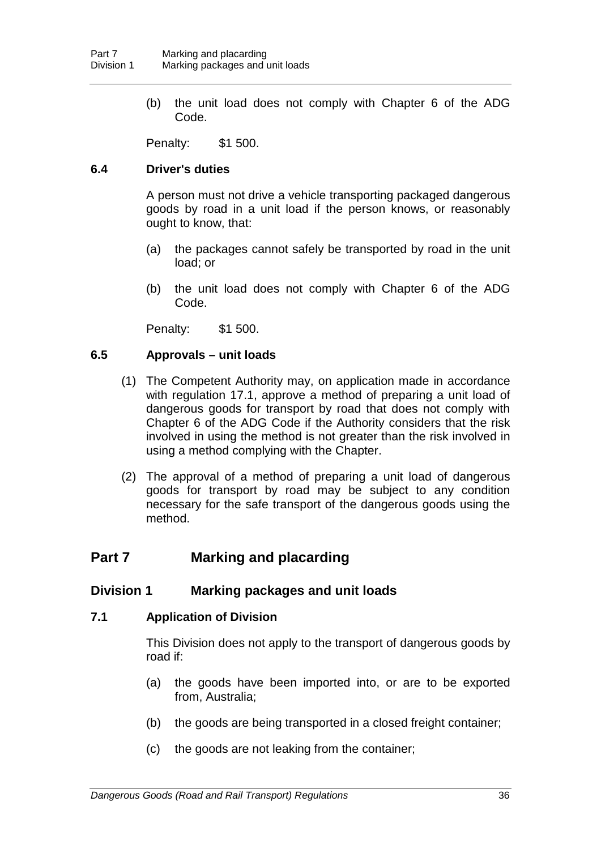(b) the unit load does not comply with Chapter 6 of the ADG Code.

Penalty: \$1 500.

### **6.4 Driver's duties**

A person must not drive a vehicle transporting packaged dangerous goods by road in a unit load if the person knows, or reasonably ought to know, that:

- (a) the packages cannot safely be transported by road in the unit load; or
- (b) the unit load does not comply with Chapter 6 of the ADG Code.

Penalty: \$1 500.

### **6.5 Approvals – unit loads**

- (1) The Competent Authority may, on application made in accordance with regulation 17.1, approve a method of preparing a unit load of dangerous goods for transport by road that does not comply with Chapter 6 of the ADG Code if the Authority considers that the risk involved in using the method is not greater than the risk involved in using a method complying with the Chapter.
- (2) The approval of a method of preparing a unit load of dangerous goods for transport by road may be subject to any condition necessary for the safe transport of the dangerous goods using the method.

# **Part 7 Marking and placarding**

## **Division 1 Marking packages and unit loads**

## **7.1 Application of Division**

This Division does not apply to the transport of dangerous goods by road if:

- (a) the goods have been imported into, or are to be exported from, Australia;
- (b) the goods are being transported in a closed freight container;
- (c) the goods are not leaking from the container;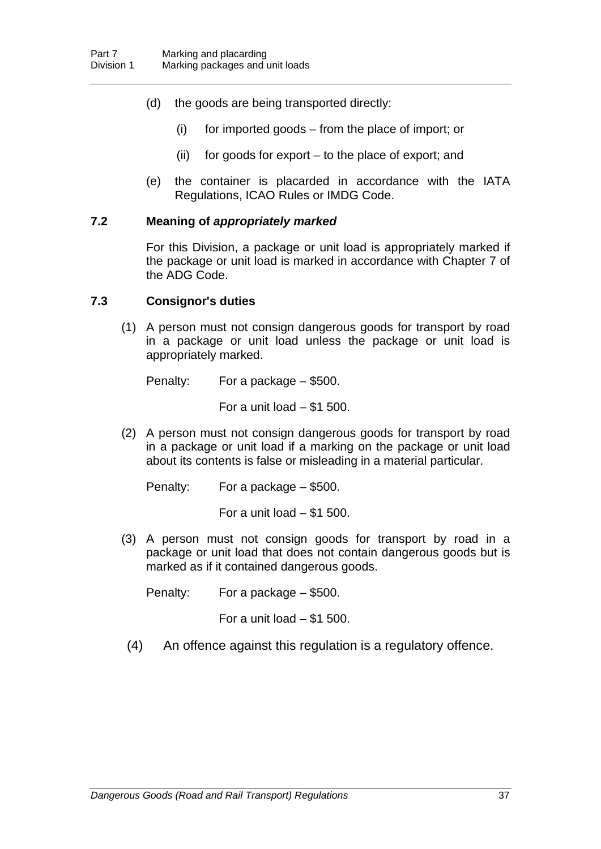- (d) the goods are being transported directly:
	- (i) for imported goods from the place of import; or
	- (ii) for goods for export to the place of export; and
- (e) the container is placarded in accordance with the IATA Regulations, ICAO Rules or IMDG Code.

### **7.2 Meaning of** *appropriately marked*

For this Division, a package or unit load is appropriately marked if the package or unit load is marked in accordance with Chapter 7 of the ADG Code.

#### **7.3 Consignor's duties**

(1) A person must not consign dangerous goods for transport by road in a package or unit load unless the package or unit load is appropriately marked.

Penalty: For a package – \$500.

For a unit load – \$1 500.

(2) A person must not consign dangerous goods for transport by road in a package or unit load if a marking on the package or unit load about its contents is false or misleading in a material particular.

Penalty: For a package – \$500.

For a unit load – \$1 500.

(3) A person must not consign goods for transport by road in a package or unit load that does not contain dangerous goods but is marked as if it contained dangerous goods.

Penalty: For a package – \$500.

For a unit load – \$1 500.

(4) An offence against this regulation is a regulatory offence.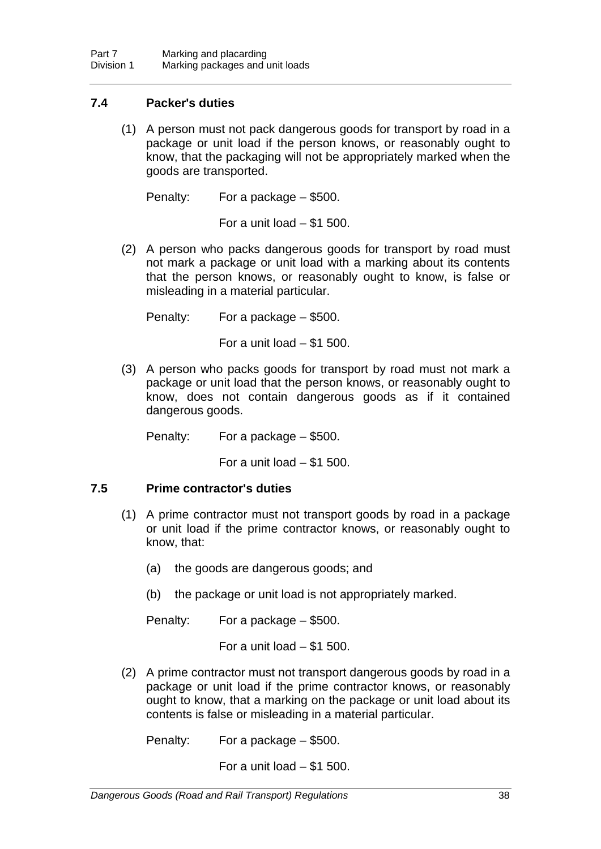## **7.4 Packer's duties**

(1) A person must not pack dangerous goods for transport by road in a package or unit load if the person knows, or reasonably ought to know, that the packaging will not be appropriately marked when the goods are transported.

Penalty: For a package – \$500.

For a unit load  $-$  \$1 500.

(2) A person who packs dangerous goods for transport by road must not mark a package or unit load with a marking about its contents that the person knows, or reasonably ought to know, is false or misleading in a material particular.

Penalty: For a package – \$500.

For a unit load  $-$  \$1 500.

(3) A person who packs goods for transport by road must not mark a package or unit load that the person knows, or reasonably ought to know, does not contain dangerous goods as if it contained dangerous goods.

Penalty: For a package – \$500.

For a unit load  $-$  \$1 500.

## **7.5 Prime contractor's duties**

- (1) A prime contractor must not transport goods by road in a package or unit load if the prime contractor knows, or reasonably ought to know, that:
	- (a) the goods are dangerous goods; and
	- (b) the package or unit load is not appropriately marked.

Penalty: For a package – \$500.

For a unit load  $-$  \$1 500.

(2) A prime contractor must not transport dangerous goods by road in a package or unit load if the prime contractor knows, or reasonably ought to know, that a marking on the package or unit load about its contents is false or misleading in a material particular.

Penalty: For a package – \$500.

For a unit load – \$1 500.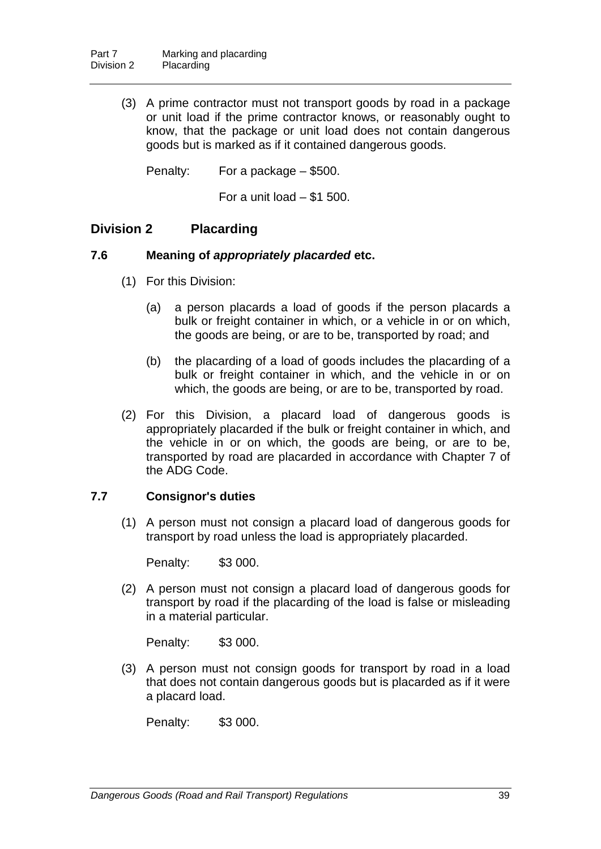(3) A prime contractor must not transport goods by road in a package or unit load if the prime contractor knows, or reasonably ought to know, that the package or unit load does not contain dangerous goods but is marked as if it contained dangerous goods.

Penalty: For a package – \$500.

For a unit load  $-$  \$1 500.

## **Division 2 Placarding**

### **7.6 Meaning of** *appropriately placarded* **etc.**

- (1) For this Division:
	- (a) a person placards a load of goods if the person placards a bulk or freight container in which, or a vehicle in or on which, the goods are being, or are to be, transported by road; and
	- (b) the placarding of a load of goods includes the placarding of a bulk or freight container in which, and the vehicle in or on which, the goods are being, or are to be, transported by road.
- (2) For this Division, a placard load of dangerous goods is appropriately placarded if the bulk or freight container in which, and the vehicle in or on which, the goods are being, or are to be, transported by road are placarded in accordance with Chapter 7 of the ADG Code.

## **7.7 Consignor's duties**

(1) A person must not consign a placard load of dangerous goods for transport by road unless the load is appropriately placarded.

Penalty: \$3 000.

(2) A person must not consign a placard load of dangerous goods for transport by road if the placarding of the load is false or misleading in a material particular.

Penalty: \$3 000.

(3) A person must not consign goods for transport by road in a load that does not contain dangerous goods but is placarded as if it were a placard load.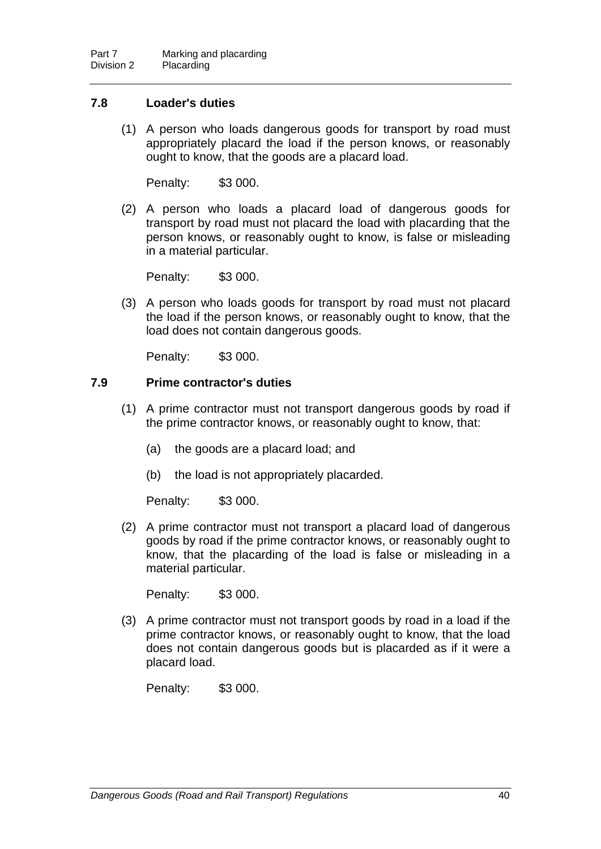## **7.8 Loader's duties**

(1) A person who loads dangerous goods for transport by road must appropriately placard the load if the person knows, or reasonably ought to know, that the goods are a placard load.

Penalty: \$3 000.

(2) A person who loads a placard load of dangerous goods for transport by road must not placard the load with placarding that the person knows, or reasonably ought to know, is false or misleading in a material particular.

Penalty: \$3 000.

(3) A person who loads goods for transport by road must not placard the load if the person knows, or reasonably ought to know, that the load does not contain dangerous goods.

Penalty: \$3 000.

## **7.9 Prime contractor's duties**

- (1) A prime contractor must not transport dangerous goods by road if the prime contractor knows, or reasonably ought to know, that:
	- (a) the goods are a placard load; and
	- (b) the load is not appropriately placarded.

Penalty: \$3 000.

(2) A prime contractor must not transport a placard load of dangerous goods by road if the prime contractor knows, or reasonably ought to know, that the placarding of the load is false or misleading in a material particular.

Penalty: \$3 000.

(3) A prime contractor must not transport goods by road in a load if the prime contractor knows, or reasonably ought to know, that the load does not contain dangerous goods but is placarded as if it were a placard load.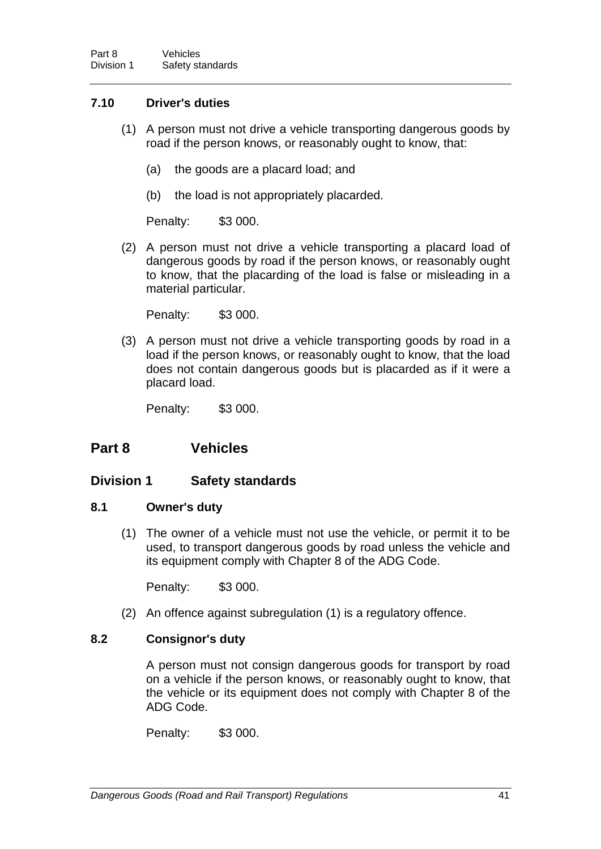## **7.10 Driver's duties**

- (1) A person must not drive a vehicle transporting dangerous goods by road if the person knows, or reasonably ought to know, that:
	- (a) the goods are a placard load; and
	- (b) the load is not appropriately placarded.

Penalty: \$3 000.

(2) A person must not drive a vehicle transporting a placard load of dangerous goods by road if the person knows, or reasonably ought to know, that the placarding of the load is false or misleading in a material particular.

Penalty: \$3 000.

(3) A person must not drive a vehicle transporting goods by road in a load if the person knows, or reasonably ought to know, that the load does not contain dangerous goods but is placarded as if it were a placard load.

Penalty: \$3 000.

# **Part 8 Vehicles**

## **Division 1 Safety standards**

#### **8.1 Owner's duty**

(1) The owner of a vehicle must not use the vehicle, or permit it to be used, to transport dangerous goods by road unless the vehicle and its equipment comply with Chapter 8 of the ADG Code.

Penalty: \$3 000.

(2) An offence against subregulation (1) is a regulatory offence.

## **8.2 Consignor's duty**

A person must not consign dangerous goods for transport by road on a vehicle if the person knows, or reasonably ought to know, that the vehicle or its equipment does not comply with Chapter 8 of the ADG Code.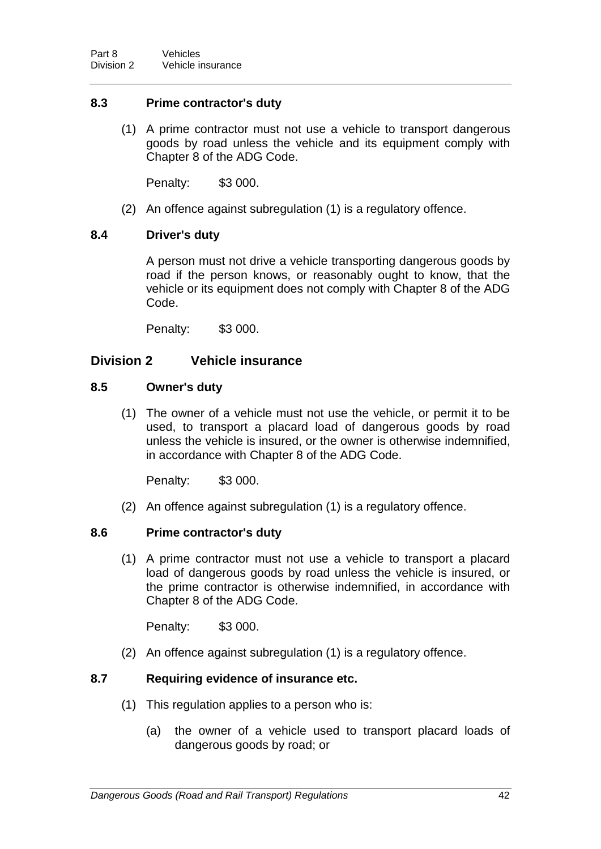## **8.3 Prime contractor's duty**

(1) A prime contractor must not use a vehicle to transport dangerous goods by road unless the vehicle and its equipment comply with Chapter 8 of the ADG Code.

Penalty: \$3 000.

(2) An offence against subregulation (1) is a regulatory offence.

## **8.4 Driver's duty**

A person must not drive a vehicle transporting dangerous goods by road if the person knows, or reasonably ought to know, that the vehicle or its equipment does not comply with Chapter 8 of the ADG Code.

Penalty: \$3 000.

## **Division 2 Vehicle insurance**

## **8.5 Owner's duty**

(1) The owner of a vehicle must not use the vehicle, or permit it to be used, to transport a placard load of dangerous goods by road unless the vehicle is insured, or the owner is otherwise indemnified, in accordance with Chapter 8 of the ADG Code.

Penalty: \$3 000.

(2) An offence against subregulation (1) is a regulatory offence.

## **8.6 Prime contractor's duty**

(1) A prime contractor must not use a vehicle to transport a placard load of dangerous goods by road unless the vehicle is insured, or the prime contractor is otherwise indemnified, in accordance with Chapter 8 of the ADG Code.

Penalty: \$3 000.

(2) An offence against subregulation (1) is a regulatory offence.

## **8.7 Requiring evidence of insurance etc.**

- (1) This regulation applies to a person who is:
	- (a) the owner of a vehicle used to transport placard loads of dangerous goods by road; or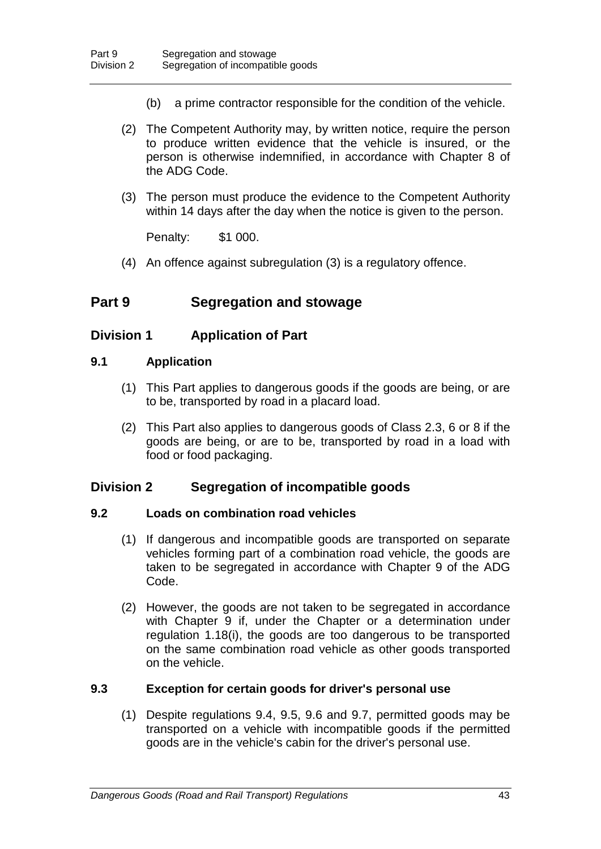- (b) a prime contractor responsible for the condition of the vehicle.
- (2) The Competent Authority may, by written notice, require the person to produce written evidence that the vehicle is insured, or the person is otherwise indemnified, in accordance with Chapter 8 of the ADG Code.
- (3) The person must produce the evidence to the Competent Authority within 14 days after the day when the notice is given to the person.

Penalty: \$1 000.

(4) An offence against subregulation (3) is a regulatory offence.

# **Part 9 Segregation and stowage**

## **Division 1 Application of Part**

## **9.1 Application**

- (1) This Part applies to dangerous goods if the goods are being, or are to be, transported by road in a placard load.
- (2) This Part also applies to dangerous goods of Class 2.3, 6 or 8 if the goods are being, or are to be, transported by road in a load with food or food packaging.

## **Division 2 Segregation of incompatible goods**

## **9.2 Loads on combination road vehicles**

- (1) If dangerous and incompatible goods are transported on separate vehicles forming part of a combination road vehicle, the goods are taken to be segregated in accordance with Chapter 9 of the ADG Code.
- (2) However, the goods are not taken to be segregated in accordance with Chapter 9 if, under the Chapter or a determination under regulation 1.18(i), the goods are too dangerous to be transported on the same combination road vehicle as other goods transported on the vehicle.

## **9.3 Exception for certain goods for driver's personal use**

(1) Despite regulations 9.4, 9.5, 9.6 and 9.7, permitted goods may be transported on a vehicle with incompatible goods if the permitted goods are in the vehicle's cabin for the driver's personal use.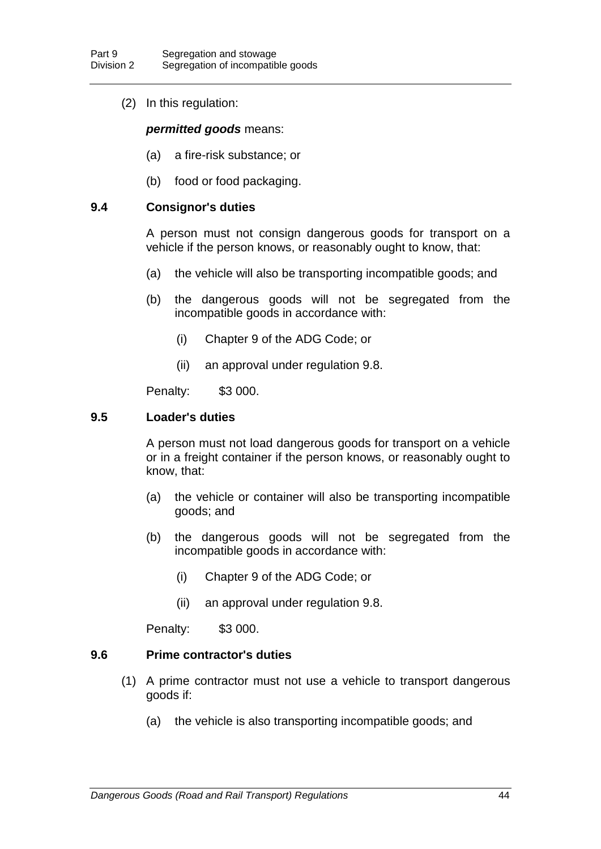(2) In this regulation:

#### *permitted goods* means:

- (a) a fire-risk substance; or
- (b) food or food packaging.

#### **9.4 Consignor's duties**

A person must not consign dangerous goods for transport on a vehicle if the person knows, or reasonably ought to know, that:

- (a) the vehicle will also be transporting incompatible goods; and
- (b) the dangerous goods will not be segregated from the incompatible goods in accordance with:
	- (i) Chapter 9 of the ADG Code; or
	- (ii) an approval under regulation 9.8.

Penalty: \$3 000.

#### **9.5 Loader's duties**

A person must not load dangerous goods for transport on a vehicle or in a freight container if the person knows, or reasonably ought to know, that:

- (a) the vehicle or container will also be transporting incompatible goods; and
- (b) the dangerous goods will not be segregated from the incompatible goods in accordance with:
	- (i) Chapter 9 of the ADG Code; or
	- (ii) an approval under regulation 9.8.

Penalty: \$3 000.

#### **9.6 Prime contractor's duties**

- (1) A prime contractor must not use a vehicle to transport dangerous goods if:
	- (a) the vehicle is also transporting incompatible goods; and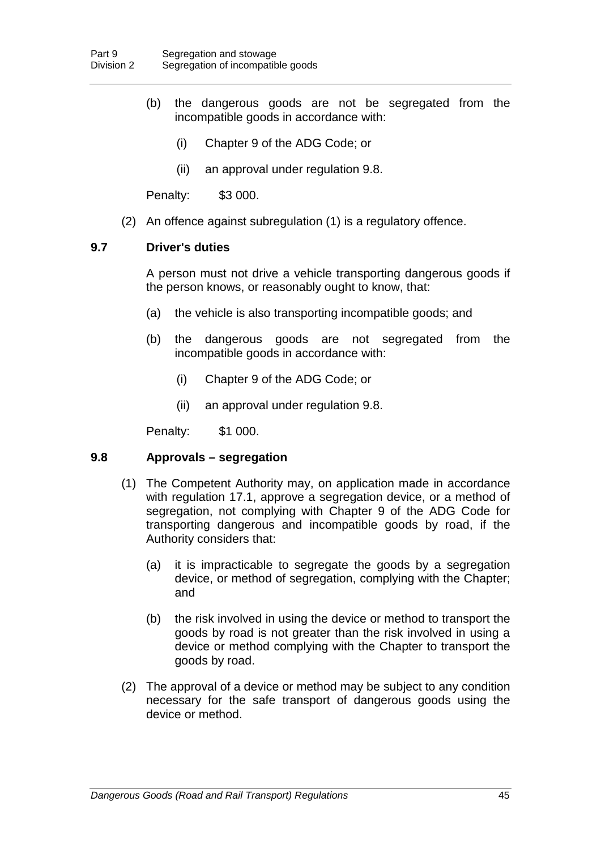- (b) the dangerous goods are not be segregated from the incompatible goods in accordance with:
	- (i) Chapter 9 of the ADG Code; or
	- (ii) an approval under regulation 9.8.

Penalty: \$3 000.

(2) An offence against subregulation (1) is a regulatory offence.

### **9.7 Driver's duties**

A person must not drive a vehicle transporting dangerous goods if the person knows, or reasonably ought to know, that:

- (a) the vehicle is also transporting incompatible goods; and
- (b) the dangerous goods are not segregated from the incompatible goods in accordance with:
	- (i) Chapter 9 of the ADG Code; or
	- (ii) an approval under regulation 9.8.

Penalty: \$1 000.

#### **9.8 Approvals – segregation**

- (1) The Competent Authority may, on application made in accordance with regulation 17.1, approve a segregation device, or a method of segregation, not complying with Chapter 9 of the ADG Code for transporting dangerous and incompatible goods by road, if the Authority considers that:
	- (a) it is impracticable to segregate the goods by a segregation device, or method of segregation, complying with the Chapter; and
	- (b) the risk involved in using the device or method to transport the goods by road is not greater than the risk involved in using a device or method complying with the Chapter to transport the goods by road.
- (2) The approval of a device or method may be subject to any condition necessary for the safe transport of dangerous goods using the device or method.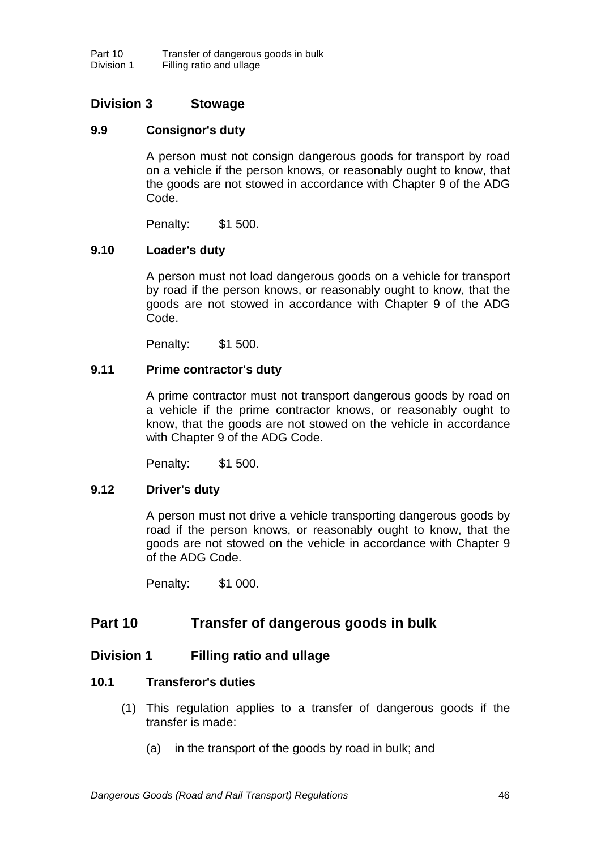## **Division 3 Stowage**

## **9.9 Consignor's duty**

A person must not consign dangerous goods for transport by road on a vehicle if the person knows, or reasonably ought to know, that the goods are not stowed in accordance with Chapter 9 of the ADG Code.

Penalty: \$1 500.

## **9.10 Loader's duty**

A person must not load dangerous goods on a vehicle for transport by road if the person knows, or reasonably ought to know, that the goods are not stowed in accordance with Chapter 9 of the ADG Code.

Penalty: \$1 500.

## **9.11 Prime contractor's duty**

A prime contractor must not transport dangerous goods by road on a vehicle if the prime contractor knows, or reasonably ought to know, that the goods are not stowed on the vehicle in accordance with Chapter 9 of the ADG Code.

Penalty: \$1 500.

## **9.12 Driver's duty**

A person must not drive a vehicle transporting dangerous goods by road if the person knows, or reasonably ought to know, that the goods are not stowed on the vehicle in accordance with Chapter 9 of the ADG Code.

Penalty: \$1 000.

# **Part 10 Transfer of dangerous goods in bulk**

## **Division 1 Filling ratio and ullage**

## **10.1 Transferor's duties**

- (1) This regulation applies to a transfer of dangerous goods if the transfer is made:
	- (a) in the transport of the goods by road in bulk; and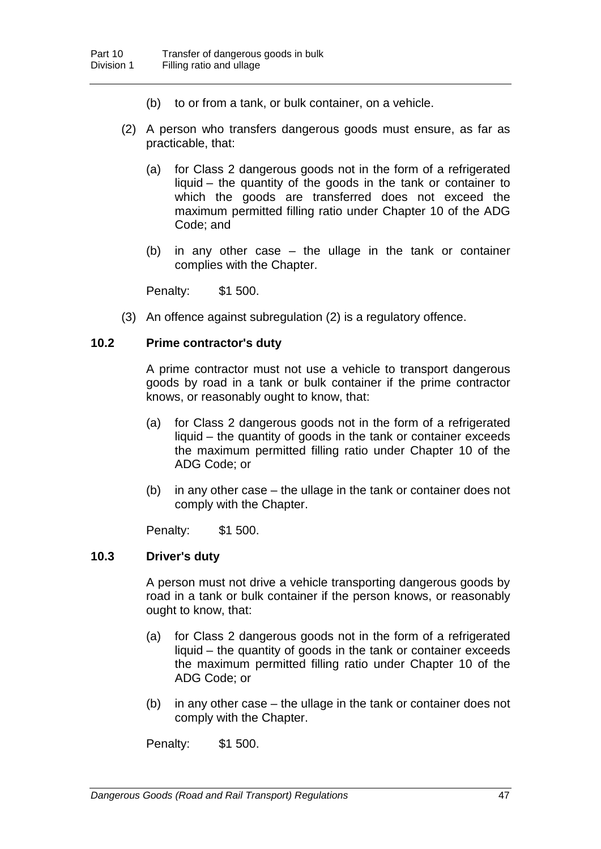- (b) to or from a tank, or bulk container, on a vehicle.
- (2) A person who transfers dangerous goods must ensure, as far as practicable, that:
	- (a) for Class 2 dangerous goods not in the form of a refrigerated liquid – the quantity of the goods in the tank or container to which the goods are transferred does not exceed the maximum permitted filling ratio under Chapter 10 of the ADG Code; and
	- (b) in any other case the ullage in the tank or container complies with the Chapter.

Penalty: \$1 500.

(3) An offence against subregulation (2) is a regulatory offence.

#### **10.2 Prime contractor's duty**

A prime contractor must not use a vehicle to transport dangerous goods by road in a tank or bulk container if the prime contractor knows, or reasonably ought to know, that:

- (a) for Class 2 dangerous goods not in the form of a refrigerated liquid – the quantity of goods in the tank or container exceeds the maximum permitted filling ratio under Chapter 10 of the ADG Code; or
- (b) in any other case the ullage in the tank or container does not comply with the Chapter.

Penalty: \$1 500.

### **10.3 Driver's duty**

A person must not drive a vehicle transporting dangerous goods by road in a tank or bulk container if the person knows, or reasonably ought to know, that:

- (a) for Class 2 dangerous goods not in the form of a refrigerated liquid – the quantity of goods in the tank or container exceeds the maximum permitted filling ratio under Chapter 10 of the ADG Code; or
- (b) in any other case the ullage in the tank or container does not comply with the Chapter.

Penalty: \$1 500.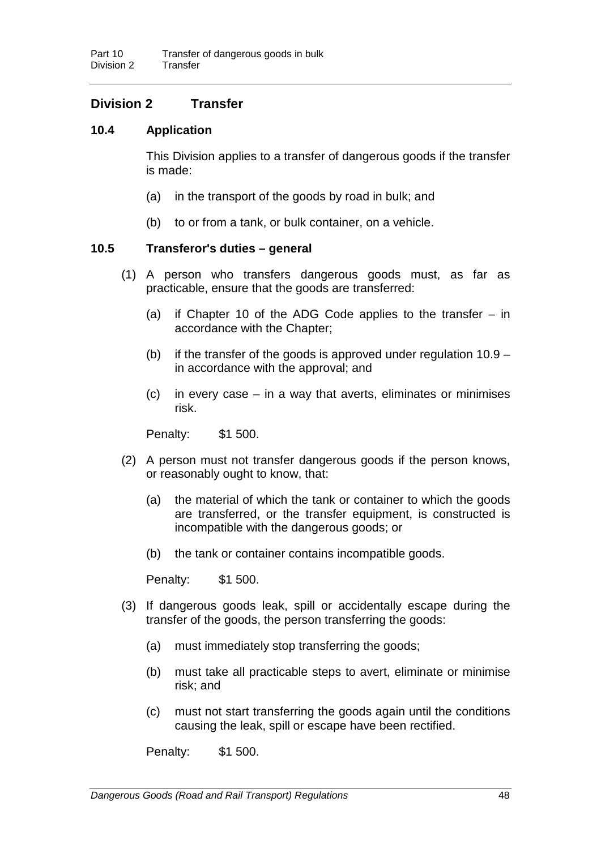# **Division 2 Transfer**

## **10.4 Application**

This Division applies to a transfer of dangerous goods if the transfer is made:

- (a) in the transport of the goods by road in bulk; and
- (b) to or from a tank, or bulk container, on a vehicle.

## **10.5 Transferor's duties – general**

- (1) A person who transfers dangerous goods must, as far as practicable, ensure that the goods are transferred:
	- (a) if Chapter 10 of the ADG Code applies to the transfer in accordance with the Chapter;
	- (b) if the transfer of the goods is approved under regulation  $10.9$ in accordance with the approval; and
	- (c) in every case in a way that averts, eliminates or minimises risk.

Penalty: \$1 500.

- (2) A person must not transfer dangerous goods if the person knows, or reasonably ought to know, that:
	- (a) the material of which the tank or container to which the goods are transferred, or the transfer equipment, is constructed is incompatible with the dangerous goods; or
	- (b) the tank or container contains incompatible goods.

Penalty: \$1 500.

- (3) If dangerous goods leak, spill or accidentally escape during the transfer of the goods, the person transferring the goods:
	- (a) must immediately stop transferring the goods;
	- (b) must take all practicable steps to avert, eliminate or minimise risk; and
	- (c) must not start transferring the goods again until the conditions causing the leak, spill or escape have been rectified.

Penalty: \$1 500.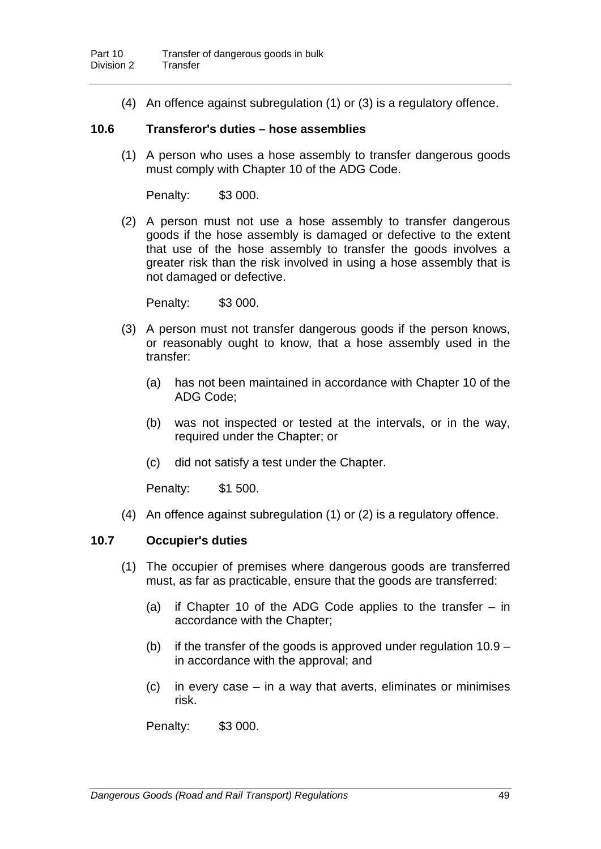(4) An offence against subregulation (1) or (3) is a regulatory offence.

### **10.6 Transferor's duties – hose assemblies**

(1) A person who uses a hose assembly to transfer dangerous goods must comply with Chapter 10 of the ADG Code.

Penalty: \$3 000.

(2) A person must not use a hose assembly to transfer dangerous goods if the hose assembly is damaged or defective to the extent that use of the hose assembly to transfer the goods involves a greater risk than the risk involved in using a hose assembly that is not damaged or defective.

Penalty: \$3 000.

- (3) A person must not transfer dangerous goods if the person knows, or reasonably ought to know, that a hose assembly used in the transfer:
	- (a) has not been maintained in accordance with Chapter 10 of the ADG Code;
	- (b) was not inspected or tested at the intervals, or in the way, required under the Chapter; or
	- (c) did not satisfy a test under the Chapter.

Penalty: \$1 500.

(4) An offence against subregulation (1) or (2) is a regulatory offence.

## **10.7 Occupier's duties**

- (1) The occupier of premises where dangerous goods are transferred must, as far as practicable, ensure that the goods are transferred:
	- (a) if Chapter 10 of the ADG Code applies to the transfer  $-$  in accordance with the Chapter;
	- (b) if the transfer of the goods is approved under regulation  $10.9$ in accordance with the approval; and
	- (c) in every case in a way that averts, eliminates or minimises risk.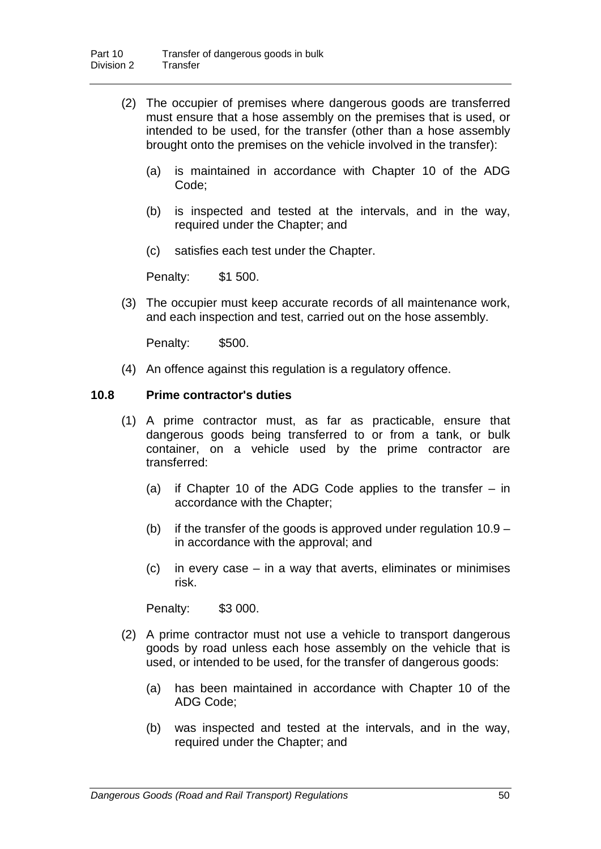- (2) The occupier of premises where dangerous goods are transferred must ensure that a hose assembly on the premises that is used, or intended to be used, for the transfer (other than a hose assembly brought onto the premises on the vehicle involved in the transfer):
	- (a) is maintained in accordance with Chapter 10 of the ADG Code;
	- (b) is inspected and tested at the intervals, and in the way, required under the Chapter; and
	- (c) satisfies each test under the Chapter.

Penalty: \$1 500.

(3) The occupier must keep accurate records of all maintenance work, and each inspection and test, carried out on the hose assembly.

Penalty: \$500.

(4) An offence against this regulation is a regulatory offence.

### **10.8 Prime contractor's duties**

- (1) A prime contractor must, as far as practicable, ensure that dangerous goods being transferred to or from a tank, or bulk container, on a vehicle used by the prime contractor are transferred:
	- (a) if Chapter 10 of the ADG Code applies to the transfer in accordance with the Chapter;
	- (b) if the transfer of the goods is approved under regulation  $10.9$ in accordance with the approval; and
	- (c) in every case in a way that averts, eliminates or minimises risk.

- (2) A prime contractor must not use a vehicle to transport dangerous goods by road unless each hose assembly on the vehicle that is used, or intended to be used, for the transfer of dangerous goods:
	- (a) has been maintained in accordance with Chapter 10 of the ADG Code;
	- (b) was inspected and tested at the intervals, and in the way, required under the Chapter; and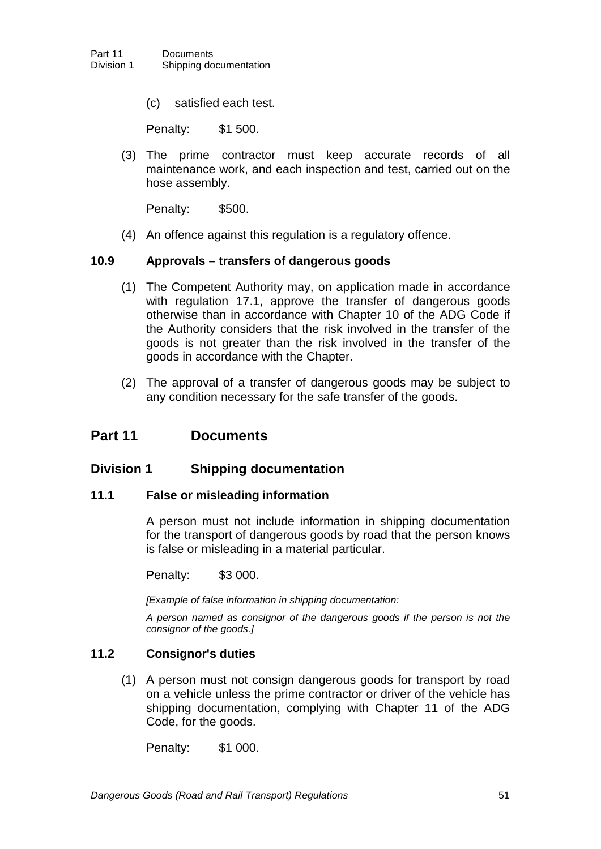(c) satisfied each test.

Penalty: \$1 500.

(3) The prime contractor must keep accurate records of all maintenance work, and each inspection and test, carried out on the hose assembly.

Penalty: \$500.

(4) An offence against this regulation is a regulatory offence.

## **10.9 Approvals – transfers of dangerous goods**

- (1) The Competent Authority may, on application made in accordance with regulation 17.1, approve the transfer of dangerous goods otherwise than in accordance with Chapter 10 of the ADG Code if the Authority considers that the risk involved in the transfer of the goods is not greater than the risk involved in the transfer of the goods in accordance with the Chapter.
- (2) The approval of a transfer of dangerous goods may be subject to any condition necessary for the safe transfer of the goods.

## **Part 11 Documents**

## **Division 1 Shipping documentation**

#### **11.1 False or misleading information**

A person must not include information in shipping documentation for the transport of dangerous goods by road that the person knows is false or misleading in a material particular.

Penalty: \$3 000.

*[Example of false information in shipping documentation:*

*A person named as consignor of the dangerous goods if the person is not the consignor of the goods.]*

## **11.2 Consignor's duties**

(1) A person must not consign dangerous goods for transport by road on a vehicle unless the prime contractor or driver of the vehicle has shipping documentation, complying with Chapter 11 of the ADG Code, for the goods.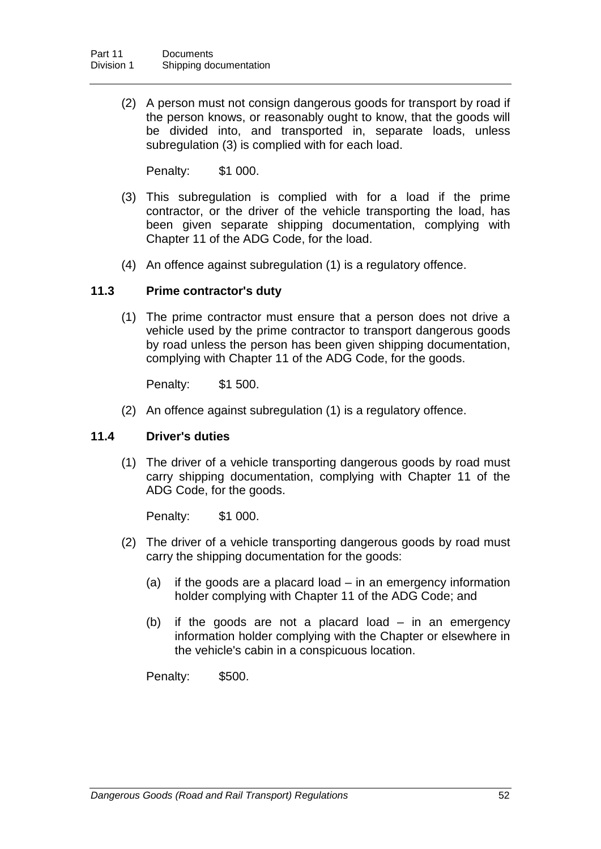(2) A person must not consign dangerous goods for transport by road if the person knows, or reasonably ought to know, that the goods will be divided into, and transported in, separate loads, unless subregulation (3) is complied with for each load.

Penalty: \$1 000.

- (3) This subregulation is complied with for a load if the prime contractor, or the driver of the vehicle transporting the load, has been given separate shipping documentation, complying with Chapter 11 of the ADG Code, for the load.
- (4) An offence against subregulation (1) is a regulatory offence.

### **11.3 Prime contractor's duty**

(1) The prime contractor must ensure that a person does not drive a vehicle used by the prime contractor to transport dangerous goods by road unless the person has been given shipping documentation, complying with Chapter 11 of the ADG Code, for the goods.

Penalty: \$1 500.

(2) An offence against subregulation (1) is a regulatory offence.

#### **11.4 Driver's duties**

(1) The driver of a vehicle transporting dangerous goods by road must carry shipping documentation, complying with Chapter 11 of the ADG Code, for the goods.

Penalty: \$1 000.

- (2) The driver of a vehicle transporting dangerous goods by road must carry the shipping documentation for the goods:
	- (a) if the goods are a placard load in an emergency information holder complying with Chapter 11 of the ADG Code; and
	- (b) if the goods are not a placard load in an emergency information holder complying with the Chapter or elsewhere in the vehicle's cabin in a conspicuous location.

Penalty: \$500.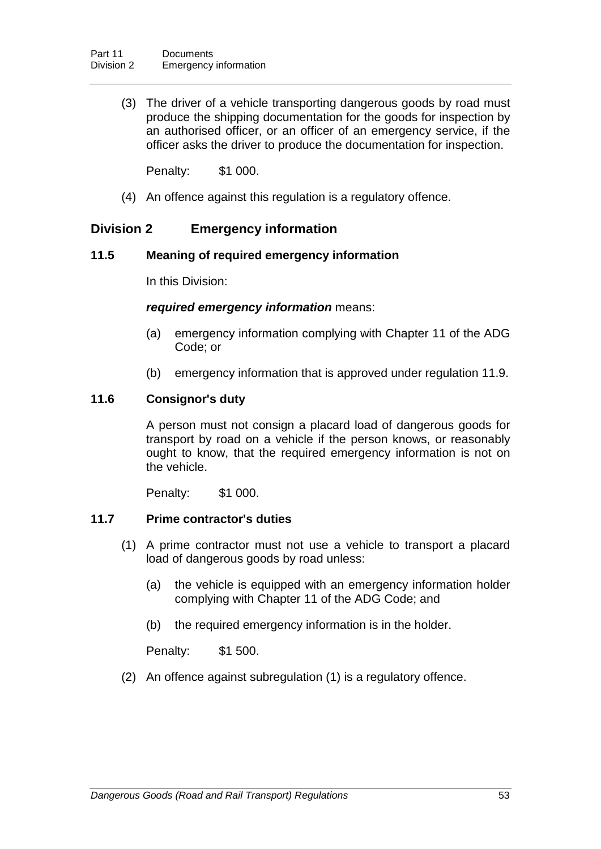(3) The driver of a vehicle transporting dangerous goods by road must produce the shipping documentation for the goods for inspection by an authorised officer, or an officer of an emergency service, if the officer asks the driver to produce the documentation for inspection.

Penalty: \$1 000.

(4) An offence against this regulation is a regulatory offence.

## **Division 2 Emergency information**

### **11.5 Meaning of required emergency information**

In this Division:

### *required emergency information* means:

- (a) emergency information complying with Chapter 11 of the ADG Code; or
- (b) emergency information that is approved under regulation 11.9.

## **11.6 Consignor's duty**

A person must not consign a placard load of dangerous goods for transport by road on a vehicle if the person knows, or reasonably ought to know, that the required emergency information is not on the vehicle.

Penalty: \$1 000.

## **11.7 Prime contractor's duties**

- (1) A prime contractor must not use a vehicle to transport a placard load of dangerous goods by road unless:
	- (a) the vehicle is equipped with an emergency information holder complying with Chapter 11 of the ADG Code; and
	- (b) the required emergency information is in the holder.

Penalty: \$1 500.

(2) An offence against subregulation (1) is a regulatory offence.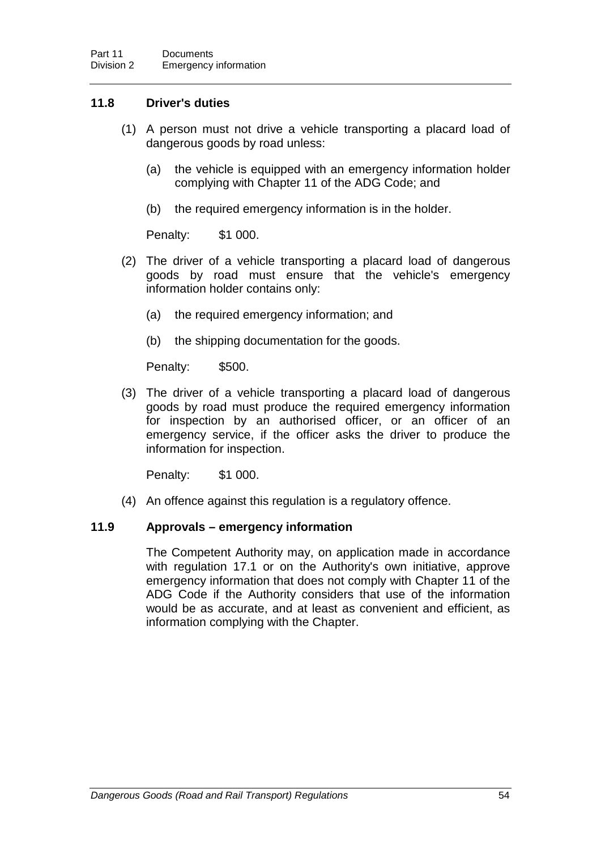## **11.8 Driver's duties**

- (1) A person must not drive a vehicle transporting a placard load of dangerous goods by road unless:
	- (a) the vehicle is equipped with an emergency information holder complying with Chapter 11 of the ADG Code; and
	- (b) the required emergency information is in the holder.

Penalty: \$1 000.

- (2) The driver of a vehicle transporting a placard load of dangerous goods by road must ensure that the vehicle's emergency information holder contains only:
	- (a) the required emergency information; and
	- (b) the shipping documentation for the goods.

Penalty: \$500.

(3) The driver of a vehicle transporting a placard load of dangerous goods by road must produce the required emergency information for inspection by an authorised officer, or an officer of an emergency service, if the officer asks the driver to produce the information for inspection.

Penalty: \$1 000.

(4) An offence against this regulation is a regulatory offence.

## **11.9 Approvals – emergency information**

The Competent Authority may, on application made in accordance with regulation 17.1 or on the Authority's own initiative, approve emergency information that does not comply with Chapter 11 of the ADG Code if the Authority considers that use of the information would be as accurate, and at least as convenient and efficient, as information complying with the Chapter.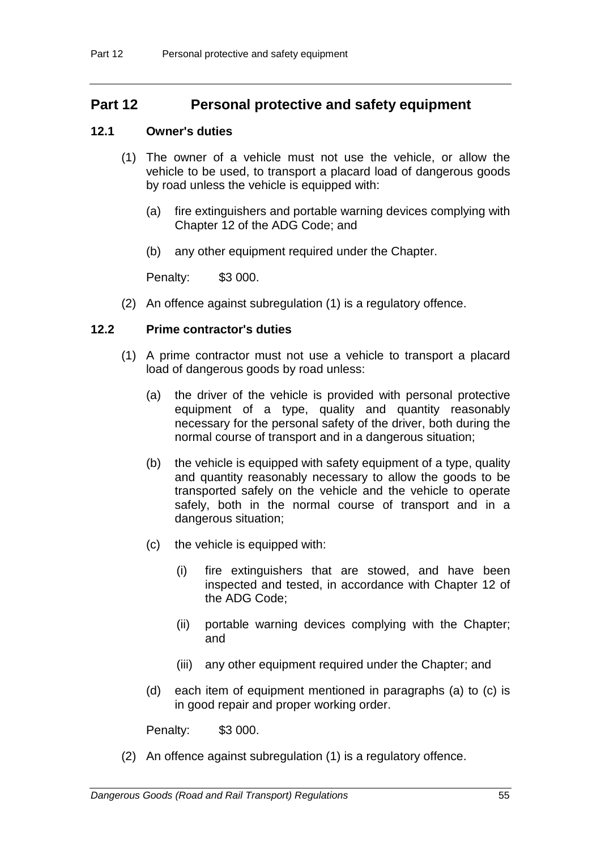# **Part 12 Personal protective and safety equipment**

## **12.1 Owner's duties**

- (1) The owner of a vehicle must not use the vehicle, or allow the vehicle to be used, to transport a placard load of dangerous goods by road unless the vehicle is equipped with:
	- (a) fire extinguishers and portable warning devices complying with Chapter 12 of the ADG Code; and
	- (b) any other equipment required under the Chapter.

Penalty: \$3 000.

(2) An offence against subregulation (1) is a regulatory offence.

## **12.2 Prime contractor's duties**

- (1) A prime contractor must not use a vehicle to transport a placard load of dangerous goods by road unless:
	- (a) the driver of the vehicle is provided with personal protective equipment of a type, quality and quantity reasonably necessary for the personal safety of the driver, both during the normal course of transport and in a dangerous situation;
	- (b) the vehicle is equipped with safety equipment of a type, quality and quantity reasonably necessary to allow the goods to be transported safely on the vehicle and the vehicle to operate safely, both in the normal course of transport and in a dangerous situation;
	- (c) the vehicle is equipped with:
		- (i) fire extinguishers that are stowed, and have been inspected and tested, in accordance with Chapter 12 of the ADG Code;
		- (ii) portable warning devices complying with the Chapter; and
		- (iii) any other equipment required under the Chapter; and
	- (d) each item of equipment mentioned in paragraphs (a) to (c) is in good repair and proper working order.

Penalty: \$3 000.

(2) An offence against subregulation (1) is a regulatory offence.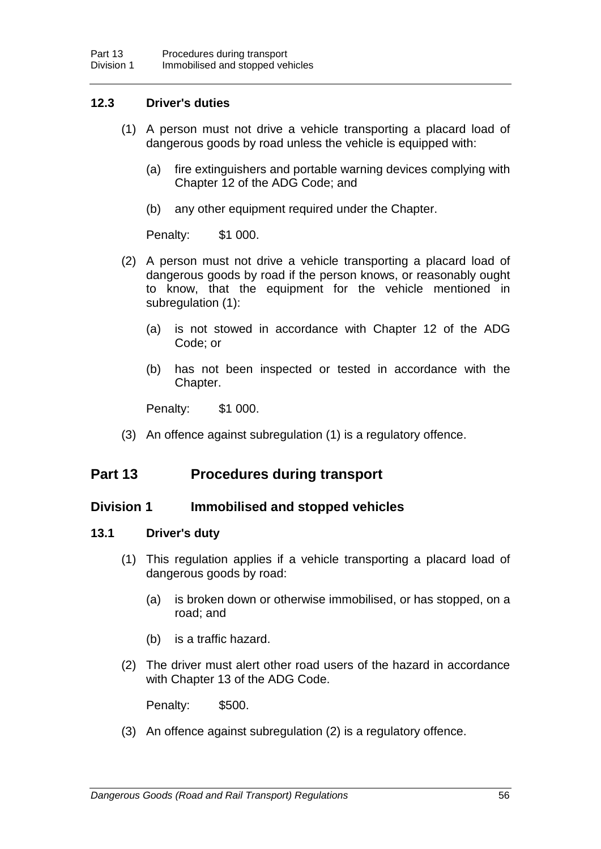## **12.3 Driver's duties**

- (1) A person must not drive a vehicle transporting a placard load of dangerous goods by road unless the vehicle is equipped with:
	- (a) fire extinguishers and portable warning devices complying with Chapter 12 of the ADG Code; and
	- (b) any other equipment required under the Chapter.

Penalty: \$1 000.

- (2) A person must not drive a vehicle transporting a placard load of dangerous goods by road if the person knows, or reasonably ought to know, that the equipment for the vehicle mentioned in subregulation (1):
	- (a) is not stowed in accordance with Chapter 12 of the ADG Code; or
	- (b) has not been inspected or tested in accordance with the Chapter.

Penalty: \$1 000.

(3) An offence against subregulation (1) is a regulatory offence.

## **Part 13 Procedures during transport**

## **Division 1 Immobilised and stopped vehicles**

#### **13.1 Driver's duty**

- (1) This regulation applies if a vehicle transporting a placard load of dangerous goods by road:
	- (a) is broken down or otherwise immobilised, or has stopped, on a road; and
	- (b) is a traffic hazard.
- (2) The driver must alert other road users of the hazard in accordance with Chapter 13 of the ADG Code.

Penalty: \$500.

(3) An offence against subregulation (2) is a regulatory offence.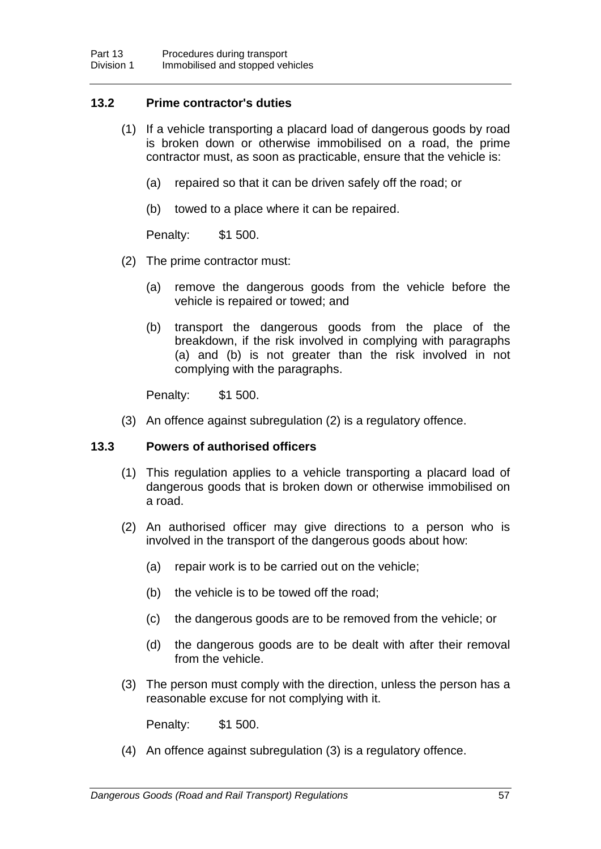## **13.2 Prime contractor's duties**

- (1) If a vehicle transporting a placard load of dangerous goods by road is broken down or otherwise immobilised on a road, the prime contractor must, as soon as practicable, ensure that the vehicle is:
	- (a) repaired so that it can be driven safely off the road; or
	- (b) towed to a place where it can be repaired.

Penalty: \$1 500.

- (2) The prime contractor must:
	- (a) remove the dangerous goods from the vehicle before the vehicle is repaired or towed; and
	- (b) transport the dangerous goods from the place of the breakdown, if the risk involved in complying with paragraphs (a) and (b) is not greater than the risk involved in not complying with the paragraphs.

Penalty: \$1 500.

(3) An offence against subregulation (2) is a regulatory offence.

## **13.3 Powers of authorised officers**

- (1) This regulation applies to a vehicle transporting a placard load of dangerous goods that is broken down or otherwise immobilised on a road.
- (2) An authorised officer may give directions to a person who is involved in the transport of the dangerous goods about how:
	- (a) repair work is to be carried out on the vehicle;
	- (b) the vehicle is to be towed off the road;
	- (c) the dangerous goods are to be removed from the vehicle; or
	- (d) the dangerous goods are to be dealt with after their removal from the vehicle.
- (3) The person must comply with the direction, unless the person has a reasonable excuse for not complying with it.

Penalty: \$1 500.

(4) An offence against subregulation (3) is a regulatory offence.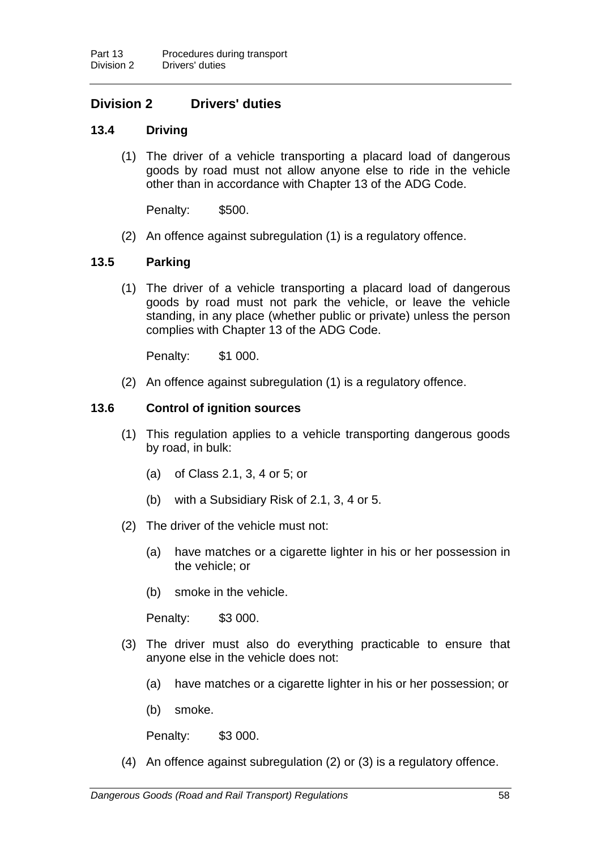# **Division 2 Drivers' duties**

## **13.4 Driving**

(1) The driver of a vehicle transporting a placard load of dangerous goods by road must not allow anyone else to ride in the vehicle other than in accordance with Chapter 13 of the ADG Code.

Penalty: \$500.

(2) An offence against subregulation (1) is a regulatory offence.

### **13.5 Parking**

(1) The driver of a vehicle transporting a placard load of dangerous goods by road must not park the vehicle, or leave the vehicle standing, in any place (whether public or private) unless the person complies with Chapter 13 of the ADG Code.

Penalty: \$1 000.

(2) An offence against subregulation (1) is a regulatory offence.

### **13.6 Control of ignition sources**

- (1) This regulation applies to a vehicle transporting dangerous goods by road, in bulk:
	- (a) of Class 2.1, 3, 4 or 5; or
	- (b) with a Subsidiary Risk of 2.1, 3, 4 or 5.
- (2) The driver of the vehicle must not:
	- (a) have matches or a cigarette lighter in his or her possession in the vehicle; or
	- (b) smoke in the vehicle.

Penalty: \$3 000.

- (3) The driver must also do everything practicable to ensure that anyone else in the vehicle does not:
	- (a) have matches or a cigarette lighter in his or her possession; or
	- (b) smoke.

Penalty: \$3 000.

(4) An offence against subregulation (2) or (3) is a regulatory offence.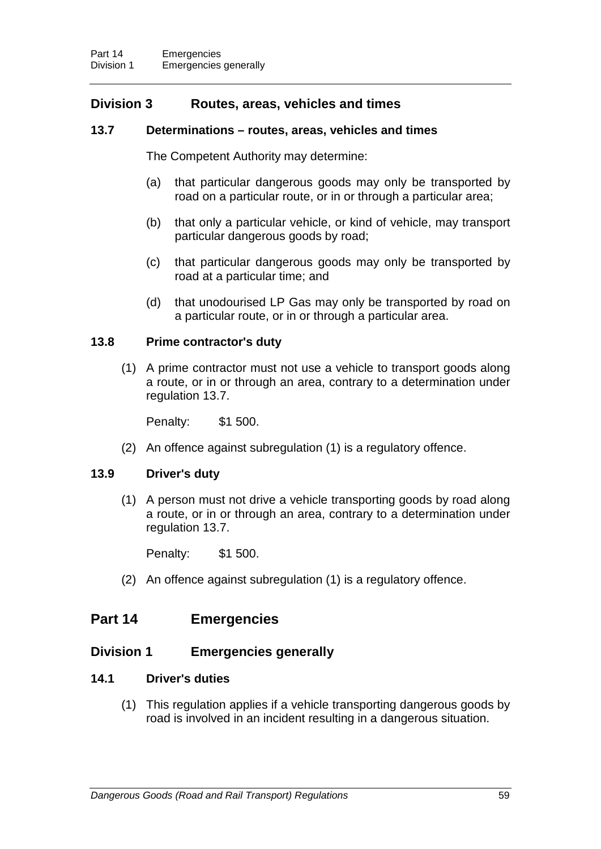## **Division 3 Routes, areas, vehicles and times**

## **13.7 Determinations – routes, areas, vehicles and times**

The Competent Authority may determine:

- (a) that particular dangerous goods may only be transported by road on a particular route, or in or through a particular area;
- (b) that only a particular vehicle, or kind of vehicle, may transport particular dangerous goods by road;
- (c) that particular dangerous goods may only be transported by road at a particular time; and
- (d) that unodourised LP Gas may only be transported by road on a particular route, or in or through a particular area.

### **13.8 Prime contractor's duty**

(1) A prime contractor must not use a vehicle to transport goods along a route, or in or through an area, contrary to a determination under regulation 13.7.

Penalty: \$1 500.

(2) An offence against subregulation (1) is a regulatory offence.

## **13.9 Driver's duty**

(1) A person must not drive a vehicle transporting goods by road along a route, or in or through an area, contrary to a determination under regulation 13.7.

Penalty: \$1 500.

(2) An offence against subregulation (1) is a regulatory offence.

# **Part 14 Emergencies**

## **Division 1 Emergencies generally**

## **14.1 Driver's duties**

(1) This regulation applies if a vehicle transporting dangerous goods by road is involved in an incident resulting in a dangerous situation.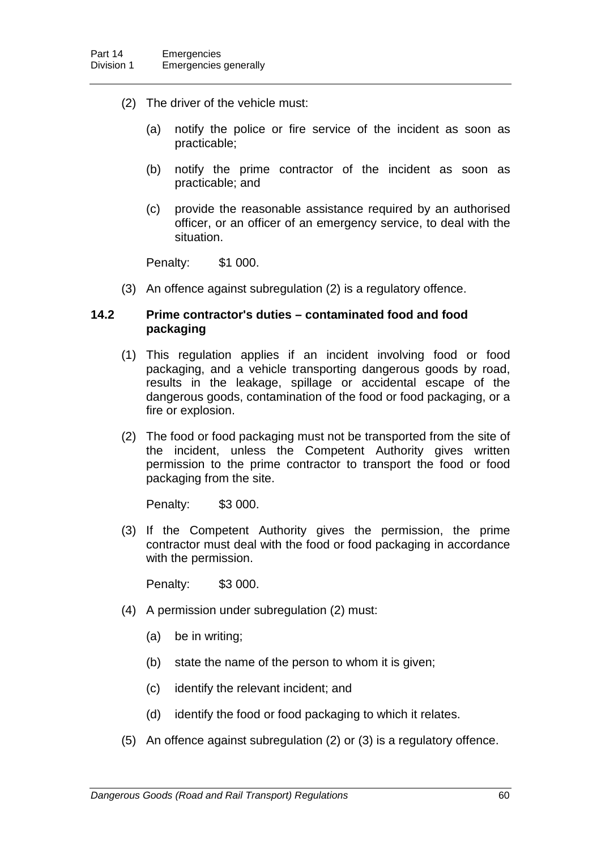- (2) The driver of the vehicle must:
	- (a) notify the police or fire service of the incident as soon as practicable;
	- (b) notify the prime contractor of the incident as soon as practicable; and
	- (c) provide the reasonable assistance required by an authorised officer, or an officer of an emergency service, to deal with the situation.

Penalty: \$1 000.

(3) An offence against subregulation (2) is a regulatory offence.

### **14.2 Prime contractor's duties – contaminated food and food packaging**

- (1) This regulation applies if an incident involving food or food packaging, and a vehicle transporting dangerous goods by road, results in the leakage, spillage or accidental escape of the dangerous goods, contamination of the food or food packaging, or a fire or explosion.
- (2) The food or food packaging must not be transported from the site of the incident, unless the Competent Authority gives written permission to the prime contractor to transport the food or food packaging from the site.

Penalty: \$3 000.

(3) If the Competent Authority gives the permission, the prime contractor must deal with the food or food packaging in accordance with the permission.

- (4) A permission under subregulation (2) must:
	- (a) be in writing;
	- (b) state the name of the person to whom it is given;
	- (c) identify the relevant incident; and
	- (d) identify the food or food packaging to which it relates.
- (5) An offence against subregulation (2) or (3) is a regulatory offence.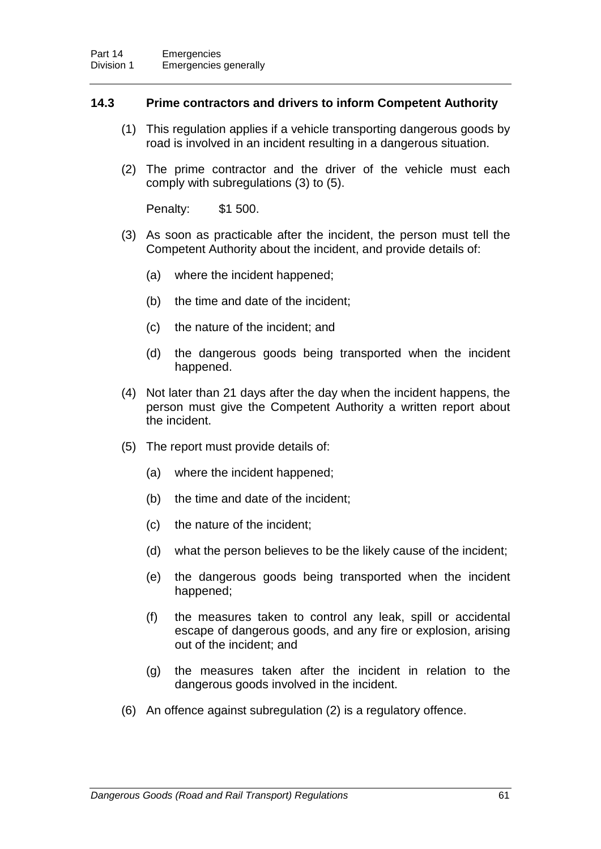### **14.3 Prime contractors and drivers to inform Competent Authority**

- (1) This regulation applies if a vehicle transporting dangerous goods by road is involved in an incident resulting in a dangerous situation.
- (2) The prime contractor and the driver of the vehicle must each comply with subregulations (3) to (5).

Penalty: \$1 500.

- (3) As soon as practicable after the incident, the person must tell the Competent Authority about the incident, and provide details of:
	- (a) where the incident happened;
	- (b) the time and date of the incident;
	- (c) the nature of the incident; and
	- (d) the dangerous goods being transported when the incident happened.
- (4) Not later than 21 days after the day when the incident happens, the person must give the Competent Authority a written report about the incident.
- (5) The report must provide details of:
	- (a) where the incident happened;
	- (b) the time and date of the incident;
	- (c) the nature of the incident;
	- (d) what the person believes to be the likely cause of the incident;
	- (e) the dangerous goods being transported when the incident happened;
	- (f) the measures taken to control any leak, spill or accidental escape of dangerous goods, and any fire or explosion, arising out of the incident; and
	- (g) the measures taken after the incident in relation to the dangerous goods involved in the incident.
- (6) An offence against subregulation (2) is a regulatory offence.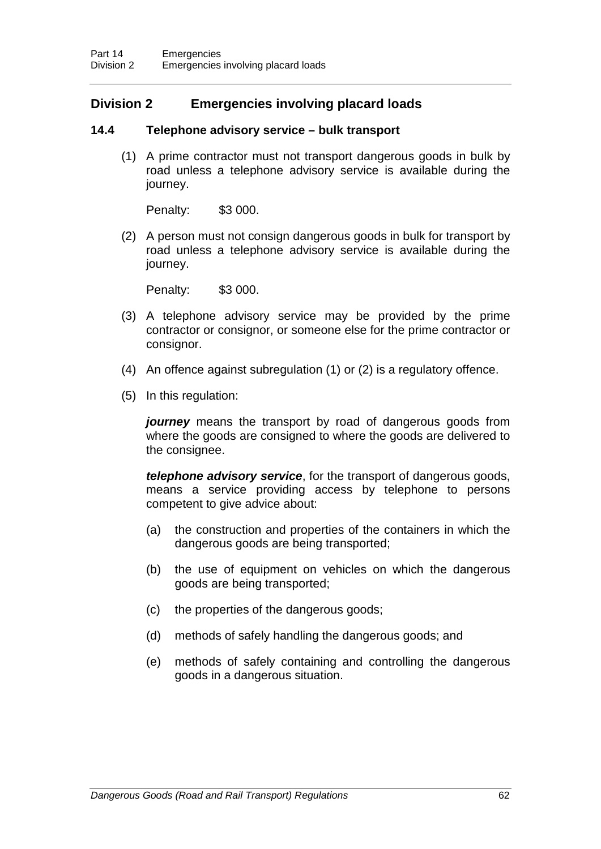# **Division 2 Emergencies involving placard loads**

### **14.4 Telephone advisory service – bulk transport**

(1) A prime contractor must not transport dangerous goods in bulk by road unless a telephone advisory service is available during the journey.

Penalty: \$3 000.

(2) A person must not consign dangerous goods in bulk for transport by road unless a telephone advisory service is available during the journey.

Penalty: \$3 000.

- (3) A telephone advisory service may be provided by the prime contractor or consignor, or someone else for the prime contractor or consignor.
- (4) An offence against subregulation (1) or (2) is a regulatory offence.
- (5) In this regulation:

*journey* means the transport by road of dangerous goods from where the goods are consigned to where the goods are delivered to the consignee.

*telephone advisory service*, for the transport of dangerous goods, means a service providing access by telephone to persons competent to give advice about:

- (a) the construction and properties of the containers in which the dangerous goods are being transported;
- (b) the use of equipment on vehicles on which the dangerous goods are being transported;
- (c) the properties of the dangerous goods;
- (d) methods of safely handling the dangerous goods; and
- (e) methods of safely containing and controlling the dangerous goods in a dangerous situation.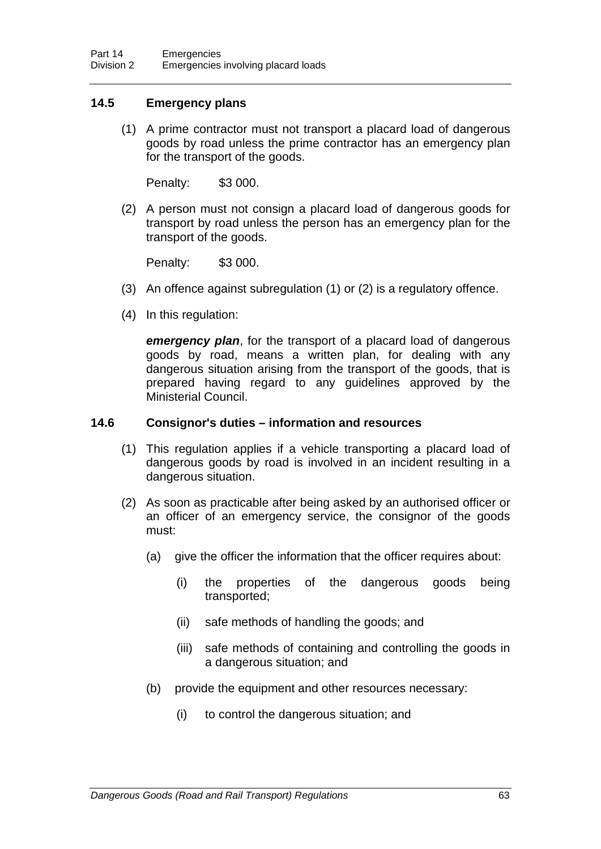## **14.5 Emergency plans**

(1) A prime contractor must not transport a placard load of dangerous goods by road unless the prime contractor has an emergency plan for the transport of the goods.

Penalty: \$3 000.

(2) A person must not consign a placard load of dangerous goods for transport by road unless the person has an emergency plan for the transport of the goods.

Penalty: \$3 000.

- (3) An offence against subregulation (1) or (2) is a regulatory offence.
- (4) In this regulation:

*emergency plan*, for the transport of a placard load of dangerous goods by road, means a written plan, for dealing with any dangerous situation arising from the transport of the goods, that is prepared having regard to any guidelines approved by the Ministerial Council.

### **14.6 Consignor's duties – information and resources**

- (1) This regulation applies if a vehicle transporting a placard load of dangerous goods by road is involved in an incident resulting in a dangerous situation.
- (2) As soon as practicable after being asked by an authorised officer or an officer of an emergency service, the consignor of the goods must:
	- (a) give the officer the information that the officer requires about:
		- (i) the properties of the dangerous goods being transported;
		- (ii) safe methods of handling the goods; and
		- (iii) safe methods of containing and controlling the goods in a dangerous situation; and
	- (b) provide the equipment and other resources necessary:
		- (i) to control the dangerous situation; and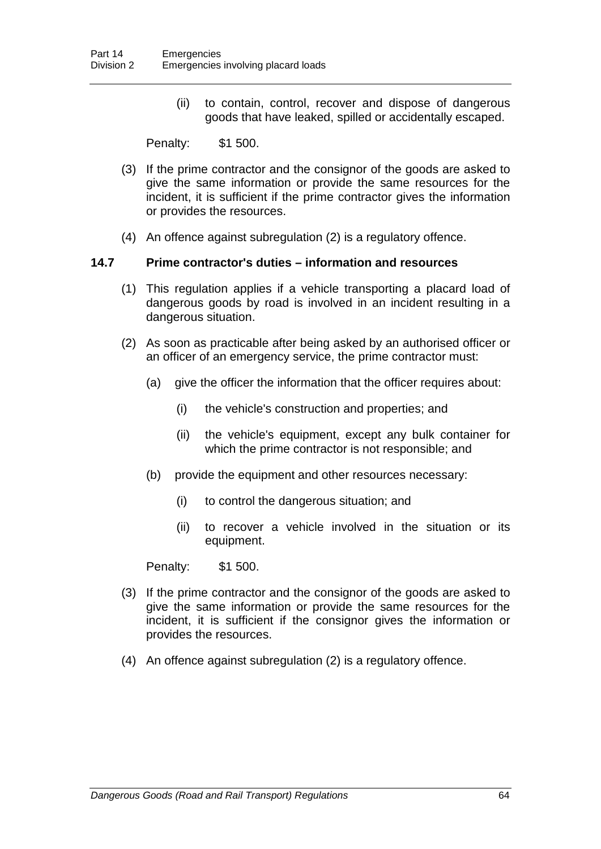(ii) to contain, control, recover and dispose of dangerous goods that have leaked, spilled or accidentally escaped.

Penalty: \$1 500.

- (3) If the prime contractor and the consignor of the goods are asked to give the same information or provide the same resources for the incident, it is sufficient if the prime contractor gives the information or provides the resources.
- (4) An offence against subregulation (2) is a regulatory offence.

## **14.7 Prime contractor's duties – information and resources**

- (1) This regulation applies if a vehicle transporting a placard load of dangerous goods by road is involved in an incident resulting in a dangerous situation.
- (2) As soon as practicable after being asked by an authorised officer or an officer of an emergency service, the prime contractor must:
	- (a) give the officer the information that the officer requires about:
		- (i) the vehicle's construction and properties; and
		- (ii) the vehicle's equipment, except any bulk container for which the prime contractor is not responsible; and
	- (b) provide the equipment and other resources necessary:
		- (i) to control the dangerous situation; and
		- (ii) to recover a vehicle involved in the situation or its equipment.

Penalty: \$1 500.

- (3) If the prime contractor and the consignor of the goods are asked to give the same information or provide the same resources for the incident, it is sufficient if the consignor gives the information or provides the resources.
- (4) An offence against subregulation (2) is a regulatory offence.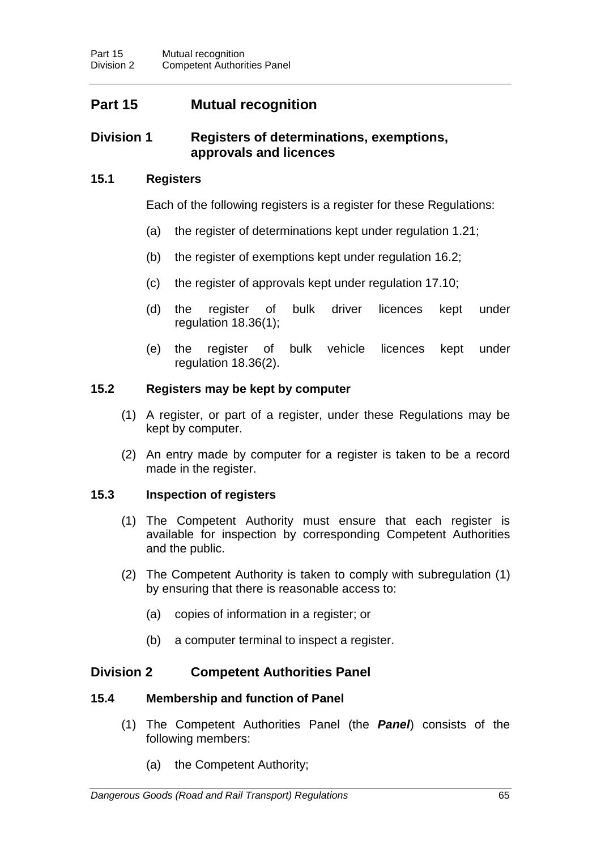# **Part 15 Mutual recognition**

## **Division 1 Registers of determinations, exemptions, approvals and licences**

## **15.1 Registers**

Each of the following registers is a register for these Regulations:

- (a) the register of determinations kept under regulation 1.21;
- (b) the register of exemptions kept under regulation 16.2;
- (c) the register of approvals kept under regulation 17.10;
- (d) the register of bulk driver licences kept under regulation 18.36(1);
- (e) the register of bulk vehicle licences kept under regulation 18.36(2).

### **15.2 Registers may be kept by computer**

- (1) A register, or part of a register, under these Regulations may be kept by computer.
- (2) An entry made by computer for a register is taken to be a record made in the register.

## **15.3 Inspection of registers**

- (1) The Competent Authority must ensure that each register is available for inspection by corresponding Competent Authorities and the public.
- (2) The Competent Authority is taken to comply with subregulation (1) by ensuring that there is reasonable access to:
	- (a) copies of information in a register; or
	- (b) a computer terminal to inspect a register.

## **Division 2 Competent Authorities Panel**

#### **15.4 Membership and function of Panel**

- (1) The Competent Authorities Panel (the *Panel*) consists of the following members:
	- (a) the Competent Authority;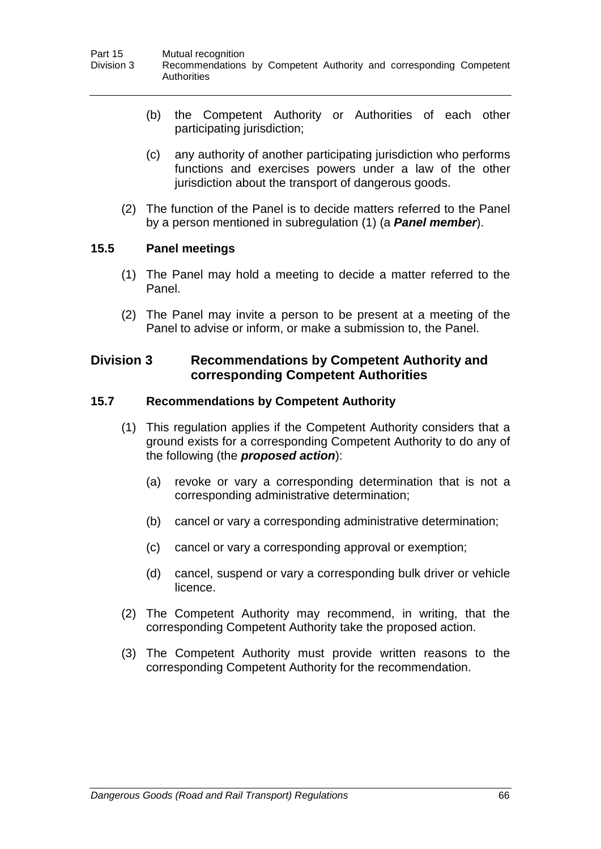- (b) the Competent Authority or Authorities of each other participating jurisdiction;
- (c) any authority of another participating jurisdiction who performs functions and exercises powers under a law of the other jurisdiction about the transport of dangerous goods.
- (2) The function of the Panel is to decide matters referred to the Panel by a person mentioned in subregulation (1) (a *Panel member*).

## **15.5 Panel meetings**

- (1) The Panel may hold a meeting to decide a matter referred to the Panel.
- (2) The Panel may invite a person to be present at a meeting of the Panel to advise or inform, or make a submission to, the Panel.

## **Division 3 Recommendations by Competent Authority and corresponding Competent Authorities**

## **15.7 Recommendations by Competent Authority**

- (1) This regulation applies if the Competent Authority considers that a ground exists for a corresponding Competent Authority to do any of the following (the *proposed action*):
	- (a) revoke or vary a corresponding determination that is not a corresponding administrative determination;
	- (b) cancel or vary a corresponding administrative determination;
	- (c) cancel or vary a corresponding approval or exemption;
	- (d) cancel, suspend or vary a corresponding bulk driver or vehicle licence.
- (2) The Competent Authority may recommend, in writing, that the corresponding Competent Authority take the proposed action.
- (3) The Competent Authority must provide written reasons to the corresponding Competent Authority for the recommendation.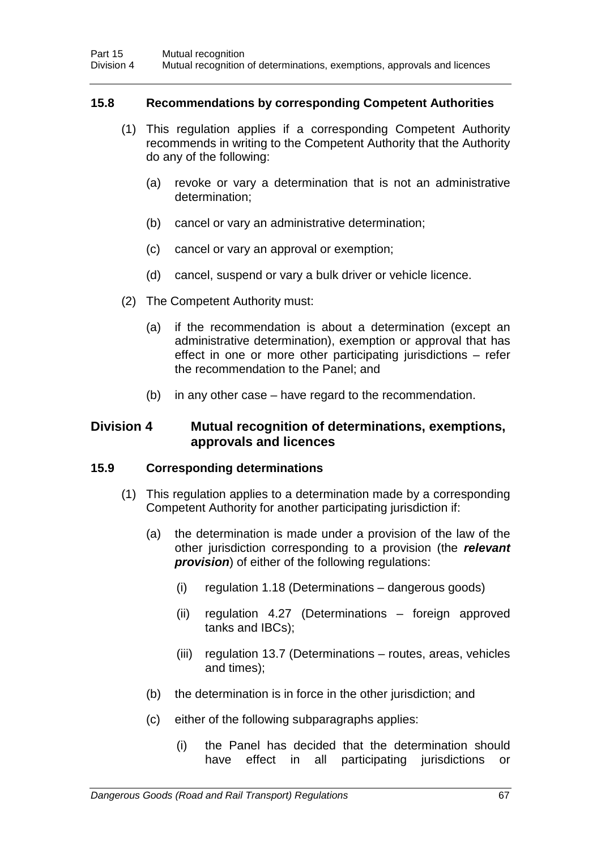### **15.8 Recommendations by corresponding Competent Authorities**

- (1) This regulation applies if a corresponding Competent Authority recommends in writing to the Competent Authority that the Authority do any of the following:
	- (a) revoke or vary a determination that is not an administrative determination;
	- (b) cancel or vary an administrative determination;
	- (c) cancel or vary an approval or exemption;
	- (d) cancel, suspend or vary a bulk driver or vehicle licence.
- (2) The Competent Authority must:
	- (a) if the recommendation is about a determination (except an administrative determination), exemption or approval that has effect in one or more other participating jurisdictions – refer the recommendation to the Panel; and
	- (b) in any other case have regard to the recommendation.

## **Division 4 Mutual recognition of determinations, exemptions, approvals and licences**

#### **15.9 Corresponding determinations**

- (1) This regulation applies to a determination made by a corresponding Competent Authority for another participating jurisdiction if:
	- (a) the determination is made under a provision of the law of the other jurisdiction corresponding to a provision (the *relevant provision*) of either of the following regulations:
		- (i) regulation 1.18 (Determinations dangerous goods)
		- (ii) regulation 4.27 (Determinations foreign approved tanks and IBCs);
		- (iii) regulation 13.7 (Determinations routes, areas, vehicles and times);
	- (b) the determination is in force in the other jurisdiction; and
	- (c) either of the following subparagraphs applies:
		- (i) the Panel has decided that the determination should have effect in all participating jurisdictions or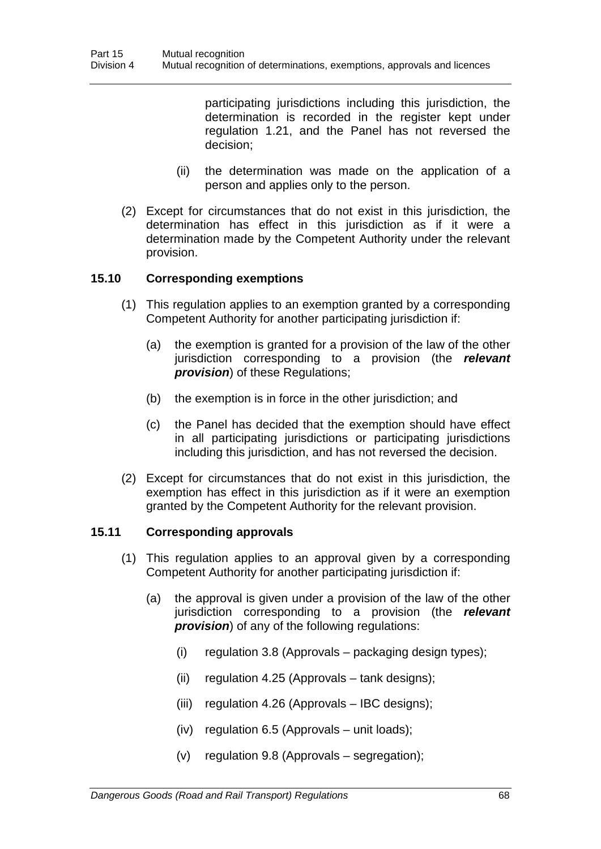participating jurisdictions including this jurisdiction, the determination is recorded in the register kept under regulation 1.21, and the Panel has not reversed the decision;

- (ii) the determination was made on the application of a person and applies only to the person.
- (2) Except for circumstances that do not exist in this jurisdiction, the determination has effect in this jurisdiction as if it were a determination made by the Competent Authority under the relevant provision.

## **15.10 Corresponding exemptions**

- (1) This regulation applies to an exemption granted by a corresponding Competent Authority for another participating jurisdiction if:
	- (a) the exemption is granted for a provision of the law of the other jurisdiction corresponding to a provision (the *relevant provision*) of these Regulations;
	- (b) the exemption is in force in the other jurisdiction; and
	- (c) the Panel has decided that the exemption should have effect in all participating jurisdictions or participating jurisdictions including this jurisdiction, and has not reversed the decision.
- (2) Except for circumstances that do not exist in this jurisdiction, the exemption has effect in this jurisdiction as if it were an exemption granted by the Competent Authority for the relevant provision.

## **15.11 Corresponding approvals**

- (1) This regulation applies to an approval given by a corresponding Competent Authority for another participating jurisdiction if:
	- (a) the approval is given under a provision of the law of the other jurisdiction corresponding to a provision (the *relevant provision*) of any of the following regulations:
		- (i) regulation 3.8 (Approvals packaging design types);
		- (ii) regulation 4.25 (Approvals tank designs);
		- (iii) regulation 4.26 (Approvals IBC designs);
		- (iv) regulation 6.5 (Approvals unit loads);
		- (v) regulation 9.8 (Approvals segregation);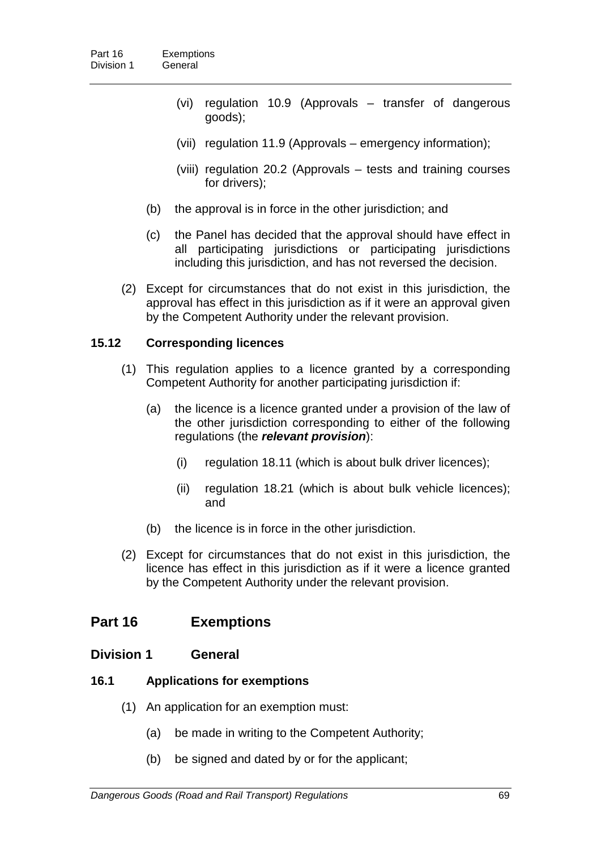- (vi) regulation 10.9 (Approvals transfer of dangerous goods);
- (vii) regulation 11.9 (Approvals emergency information);
- (viii) regulation 20.2 (Approvals tests and training courses for drivers);
- (b) the approval is in force in the other jurisdiction; and
- (c) the Panel has decided that the approval should have effect in all participating jurisdictions or participating jurisdictions including this jurisdiction, and has not reversed the decision.
- (2) Except for circumstances that do not exist in this jurisdiction, the approval has effect in this jurisdiction as if it were an approval given by the Competent Authority under the relevant provision.

## **15.12 Corresponding licences**

- (1) This regulation applies to a licence granted by a corresponding Competent Authority for another participating jurisdiction if:
	- (a) the licence is a licence granted under a provision of the law of the other jurisdiction corresponding to either of the following regulations (the *relevant provision*):
		- (i) regulation 18.11 (which is about bulk driver licences);
		- (ii) regulation 18.21 (which is about bulk vehicle licences); and
	- (b) the licence is in force in the other jurisdiction.
- (2) Except for circumstances that do not exist in this jurisdiction, the licence has effect in this jurisdiction as if it were a licence granted by the Competent Authority under the relevant provision.

## **Part 16 Exemptions**

## **Division 1 General**

## **16.1 Applications for exemptions**

- (1) An application for an exemption must:
	- (a) be made in writing to the Competent Authority;
	- (b) be signed and dated by or for the applicant;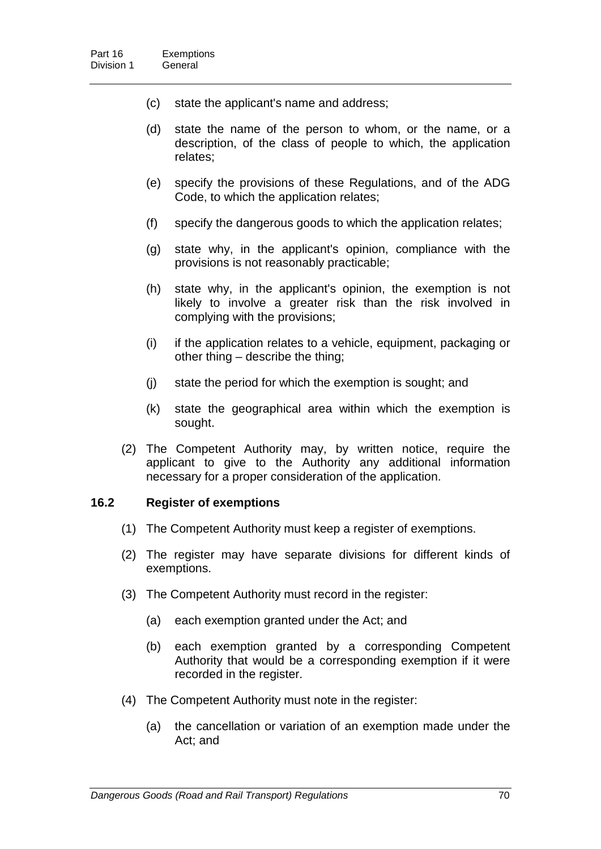- (c) state the applicant's name and address;
- (d) state the name of the person to whom, or the name, or a description, of the class of people to which, the application relates;
- (e) specify the provisions of these Regulations, and of the ADG Code, to which the application relates;
- (f) specify the dangerous goods to which the application relates;
- (g) state why, in the applicant's opinion, compliance with the provisions is not reasonably practicable;
- (h) state why, in the applicant's opinion, the exemption is not likely to involve a greater risk than the risk involved in complying with the provisions;
- (i) if the application relates to a vehicle, equipment, packaging or other thing – describe the thing;
- (j) state the period for which the exemption is sought; and
- (k) state the geographical area within which the exemption is sought.
- (2) The Competent Authority may, by written notice, require the applicant to give to the Authority any additional information necessary for a proper consideration of the application.

#### **16.2 Register of exemptions**

- (1) The Competent Authority must keep a register of exemptions.
- (2) The register may have separate divisions for different kinds of exemptions.
- (3) The Competent Authority must record in the register:
	- (a) each exemption granted under the Act; and
	- (b) each exemption granted by a corresponding Competent Authority that would be a corresponding exemption if it were recorded in the register.
- (4) The Competent Authority must note in the register:
	- (a) the cancellation or variation of an exemption made under the Act; and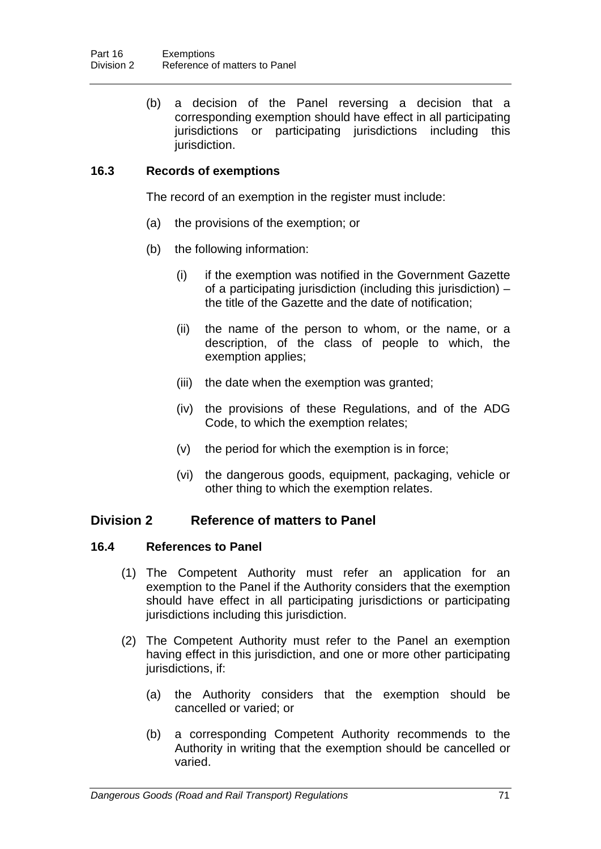(b) a decision of the Panel reversing a decision that a corresponding exemption should have effect in all participating jurisdictions or participating jurisdictions including this jurisdiction.

## **16.3 Records of exemptions**

The record of an exemption in the register must include:

- (a) the provisions of the exemption; or
- (b) the following information:
	- (i) if the exemption was notified in the Government Gazette of a participating jurisdiction (including this jurisdiction) – the title of the Gazette and the date of notification;
	- (ii) the name of the person to whom, or the name, or a description, of the class of people to which, the exemption applies;
	- (iii) the date when the exemption was granted;
	- (iv) the provisions of these Regulations, and of the ADG Code, to which the exemption relates;
	- (v) the period for which the exemption is in force;
	- (vi) the dangerous goods, equipment, packaging, vehicle or other thing to which the exemption relates.

## **Division 2 Reference of matters to Panel**

## **16.4 References to Panel**

- (1) The Competent Authority must refer an application for an exemption to the Panel if the Authority considers that the exemption should have effect in all participating jurisdictions or participating jurisdictions including this jurisdiction.
- (2) The Competent Authority must refer to the Panel an exemption having effect in this jurisdiction, and one or more other participating jurisdictions, if:
	- (a) the Authority considers that the exemption should be cancelled or varied; or
	- (b) a corresponding Competent Authority recommends to the Authority in writing that the exemption should be cancelled or varied.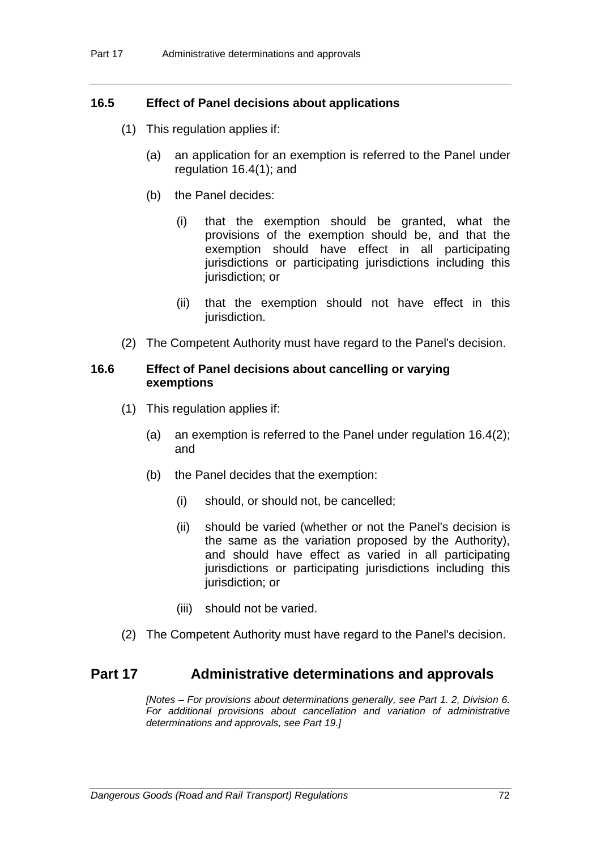## **16.5 Effect of Panel decisions about applications**

- (1) This regulation applies if:
	- (a) an application for an exemption is referred to the Panel under regulation 16.4(1); and
	- (b) the Panel decides:
		- (i) that the exemption should be granted, what the provisions of the exemption should be, and that the exemption should have effect in all participating jurisdictions or participating jurisdictions including this jurisdiction; or
		- (ii) that the exemption should not have effect in this jurisdiction.
- (2) The Competent Authority must have regard to the Panel's decision.

### **16.6 Effect of Panel decisions about cancelling or varying exemptions**

- (1) This regulation applies if:
	- (a) an exemption is referred to the Panel under regulation 16.4(2); and
	- (b) the Panel decides that the exemption:
		- (i) should, or should not, be cancelled;
		- (ii) should be varied (whether or not the Panel's decision is the same as the variation proposed by the Authority), and should have effect as varied in all participating jurisdictions or participating jurisdictions including this jurisdiction; or
		- (iii) should not be varied.
- (2) The Competent Authority must have regard to the Panel's decision.

## **Part 17 Administrative determinations and approvals**

*[Notes – For provisions about determinations generally, see Part 1. 2, Division 6. For additional provisions about cancellation and variation of administrative determinations and approvals, see Part 19.]*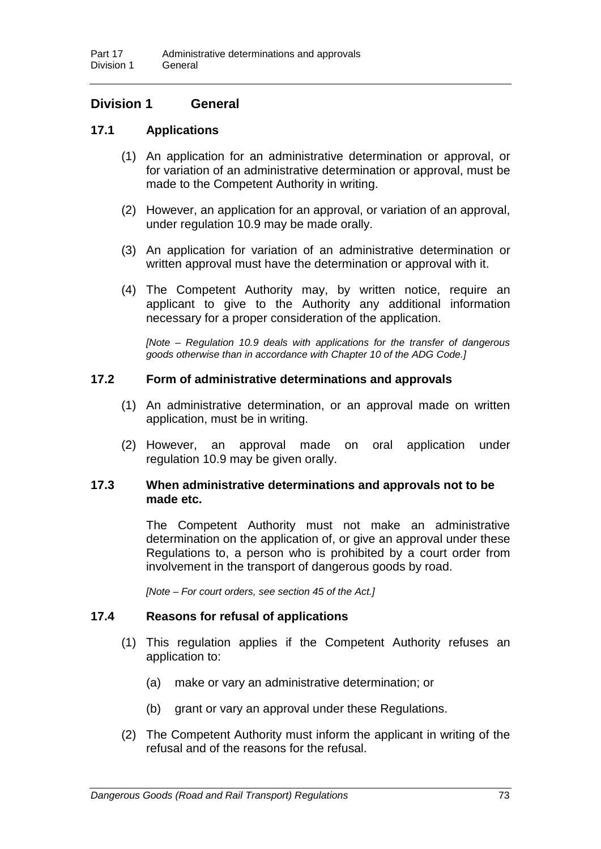## **Division 1 General**

## **17.1 Applications**

- (1) An application for an administrative determination or approval, or for variation of an administrative determination or approval, must be made to the Competent Authority in writing.
- (2) However, an application for an approval, or variation of an approval, under regulation 10.9 may be made orally.
- (3) An application for variation of an administrative determination or written approval must have the determination or approval with it.
- (4) The Competent Authority may, by written notice, require an applicant to give to the Authority any additional information necessary for a proper consideration of the application.

*[Note – Regulation 10.9 deals with applications for the transfer of dangerous goods otherwise than in accordance with Chapter 10 of the ADG Code.]*

## **17.2 Form of administrative determinations and approvals**

- (1) An administrative determination, or an approval made on written application, must be in writing.
- (2) However, an approval made on oral application under regulation 10.9 may be given orally.

### **17.3 When administrative determinations and approvals not to be made etc.**

The Competent Authority must not make an administrative determination on the application of, or give an approval under these Regulations to, a person who is prohibited by a court order from involvement in the transport of dangerous goods by road.

*[Note – For court orders, see section 45 of the Act.]*

#### **17.4 Reasons for refusal of applications**

- (1) This regulation applies if the Competent Authority refuses an application to:
	- (a) make or vary an administrative determination; or
	- (b) grant or vary an approval under these Regulations.
- (2) The Competent Authority must inform the applicant in writing of the refusal and of the reasons for the refusal.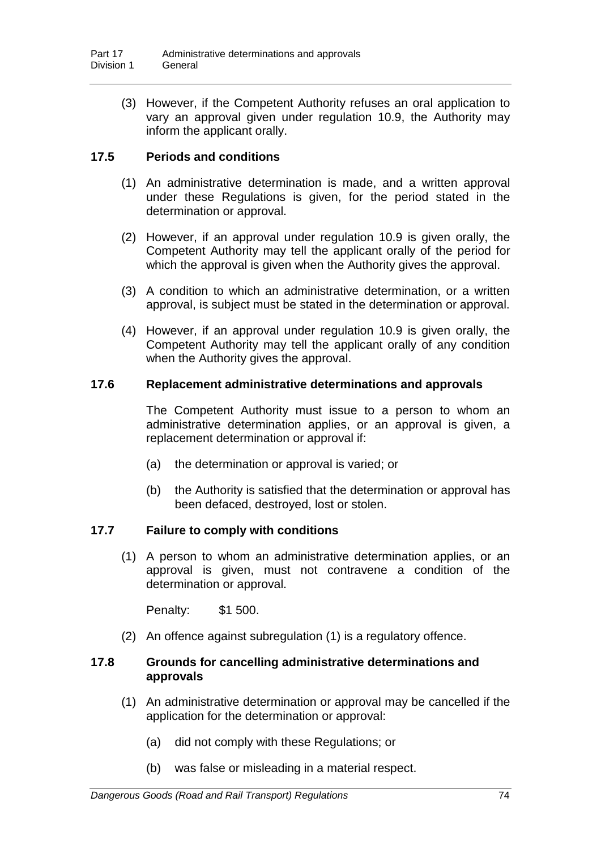(3) However, if the Competent Authority refuses an oral application to vary an approval given under regulation 10.9, the Authority may inform the applicant orally.

## **17.5 Periods and conditions**

- (1) An administrative determination is made, and a written approval under these Regulations is given, for the period stated in the determination or approval.
- (2) However, if an approval under regulation 10.9 is given orally, the Competent Authority may tell the applicant orally of the period for which the approval is given when the Authority gives the approval.
- (3) A condition to which an administrative determination, or a written approval, is subject must be stated in the determination or approval.
- (4) However, if an approval under regulation 10.9 is given orally, the Competent Authority may tell the applicant orally of any condition when the Authority gives the approval.

## **17.6 Replacement administrative determinations and approvals**

The Competent Authority must issue to a person to whom an administrative determination applies, or an approval is given, a replacement determination or approval if:

- (a) the determination or approval is varied; or
- (b) the Authority is satisfied that the determination or approval has been defaced, destroyed, lost or stolen.

## **17.7 Failure to comply with conditions**

(1) A person to whom an administrative determination applies, or an approval is given, must not contravene a condition of the determination or approval.

Penalty: \$1 500.

(2) An offence against subregulation (1) is a regulatory offence.

## **17.8 Grounds for cancelling administrative determinations and approvals**

- (1) An administrative determination or approval may be cancelled if the application for the determination or approval:
	- (a) did not comply with these Regulations; or
	- (b) was false or misleading in a material respect.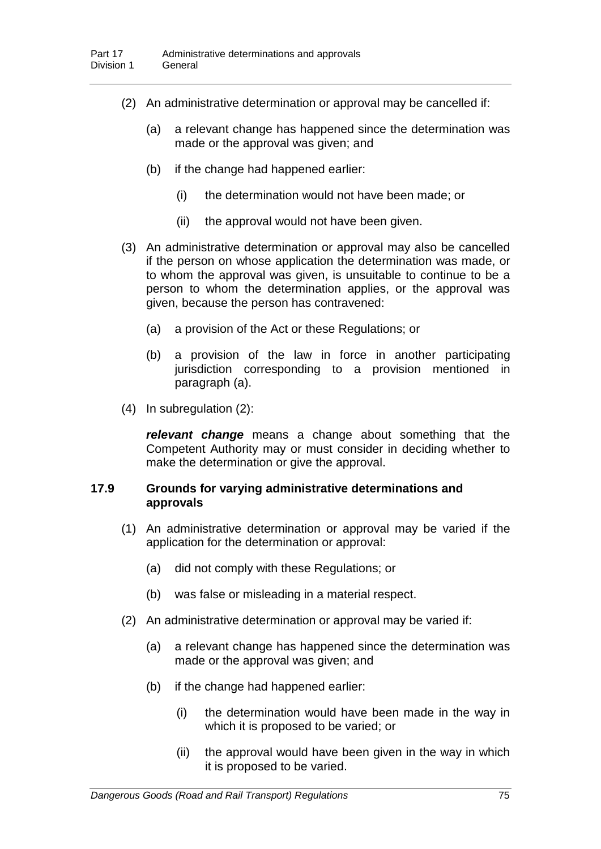- (2) An administrative determination or approval may be cancelled if:
	- (a) a relevant change has happened since the determination was made or the approval was given; and
	- (b) if the change had happened earlier:
		- (i) the determination would not have been made; or
		- (ii) the approval would not have been given.
- (3) An administrative determination or approval may also be cancelled if the person on whose application the determination was made, or to whom the approval was given, is unsuitable to continue to be a person to whom the determination applies, or the approval was given, because the person has contravened:
	- (a) a provision of the Act or these Regulations; or
	- (b) a provision of the law in force in another participating jurisdiction corresponding to a provision mentioned in paragraph (a).
- (4) In subregulation (2):

*relevant change* means a change about something that the Competent Authority may or must consider in deciding whether to make the determination or give the approval.

### **17.9 Grounds for varying administrative determinations and approvals**

- (1) An administrative determination or approval may be varied if the application for the determination or approval:
	- (a) did not comply with these Regulations; or
	- (b) was false or misleading in a material respect.
- (2) An administrative determination or approval may be varied if:
	- (a) a relevant change has happened since the determination was made or the approval was given; and
	- (b) if the change had happened earlier:
		- (i) the determination would have been made in the way in which it is proposed to be varied; or
		- (ii) the approval would have been given in the way in which it is proposed to be varied.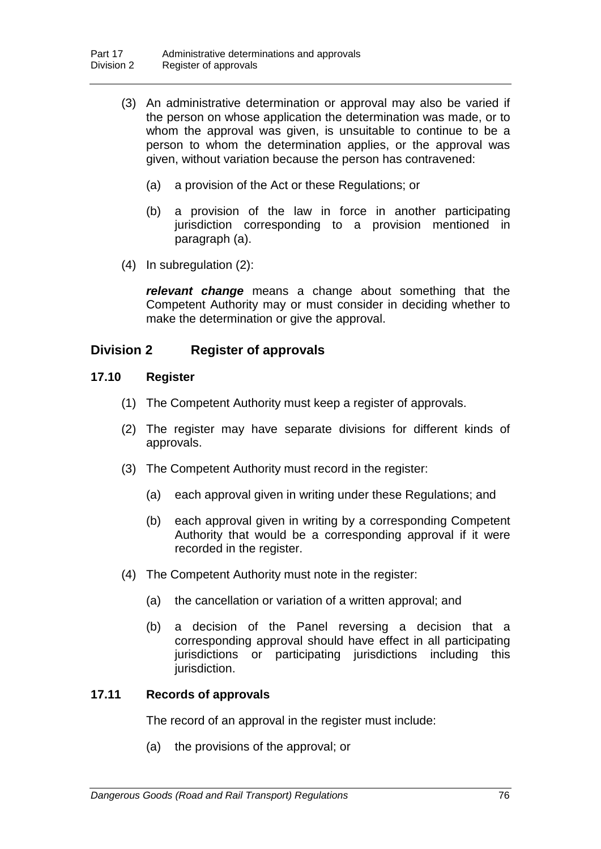- (3) An administrative determination or approval may also be varied if the person on whose application the determination was made, or to whom the approval was given, is unsuitable to continue to be a person to whom the determination applies, or the approval was given, without variation because the person has contravened:
	- (a) a provision of the Act or these Regulations; or
	- (b) a provision of the law in force in another participating jurisdiction corresponding to a provision mentioned in paragraph (a).
- (4) In subregulation (2):

*relevant change* means a change about something that the Competent Authority may or must consider in deciding whether to make the determination or give the approval.

# **Division 2 Register of approvals**

## **17.10 Register**

- (1) The Competent Authority must keep a register of approvals.
- (2) The register may have separate divisions for different kinds of approvals.
- (3) The Competent Authority must record in the register:
	- (a) each approval given in writing under these Regulations; and
	- (b) each approval given in writing by a corresponding Competent Authority that would be a corresponding approval if it were recorded in the register.
- (4) The Competent Authority must note in the register:
	- (a) the cancellation or variation of a written approval; and
	- (b) a decision of the Panel reversing a decision that a corresponding approval should have effect in all participating jurisdictions or participating jurisdictions including this jurisdiction.

#### **17.11 Records of approvals**

The record of an approval in the register must include:

(a) the provisions of the approval; or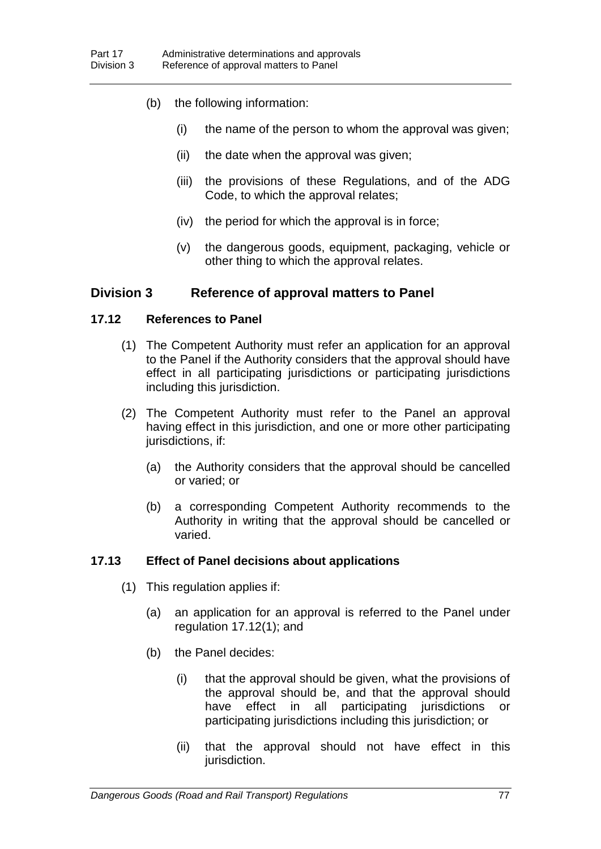- (b) the following information:
	- (i) the name of the person to whom the approval was given;
	- (ii) the date when the approval was given;
	- (iii) the provisions of these Regulations, and of the ADG Code, to which the approval relates;
	- (iv) the period for which the approval is in force;
	- (v) the dangerous goods, equipment, packaging, vehicle or other thing to which the approval relates.

## **Division 3 Reference of approval matters to Panel**

### **17.12 References to Panel**

- (1) The Competent Authority must refer an application for an approval to the Panel if the Authority considers that the approval should have effect in all participating jurisdictions or participating jurisdictions including this jurisdiction.
- (2) The Competent Authority must refer to the Panel an approval having effect in this jurisdiction, and one or more other participating jurisdictions, if:
	- (a) the Authority considers that the approval should be cancelled or varied; or
	- (b) a corresponding Competent Authority recommends to the Authority in writing that the approval should be cancelled or varied.

## **17.13 Effect of Panel decisions about applications**

- (1) This regulation applies if:
	- (a) an application for an approval is referred to the Panel under regulation 17.12(1); and
	- (b) the Panel decides:
		- (i) that the approval should be given, what the provisions of the approval should be, and that the approval should have effect in all participating jurisdictions or participating jurisdictions including this jurisdiction; or
		- (ii) that the approval should not have effect in this jurisdiction.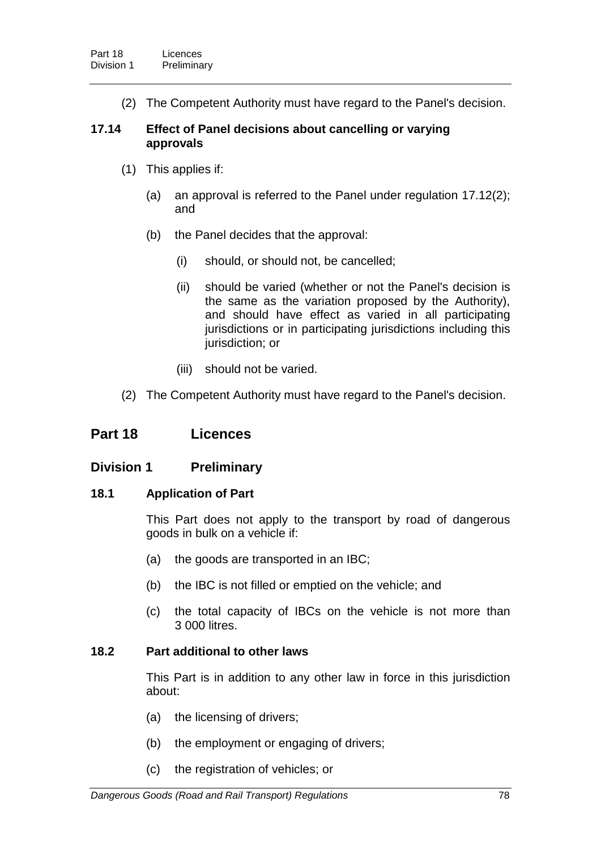(2) The Competent Authority must have regard to the Panel's decision.

## **17.14 Effect of Panel decisions about cancelling or varying approvals**

- (1) This applies if:
	- (a) an approval is referred to the Panel under regulation 17.12(2); and
	- (b) the Panel decides that the approval:
		- (i) should, or should not, be cancelled;
		- (ii) should be varied (whether or not the Panel's decision is the same as the variation proposed by the Authority), and should have effect as varied in all participating jurisdictions or in participating jurisdictions including this jurisdiction; or
		- (iii) should not be varied.
- (2) The Competent Authority must have regard to the Panel's decision.

# **Part 18 Licences**

## **Division 1 Preliminary**

## **18.1 Application of Part**

This Part does not apply to the transport by road of dangerous goods in bulk on a vehicle if:

- (a) the goods are transported in an IBC;
- (b) the IBC is not filled or emptied on the vehicle; and
- (c) the total capacity of IBCs on the vehicle is not more than 3 000 litres.

## **18.2 Part additional to other laws**

This Part is in addition to any other law in force in this jurisdiction about:

- (a) the licensing of drivers;
- (b) the employment or engaging of drivers;
- (c) the registration of vehicles; or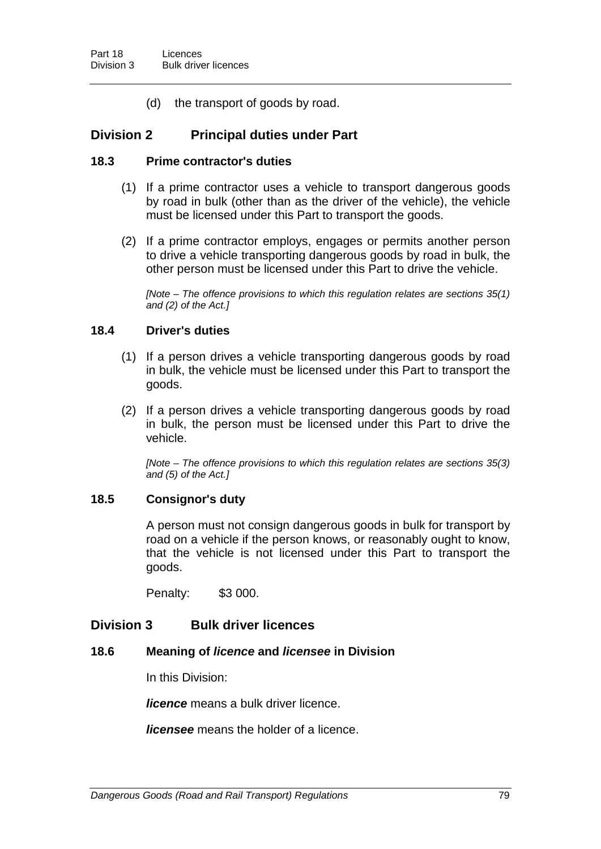(d) the transport of goods by road.

## **Division 2 Principal duties under Part**

#### **18.3 Prime contractor's duties**

- (1) If a prime contractor uses a vehicle to transport dangerous goods by road in bulk (other than as the driver of the vehicle), the vehicle must be licensed under this Part to transport the goods.
- (2) If a prime contractor employs, engages or permits another person to drive a vehicle transporting dangerous goods by road in bulk, the other person must be licensed under this Part to drive the vehicle.

*[Note – The offence provisions to which this regulation relates are sections 35(1) and (2) of the Act.]*

### **18.4 Driver's duties**

- (1) If a person drives a vehicle transporting dangerous goods by road in bulk, the vehicle must be licensed under this Part to transport the goods.
- (2) If a person drives a vehicle transporting dangerous goods by road in bulk, the person must be licensed under this Part to drive the vehicle.

*[Note – The offence provisions to which this regulation relates are sections 35(3) and (5) of the Act.]*

#### **18.5 Consignor's duty**

A person must not consign dangerous goods in bulk for transport by road on a vehicle if the person knows, or reasonably ought to know, that the vehicle is not licensed under this Part to transport the goods.

Penalty: \$3 000.

## **Division 3 Bulk driver licences**

#### **18.6 Meaning of** *licence* **and** *licensee* **in Division**

In this Division:

*licence* means a bulk driver licence.

*licensee* means the holder of a licence.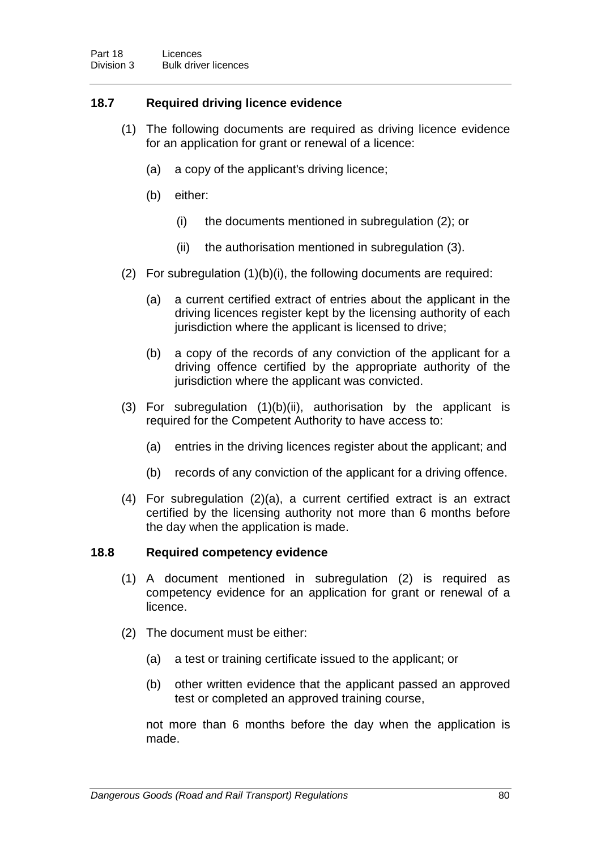## **18.7 Required driving licence evidence**

- (1) The following documents are required as driving licence evidence for an application for grant or renewal of a licence:
	- (a) a copy of the applicant's driving licence;
	- (b) either:
		- (i) the documents mentioned in subregulation (2); or
		- (ii) the authorisation mentioned in subregulation (3).
- (2) For subregulation (1)(b)(i), the following documents are required:
	- (a) a current certified extract of entries about the applicant in the driving licences register kept by the licensing authority of each jurisdiction where the applicant is licensed to drive;
	- (b) a copy of the records of any conviction of the applicant for a driving offence certified by the appropriate authority of the jurisdiction where the applicant was convicted.
- (3) For subregulation (1)(b)(ii), authorisation by the applicant is required for the Competent Authority to have access to:
	- (a) entries in the driving licences register about the applicant; and
	- (b) records of any conviction of the applicant for a driving offence.
- (4) For subregulation (2)(a), a current certified extract is an extract certified by the licensing authority not more than 6 months before the day when the application is made.

#### **18.8 Required competency evidence**

- (1) A document mentioned in subregulation (2) is required as competency evidence for an application for grant or renewal of a licence.
- (2) The document must be either:
	- (a) a test or training certificate issued to the applicant; or
	- (b) other written evidence that the applicant passed an approved test or completed an approved training course,

not more than 6 months before the day when the application is made.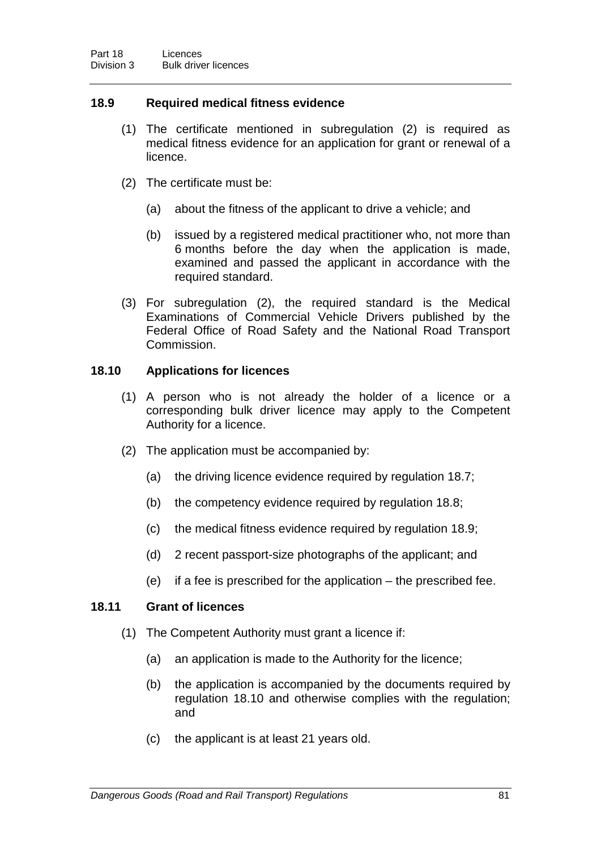## **18.9 Required medical fitness evidence**

- (1) The certificate mentioned in subregulation (2) is required as medical fitness evidence for an application for grant or renewal of a licence.
- (2) The certificate must be:
	- (a) about the fitness of the applicant to drive a vehicle; and
	- (b) issued by a registered medical practitioner who, not more than 6 months before the day when the application is made, examined and passed the applicant in accordance with the required standard.
- (3) For subregulation (2), the required standard is the Medical Examinations of Commercial Vehicle Drivers published by the Federal Office of Road Safety and the National Road Transport Commission.

## **18.10 Applications for licences**

- (1) A person who is not already the holder of a licence or a corresponding bulk driver licence may apply to the Competent Authority for a licence.
- (2) The application must be accompanied by:
	- (a) the driving licence evidence required by regulation 18.7;
	- (b) the competency evidence required by regulation 18.8;
	- (c) the medical fitness evidence required by regulation 18.9;
	- (d) 2 recent passport-size photographs of the applicant; and
	- (e) if a fee is prescribed for the application the prescribed fee.

## **18.11 Grant of licences**

- (1) The Competent Authority must grant a licence if:
	- (a) an application is made to the Authority for the licence;
	- (b) the application is accompanied by the documents required by regulation 18.10 and otherwise complies with the regulation; and
	- (c) the applicant is at least 21 years old.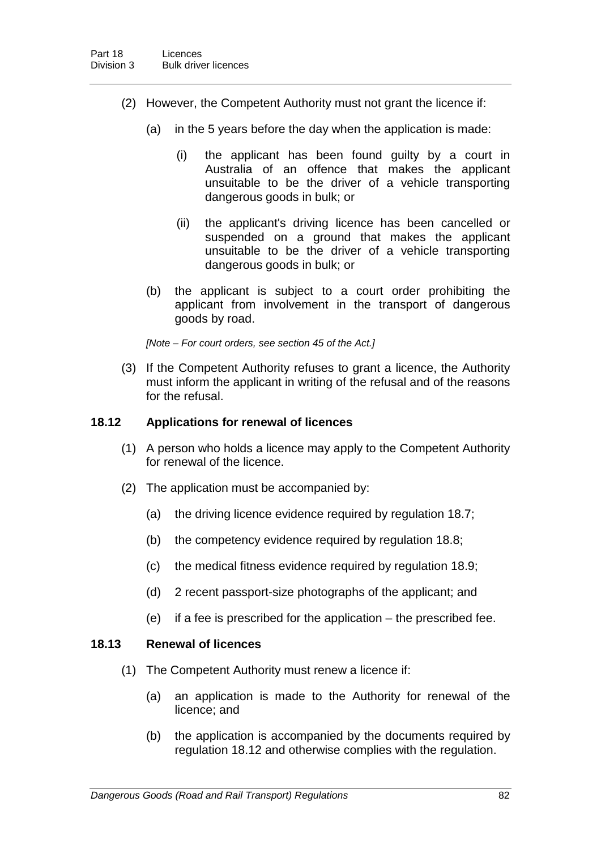- (2) However, the Competent Authority must not grant the licence if:
	- (a) in the 5 years before the day when the application is made:
		- (i) the applicant has been found guilty by a court in Australia of an offence that makes the applicant unsuitable to be the driver of a vehicle transporting dangerous goods in bulk; or
		- (ii) the applicant's driving licence has been cancelled or suspended on a ground that makes the applicant unsuitable to be the driver of a vehicle transporting dangerous goods in bulk; or
	- (b) the applicant is subject to a court order prohibiting the applicant from involvement in the transport of dangerous goods by road.

*[Note – For court orders, see section 45 of the Act.]*

(3) If the Competent Authority refuses to grant a licence, the Authority must inform the applicant in writing of the refusal and of the reasons for the refusal.

### **18.12 Applications for renewal of licences**

- (1) A person who holds a licence may apply to the Competent Authority for renewal of the licence.
- (2) The application must be accompanied by:
	- (a) the driving licence evidence required by regulation 18.7;
	- (b) the competency evidence required by regulation 18.8;
	- (c) the medical fitness evidence required by regulation 18.9;
	- (d) 2 recent passport-size photographs of the applicant; and
	- (e) if a fee is prescribed for the application the prescribed fee.

#### **18.13 Renewal of licences**

- (1) The Competent Authority must renew a licence if:
	- (a) an application is made to the Authority for renewal of the licence; and
	- (b) the application is accompanied by the documents required by regulation 18.12 and otherwise complies with the regulation.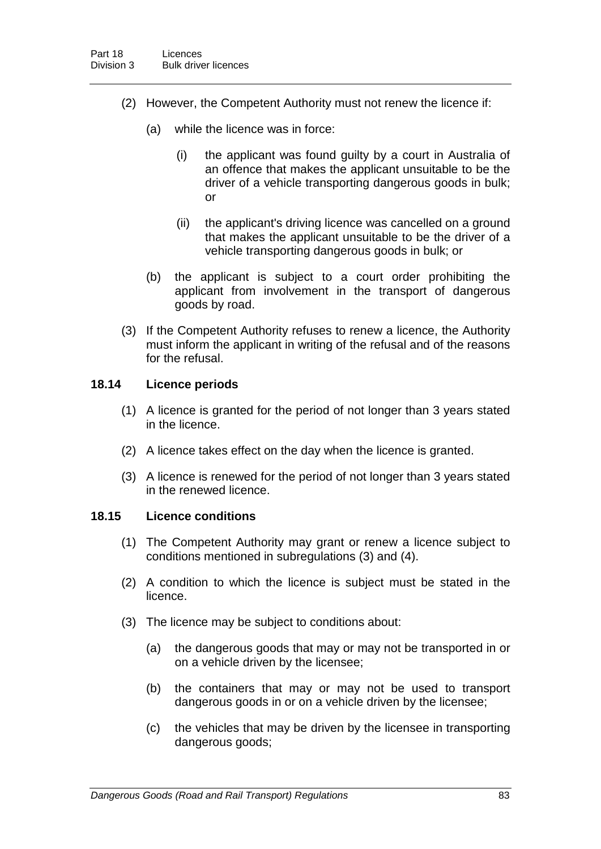- (2) However, the Competent Authority must not renew the licence if:
	- (a) while the licence was in force:
		- (i) the applicant was found guilty by a court in Australia of an offence that makes the applicant unsuitable to be the driver of a vehicle transporting dangerous goods in bulk; or
		- (ii) the applicant's driving licence was cancelled on a ground that makes the applicant unsuitable to be the driver of a vehicle transporting dangerous goods in bulk; or
	- (b) the applicant is subject to a court order prohibiting the applicant from involvement in the transport of dangerous goods by road.
- (3) If the Competent Authority refuses to renew a licence, the Authority must inform the applicant in writing of the refusal and of the reasons for the refusal.

### **18.14 Licence periods**

- (1) A licence is granted for the period of not longer than 3 years stated in the licence.
- (2) A licence takes effect on the day when the licence is granted.
- (3) A licence is renewed for the period of not longer than 3 years stated in the renewed licence.

## **18.15 Licence conditions**

- (1) The Competent Authority may grant or renew a licence subject to conditions mentioned in subregulations (3) and (4).
- (2) A condition to which the licence is subject must be stated in the licence.
- (3) The licence may be subject to conditions about:
	- (a) the dangerous goods that may or may not be transported in or on a vehicle driven by the licensee;
	- (b) the containers that may or may not be used to transport dangerous goods in or on a vehicle driven by the licensee;
	- (c) the vehicles that may be driven by the licensee in transporting dangerous goods;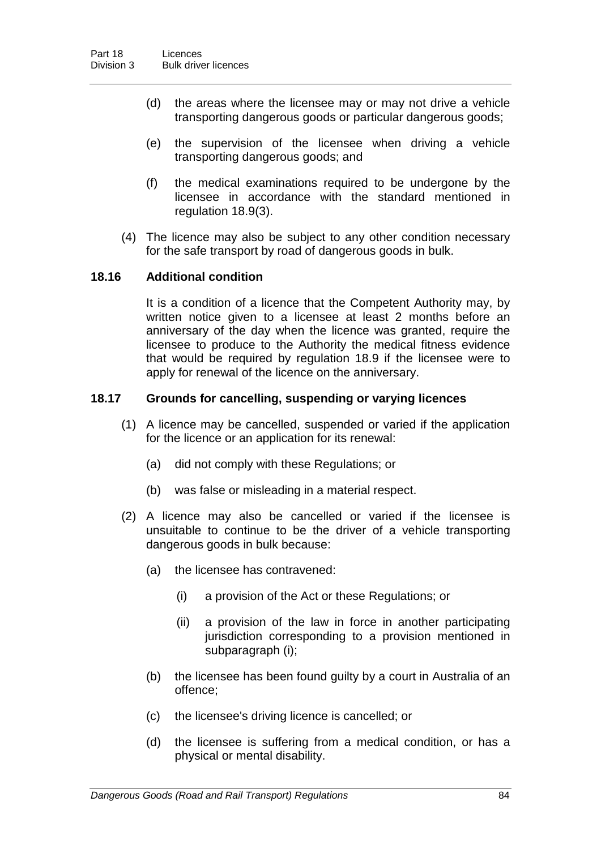- (d) the areas where the licensee may or may not drive a vehicle transporting dangerous goods or particular dangerous goods;
- (e) the supervision of the licensee when driving a vehicle transporting dangerous goods; and
- (f) the medical examinations required to be undergone by the licensee in accordance with the standard mentioned in regulation 18.9(3).
- (4) The licence may also be subject to any other condition necessary for the safe transport by road of dangerous goods in bulk.

### **18.16 Additional condition**

It is a condition of a licence that the Competent Authority may, by written notice given to a licensee at least 2 months before an anniversary of the day when the licence was granted, require the licensee to produce to the Authority the medical fitness evidence that would be required by regulation 18.9 if the licensee were to apply for renewal of the licence on the anniversary.

#### **18.17 Grounds for cancelling, suspending or varying licences**

- (1) A licence may be cancelled, suspended or varied if the application for the licence or an application for its renewal:
	- (a) did not comply with these Regulations; or
	- (b) was false or misleading in a material respect.
- (2) A licence may also be cancelled or varied if the licensee is unsuitable to continue to be the driver of a vehicle transporting dangerous goods in bulk because:
	- (a) the licensee has contravened:
		- (i) a provision of the Act or these Regulations; or
		- (ii) a provision of the law in force in another participating jurisdiction corresponding to a provision mentioned in subparagraph (i);
	- (b) the licensee has been found guilty by a court in Australia of an offence;
	- (c) the licensee's driving licence is cancelled; or
	- (d) the licensee is suffering from a medical condition, or has a physical or mental disability.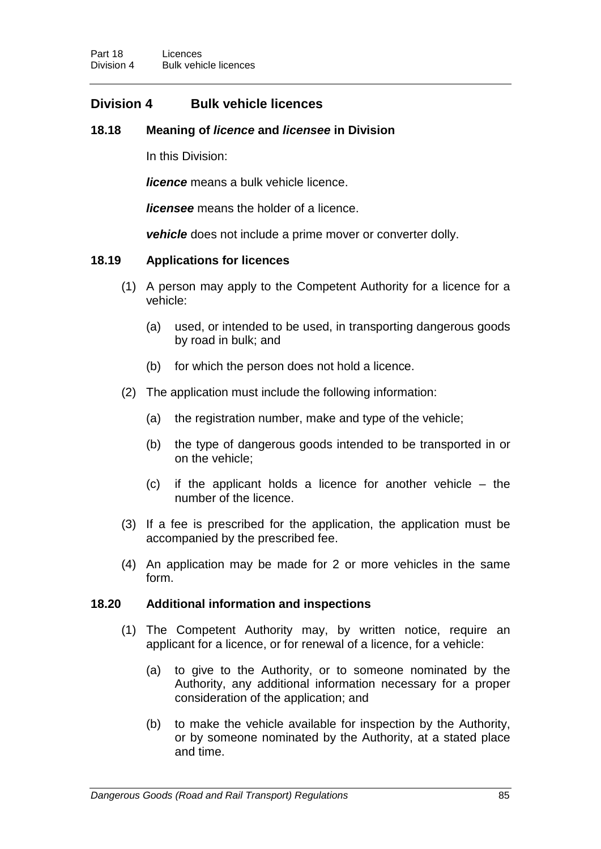# **Division 4 Bulk vehicle licences**

## **18.18 Meaning of** *licence* **and** *licensee* **in Division**

In this Division:

*licence* means a bulk vehicle licence.

*licensee* means the holder of a licence.

*vehicle* does not include a prime mover or converter dolly.

## **18.19 Applications for licences**

- (1) A person may apply to the Competent Authority for a licence for a vehicle:
	- (a) used, or intended to be used, in transporting dangerous goods by road in bulk; and
	- (b) for which the person does not hold a licence.
- (2) The application must include the following information:
	- (a) the registration number, make and type of the vehicle;
	- (b) the type of dangerous goods intended to be transported in or on the vehicle;
	- (c) if the applicant holds a licence for another vehicle the number of the licence.
- (3) If a fee is prescribed for the application, the application must be accompanied by the prescribed fee.
- (4) An application may be made for 2 or more vehicles in the same form.

#### **18.20 Additional information and inspections**

- (1) The Competent Authority may, by written notice, require an applicant for a licence, or for renewal of a licence, for a vehicle:
	- (a) to give to the Authority, or to someone nominated by the Authority, any additional information necessary for a proper consideration of the application; and
	- (b) to make the vehicle available for inspection by the Authority, or by someone nominated by the Authority, at a stated place and time.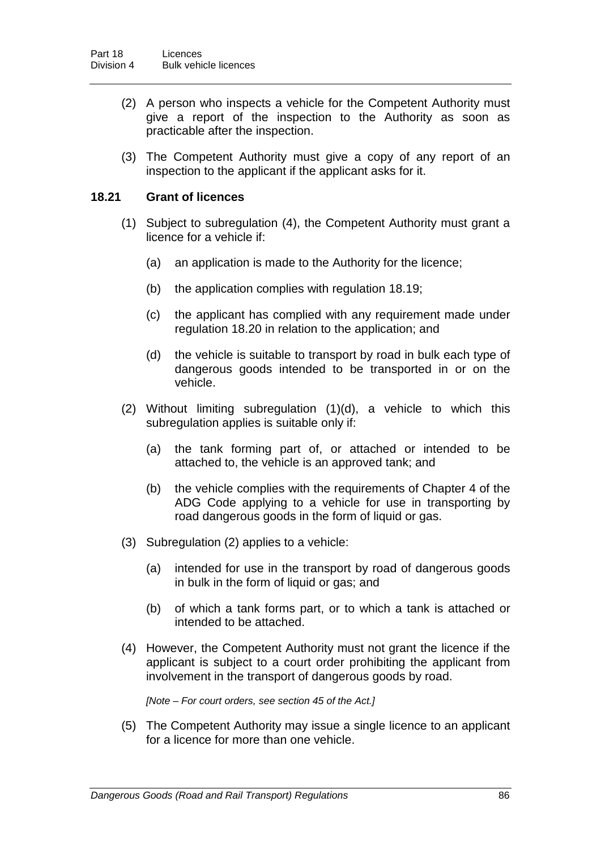- (2) A person who inspects a vehicle for the Competent Authority must give a report of the inspection to the Authority as soon as practicable after the inspection.
- (3) The Competent Authority must give a copy of any report of an inspection to the applicant if the applicant asks for it.

## **18.21 Grant of licences**

- (1) Subject to subregulation (4), the Competent Authority must grant a licence for a vehicle if:
	- (a) an application is made to the Authority for the licence;
	- (b) the application complies with regulation 18.19;
	- (c) the applicant has complied with any requirement made under regulation 18.20 in relation to the application; and
	- (d) the vehicle is suitable to transport by road in bulk each type of dangerous goods intended to be transported in or on the vehicle.
- (2) Without limiting subregulation (1)(d), a vehicle to which this subregulation applies is suitable only if:
	- (a) the tank forming part of, or attached or intended to be attached to, the vehicle is an approved tank; and
	- (b) the vehicle complies with the requirements of Chapter 4 of the ADG Code applying to a vehicle for use in transporting by road dangerous goods in the form of liquid or gas.
- (3) Subregulation (2) applies to a vehicle:
	- (a) intended for use in the transport by road of dangerous goods in bulk in the form of liquid or gas; and
	- (b) of which a tank forms part, or to which a tank is attached or intended to be attached.
- (4) However, the Competent Authority must not grant the licence if the applicant is subject to a court order prohibiting the applicant from involvement in the transport of dangerous goods by road.

*[Note – For court orders, see section 45 of the Act.]*

(5) The Competent Authority may issue a single licence to an applicant for a licence for more than one vehicle.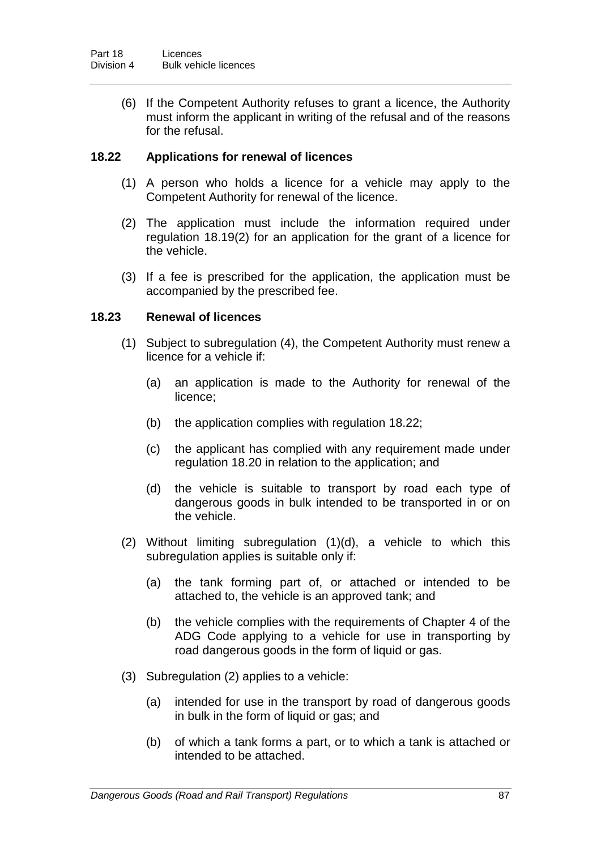(6) If the Competent Authority refuses to grant a licence, the Authority must inform the applicant in writing of the refusal and of the reasons for the refusal.

## **18.22 Applications for renewal of licences**

- (1) A person who holds a licence for a vehicle may apply to the Competent Authority for renewal of the licence.
- (2) The application must include the information required under regulation 18.19(2) for an application for the grant of a licence for the vehicle.
- (3) If a fee is prescribed for the application, the application must be accompanied by the prescribed fee.

### **18.23 Renewal of licences**

- (1) Subject to subregulation (4), the Competent Authority must renew a licence for a vehicle if:
	- (a) an application is made to the Authority for renewal of the licence;
	- (b) the application complies with regulation 18.22;
	- (c) the applicant has complied with any requirement made under regulation 18.20 in relation to the application; and
	- (d) the vehicle is suitable to transport by road each type of dangerous goods in bulk intended to be transported in or on the vehicle.
- (2) Without limiting subregulation (1)(d), a vehicle to which this subregulation applies is suitable only if:
	- (a) the tank forming part of, or attached or intended to be attached to, the vehicle is an approved tank; and
	- (b) the vehicle complies with the requirements of Chapter 4 of the ADG Code applying to a vehicle for use in transporting by road dangerous goods in the form of liquid or gas.
- (3) Subregulation (2) applies to a vehicle:
	- (a) intended for use in the transport by road of dangerous goods in bulk in the form of liquid or gas; and
	- (b) of which a tank forms a part, or to which a tank is attached or intended to be attached.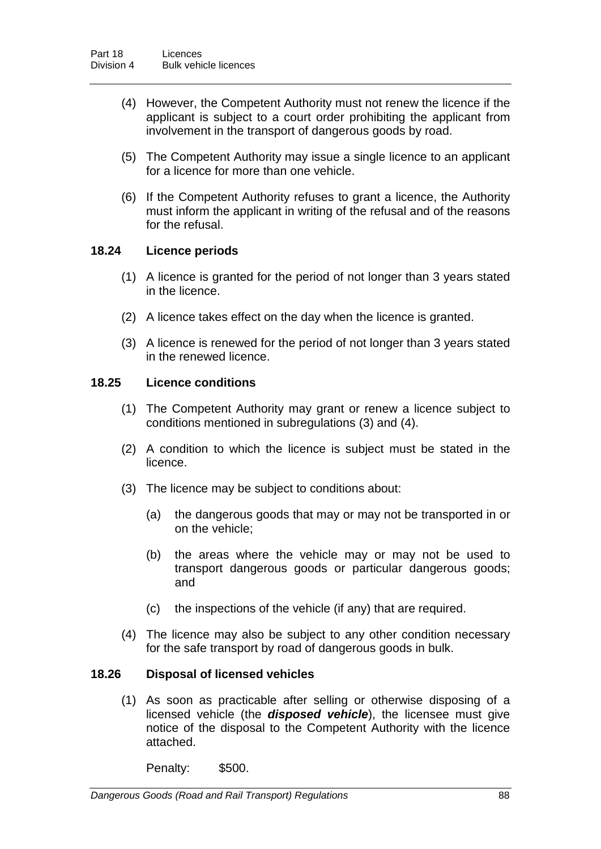- (4) However, the Competent Authority must not renew the licence if the applicant is subject to a court order prohibiting the applicant from involvement in the transport of dangerous goods by road.
- (5) The Competent Authority may issue a single licence to an applicant for a licence for more than one vehicle.
- (6) If the Competent Authority refuses to grant a licence, the Authority must inform the applicant in writing of the refusal and of the reasons for the refusal.

## **18.24 Licence periods**

- (1) A licence is granted for the period of not longer than 3 years stated in the licence.
- (2) A licence takes effect on the day when the licence is granted.
- (3) A licence is renewed for the period of not longer than 3 years stated in the renewed licence.

## **18.25 Licence conditions**

- (1) The Competent Authority may grant or renew a licence subject to conditions mentioned in subregulations (3) and (4).
- (2) A condition to which the licence is subject must be stated in the licence.
- (3) The licence may be subject to conditions about:
	- (a) the dangerous goods that may or may not be transported in or on the vehicle;
	- (b) the areas where the vehicle may or may not be used to transport dangerous goods or particular dangerous goods; and
	- (c) the inspections of the vehicle (if any) that are required.
- (4) The licence may also be subject to any other condition necessary for the safe transport by road of dangerous goods in bulk.

#### **18.26 Disposal of licensed vehicles**

(1) As soon as practicable after selling or otherwise disposing of a licensed vehicle (the *disposed vehicle*), the licensee must give notice of the disposal to the Competent Authority with the licence attached.

Penalty: \$500.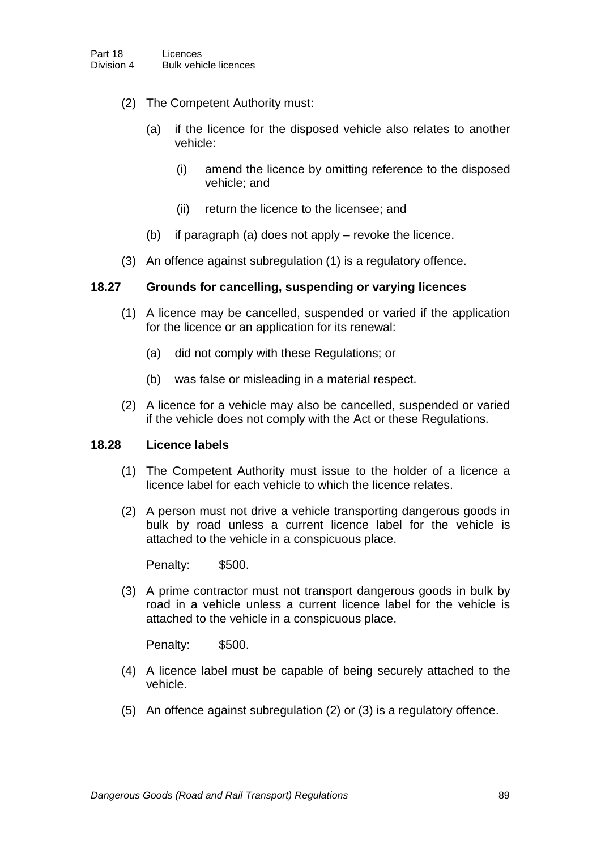- (2) The Competent Authority must:
	- (a) if the licence for the disposed vehicle also relates to another vehicle:
		- (i) amend the licence by omitting reference to the disposed vehicle; and
		- (ii) return the licence to the licensee; and
	- (b) if paragraph (a) does not apply revoke the licence.
- (3) An offence against subregulation (1) is a regulatory offence.

### **18.27 Grounds for cancelling, suspending or varying licences**

- (1) A licence may be cancelled, suspended or varied if the application for the licence or an application for its renewal:
	- (a) did not comply with these Regulations; or
	- (b) was false or misleading in a material respect.
- (2) A licence for a vehicle may also be cancelled, suspended or varied if the vehicle does not comply with the Act or these Regulations.

#### **18.28 Licence labels**

- (1) The Competent Authority must issue to the holder of a licence a licence label for each vehicle to which the licence relates.
- (2) A person must not drive a vehicle transporting dangerous goods in bulk by road unless a current licence label for the vehicle is attached to the vehicle in a conspicuous place.

Penalty: \$500.

(3) A prime contractor must not transport dangerous goods in bulk by road in a vehicle unless a current licence label for the vehicle is attached to the vehicle in a conspicuous place.

Penalty: \$500.

- (4) A licence label must be capable of being securely attached to the vehicle.
- (5) An offence against subregulation (2) or (3) is a regulatory offence.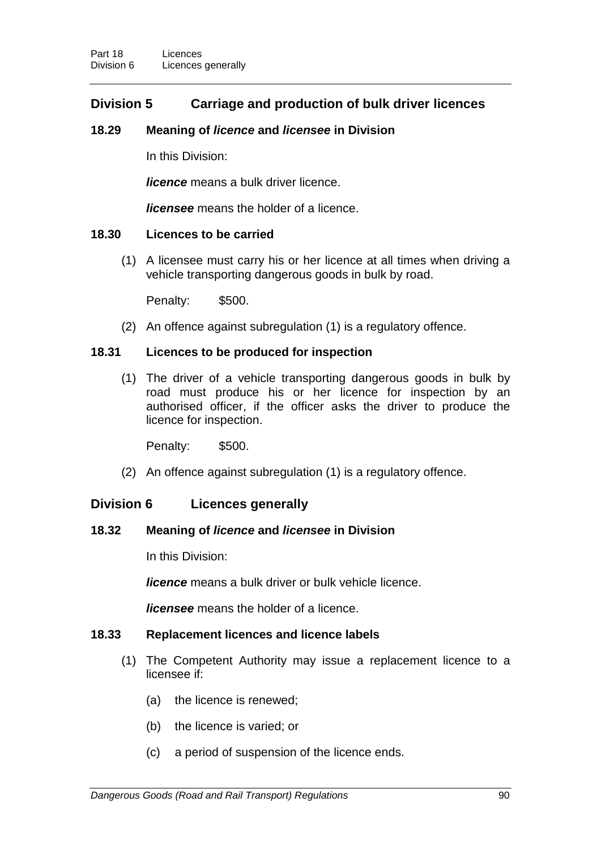# **Division 5 Carriage and production of bulk driver licences**

## **18.29 Meaning of** *licence* **and** *licensee* **in Division**

In this Division:

*licence* means a bulk driver licence.

*licensee* means the holder of a licence.

## **18.30 Licences to be carried**

(1) A licensee must carry his or her licence at all times when driving a vehicle transporting dangerous goods in bulk by road.

Penalty: \$500.

(2) An offence against subregulation (1) is a regulatory offence.

## **18.31 Licences to be produced for inspection**

(1) The driver of a vehicle transporting dangerous goods in bulk by road must produce his or her licence for inspection by an authorised officer, if the officer asks the driver to produce the licence for inspection.

Penalty: \$500.

(2) An offence against subregulation (1) is a regulatory offence.

## **Division 6 Licences generally**

#### **18.32 Meaning of** *licence* **and** *licensee* **in Division**

In this Division:

*licence* means a bulk driver or bulk vehicle licence.

*licensee* means the holder of a licence.

## **18.33 Replacement licences and licence labels**

- (1) The Competent Authority may issue a replacement licence to a licensee if:
	- (a) the licence is renewed;
	- (b) the licence is varied; or
	- (c) a period of suspension of the licence ends.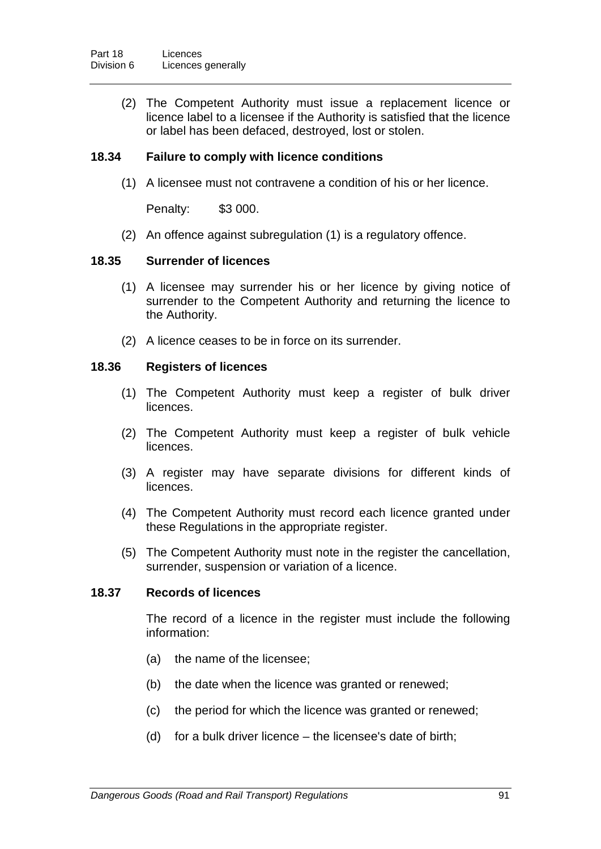(2) The Competent Authority must issue a replacement licence or licence label to a licensee if the Authority is satisfied that the licence or label has been defaced, destroyed, lost or stolen.

## **18.34 Failure to comply with licence conditions**

(1) A licensee must not contravene a condition of his or her licence.

Penalty: \$3 000.

(2) An offence against subregulation (1) is a regulatory offence.

### **18.35 Surrender of licences**

- (1) A licensee may surrender his or her licence by giving notice of surrender to the Competent Authority and returning the licence to the Authority.
- (2) A licence ceases to be in force on its surrender.

### **18.36 Registers of licences**

- (1) The Competent Authority must keep a register of bulk driver licences.
- (2) The Competent Authority must keep a register of bulk vehicle licences.
- (3) A register may have separate divisions for different kinds of licences.
- (4) The Competent Authority must record each licence granted under these Regulations in the appropriate register.
- (5) The Competent Authority must note in the register the cancellation, surrender, suspension or variation of a licence.

#### **18.37 Records of licences**

The record of a licence in the register must include the following information:

- (a) the name of the licensee;
- (b) the date when the licence was granted or renewed;
- (c) the period for which the licence was granted or renewed;
- (d) for a bulk driver licence the licensee's date of birth;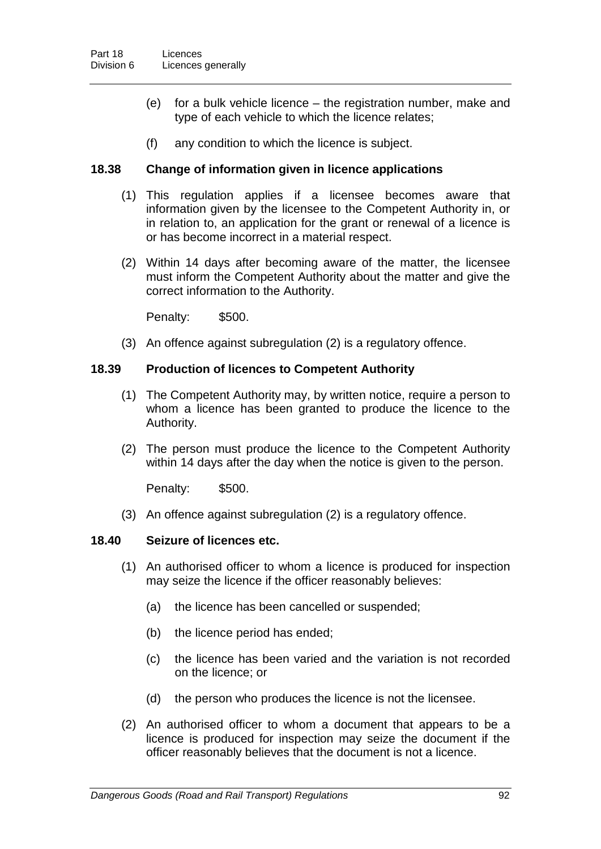- (e) for a bulk vehicle licence the registration number, make and type of each vehicle to which the licence relates;
- (f) any condition to which the licence is subject.

## **18.38 Change of information given in licence applications**

- (1) This regulation applies if a licensee becomes aware that information given by the licensee to the Competent Authority in, or in relation to, an application for the grant or renewal of a licence is or has become incorrect in a material respect.
- (2) Within 14 days after becoming aware of the matter, the licensee must inform the Competent Authority about the matter and give the correct information to the Authority.

Penalty: \$500.

(3) An offence against subregulation (2) is a regulatory offence.

## **18.39 Production of licences to Competent Authority**

- (1) The Competent Authority may, by written notice, require a person to whom a licence has been granted to produce the licence to the Authority.
- (2) The person must produce the licence to the Competent Authority within 14 days after the day when the notice is given to the person.

Penalty: \$500.

(3) An offence against subregulation (2) is a regulatory offence.

## **18.40 Seizure of licences etc.**

- (1) An authorised officer to whom a licence is produced for inspection may seize the licence if the officer reasonably believes:
	- (a) the licence has been cancelled or suspended;
	- (b) the licence period has ended;
	- (c) the licence has been varied and the variation is not recorded on the licence; or
	- (d) the person who produces the licence is not the licensee.
- (2) An authorised officer to whom a document that appears to be a licence is produced for inspection may seize the document if the officer reasonably believes that the document is not a licence.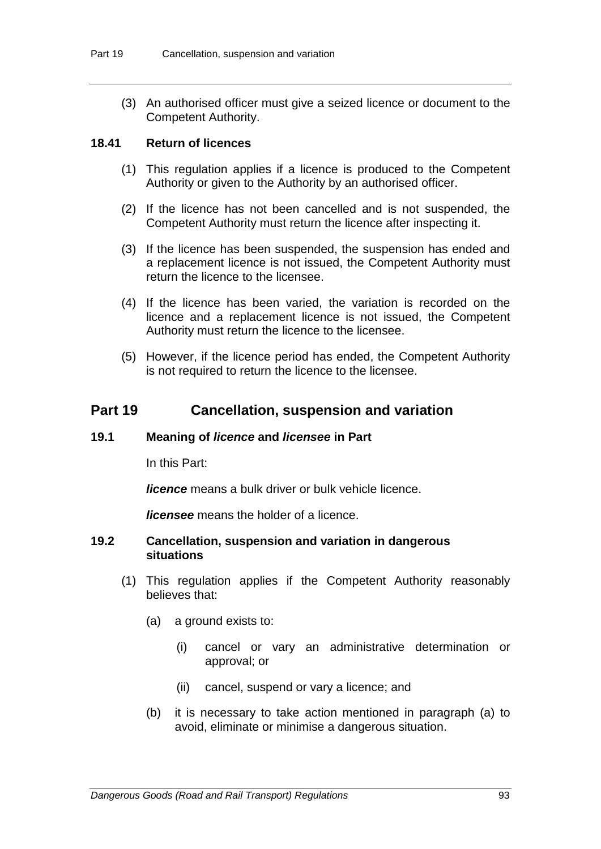(3) An authorised officer must give a seized licence or document to the Competent Authority.

### **18.41 Return of licences**

- (1) This regulation applies if a licence is produced to the Competent Authority or given to the Authority by an authorised officer.
- (2) If the licence has not been cancelled and is not suspended, the Competent Authority must return the licence after inspecting it.
- (3) If the licence has been suspended, the suspension has ended and a replacement licence is not issued, the Competent Authority must return the licence to the licensee.
- (4) If the licence has been varied, the variation is recorded on the licence and a replacement licence is not issued, the Competent Authority must return the licence to the licensee.
- (5) However, if the licence period has ended, the Competent Authority is not required to return the licence to the licensee.

## **Part 19 Cancellation, suspension and variation**

### **19.1 Meaning of** *licence* **and** *licensee* **in Part**

In this Part:

*licence* means a bulk driver or bulk vehicle licence.

*licensee* means the holder of a licence.

### **19.2 Cancellation, suspension and variation in dangerous situations**

- (1) This regulation applies if the Competent Authority reasonably believes that:
	- (a) a ground exists to:
		- (i) cancel or vary an administrative determination or approval; or
		- (ii) cancel, suspend or vary a licence; and
	- (b) it is necessary to take action mentioned in paragraph (a) to avoid, eliminate or minimise a dangerous situation.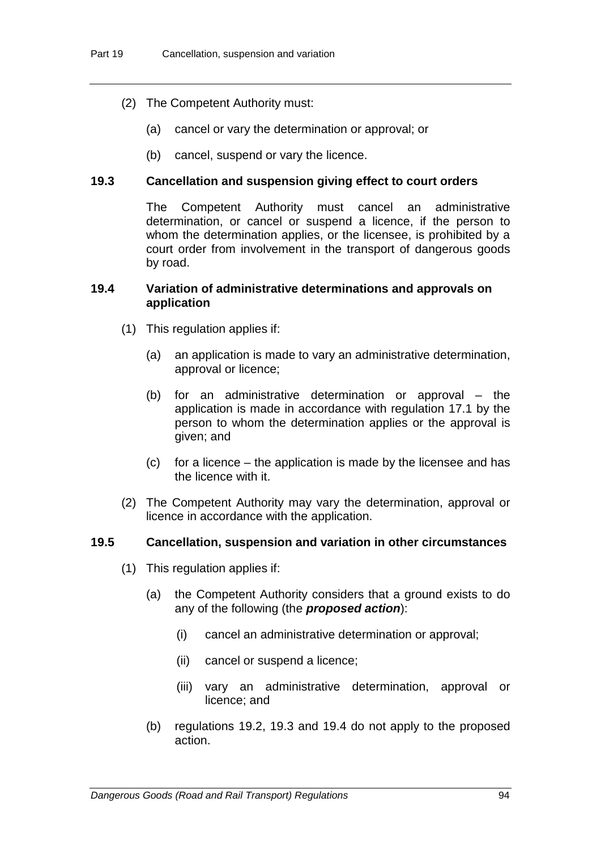- (2) The Competent Authority must:
	- (a) cancel or vary the determination or approval; or
	- (b) cancel, suspend or vary the licence.

## **19.3 Cancellation and suspension giving effect to court orders**

The Competent Authority must cancel an administrative determination, or cancel or suspend a licence, if the person to whom the determination applies, or the licensee, is prohibited by a court order from involvement in the transport of dangerous goods by road.

### **19.4 Variation of administrative determinations and approvals on application**

- (1) This regulation applies if:
	- (a) an application is made to vary an administrative determination, approval or licence;
	- (b) for an administrative determination or approval the application is made in accordance with regulation 17.1 by the person to whom the determination applies or the approval is given; and
	- (c) for a licence the application is made by the licensee and has the licence with it.
- (2) The Competent Authority may vary the determination, approval or licence in accordance with the application.

## **19.5 Cancellation, suspension and variation in other circumstances**

- (1) This regulation applies if:
	- (a) the Competent Authority considers that a ground exists to do any of the following (the *proposed action*):
		- (i) cancel an administrative determination or approval;
		- (ii) cancel or suspend a licence;
		- (iii) vary an administrative determination, approval or licence; and
	- (b) regulations 19.2, 19.3 and 19.4 do not apply to the proposed action.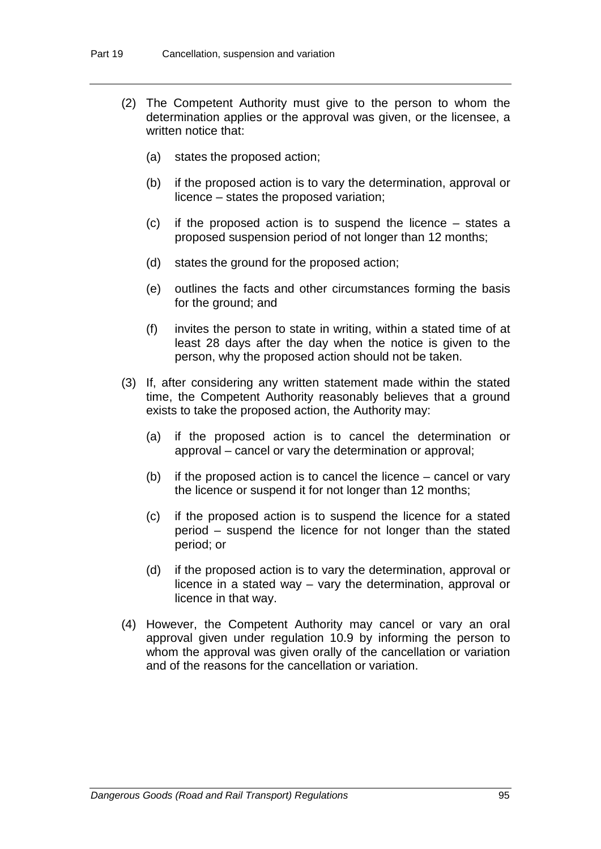- (2) The Competent Authority must give to the person to whom the determination applies or the approval was given, or the licensee, a written notice that:
	- (a) states the proposed action;
	- (b) if the proposed action is to vary the determination, approval or licence – states the proposed variation;
	- (c) if the proposed action is to suspend the licence states a proposed suspension period of not longer than 12 months;
	- (d) states the ground for the proposed action;
	- (e) outlines the facts and other circumstances forming the basis for the ground; and
	- (f) invites the person to state in writing, within a stated time of at least 28 days after the day when the notice is given to the person, why the proposed action should not be taken.
- (3) If, after considering any written statement made within the stated time, the Competent Authority reasonably believes that a ground exists to take the proposed action, the Authority may:
	- (a) if the proposed action is to cancel the determination or approval – cancel or vary the determination or approval;
	- (b) if the proposed action is to cancel the licence cancel or vary the licence or suspend it for not longer than 12 months;
	- (c) if the proposed action is to suspend the licence for a stated period – suspend the licence for not longer than the stated period; or
	- (d) if the proposed action is to vary the determination, approval or licence in a stated way – vary the determination, approval or licence in that way.
- (4) However, the Competent Authority may cancel or vary an oral approval given under regulation 10.9 by informing the person to whom the approval was given orally of the cancellation or variation and of the reasons for the cancellation or variation.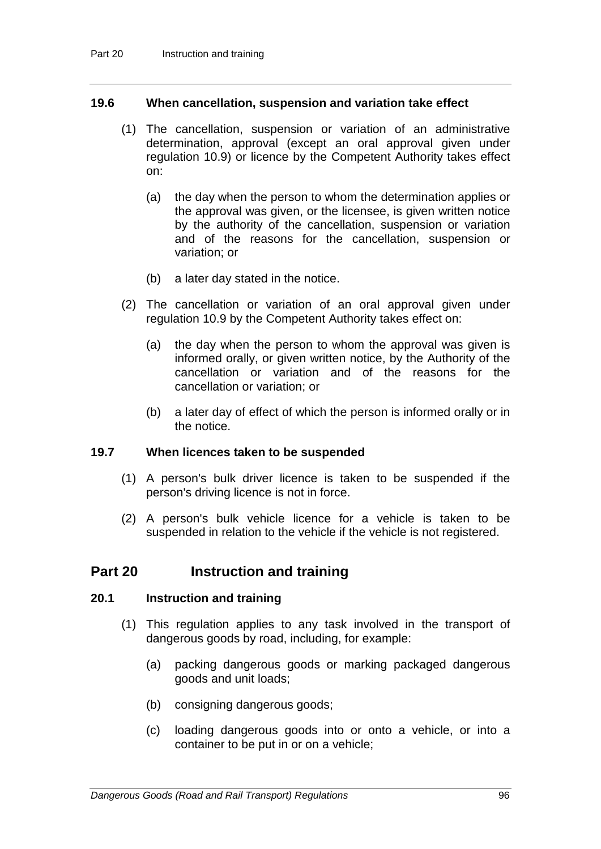### **19.6 When cancellation, suspension and variation take effect**

- (1) The cancellation, suspension or variation of an administrative determination, approval (except an oral approval given under regulation 10.9) or licence by the Competent Authority takes effect on:
	- (a) the day when the person to whom the determination applies or the approval was given, or the licensee, is given written notice by the authority of the cancellation, suspension or variation and of the reasons for the cancellation, suspension or variation; or
	- (b) a later day stated in the notice.
- (2) The cancellation or variation of an oral approval given under regulation 10.9 by the Competent Authority takes effect on:
	- (a) the day when the person to whom the approval was given is informed orally, or given written notice, by the Authority of the cancellation or variation and of the reasons for the cancellation or variation; or
	- (b) a later day of effect of which the person is informed orally or in the notice.

#### **19.7 When licences taken to be suspended**

- (1) A person's bulk driver licence is taken to be suspended if the person's driving licence is not in force.
- (2) A person's bulk vehicle licence for a vehicle is taken to be suspended in relation to the vehicle if the vehicle is not registered.

## **Part 20 Instruction and training**

## **20.1 Instruction and training**

- (1) This regulation applies to any task involved in the transport of dangerous goods by road, including, for example:
	- (a) packing dangerous goods or marking packaged dangerous goods and unit loads;
	- (b) consigning dangerous goods;
	- (c) loading dangerous goods into or onto a vehicle, or into a container to be put in or on a vehicle;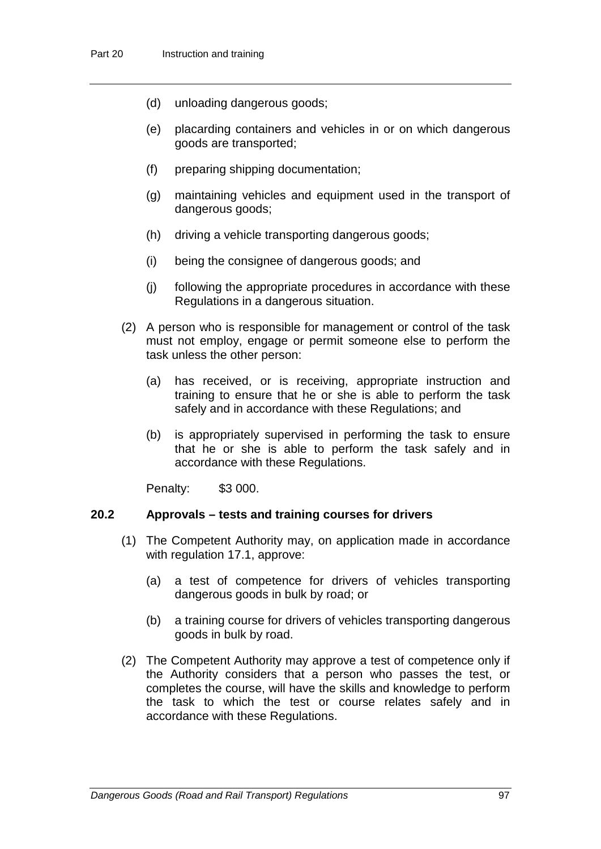- (d) unloading dangerous goods;
- (e) placarding containers and vehicles in or on which dangerous goods are transported;
- (f) preparing shipping documentation;
- (g) maintaining vehicles and equipment used in the transport of dangerous goods;
- (h) driving a vehicle transporting dangerous goods;
- (i) being the consignee of dangerous goods; and
- (j) following the appropriate procedures in accordance with these Regulations in a dangerous situation.
- (2) A person who is responsible for management or control of the task must not employ, engage or permit someone else to perform the task unless the other person:
	- (a) has received, or is receiving, appropriate instruction and training to ensure that he or she is able to perform the task safely and in accordance with these Regulations; and
	- (b) is appropriately supervised in performing the task to ensure that he or she is able to perform the task safely and in accordance with these Regulations.

Penalty: \$3 000.

### **20.2 Approvals – tests and training courses for drivers**

- (1) The Competent Authority may, on application made in accordance with regulation 17.1, approve:
	- (a) a test of competence for drivers of vehicles transporting dangerous goods in bulk by road; or
	- (b) a training course for drivers of vehicles transporting dangerous goods in bulk by road.
- (2) The Competent Authority may approve a test of competence only if the Authority considers that a person who passes the test, or completes the course, will have the skills and knowledge to perform the task to which the test or course relates safely and in accordance with these Regulations.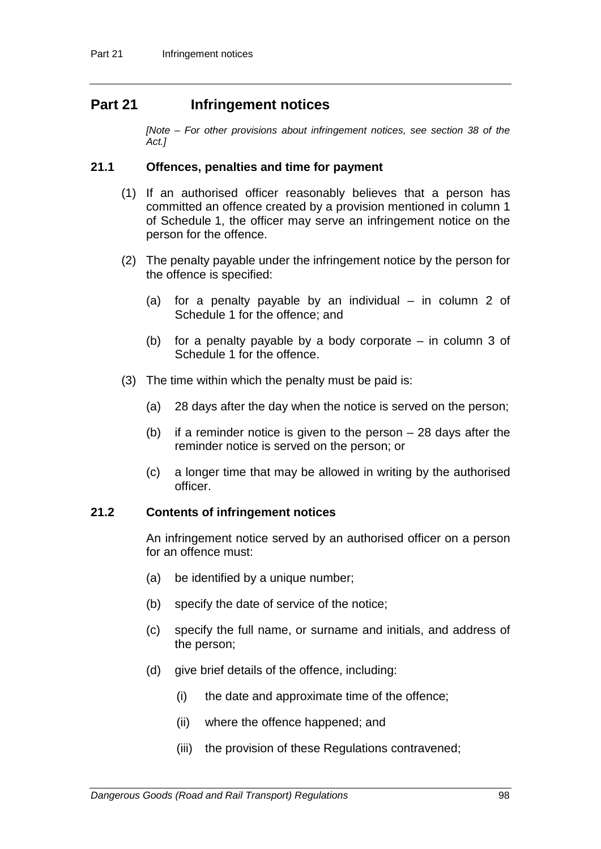# **Part 21 Infringement notices**

*[Note – For other provisions about infringement notices, see section 38 of the Act.]*

#### **21.1 Offences, penalties and time for payment**

- (1) If an authorised officer reasonably believes that a person has committed an offence created by a provision mentioned in column 1 of Schedule 1, the officer may serve an infringement notice on the person for the offence.
- (2) The penalty payable under the infringement notice by the person for the offence is specified:
	- (a) for a penalty payable by an individual in column 2 of Schedule 1 for the offence; and
	- (b) for a penalty payable by a body corporate in column 3 of Schedule 1 for the offence.
- (3) The time within which the penalty must be paid is:
	- (a) 28 days after the day when the notice is served on the person;
	- (b) if a reminder notice is given to the person 28 days after the reminder notice is served on the person; or
	- (c) a longer time that may be allowed in writing by the authorised officer.

#### **21.2 Contents of infringement notices**

An infringement notice served by an authorised officer on a person for an offence must:

- (a) be identified by a unique number;
- (b) specify the date of service of the notice;
- (c) specify the full name, or surname and initials, and address of the person;
- (d) give brief details of the offence, including:
	- (i) the date and approximate time of the offence;
	- (ii) where the offence happened; and
	- (iii) the provision of these Regulations contravened;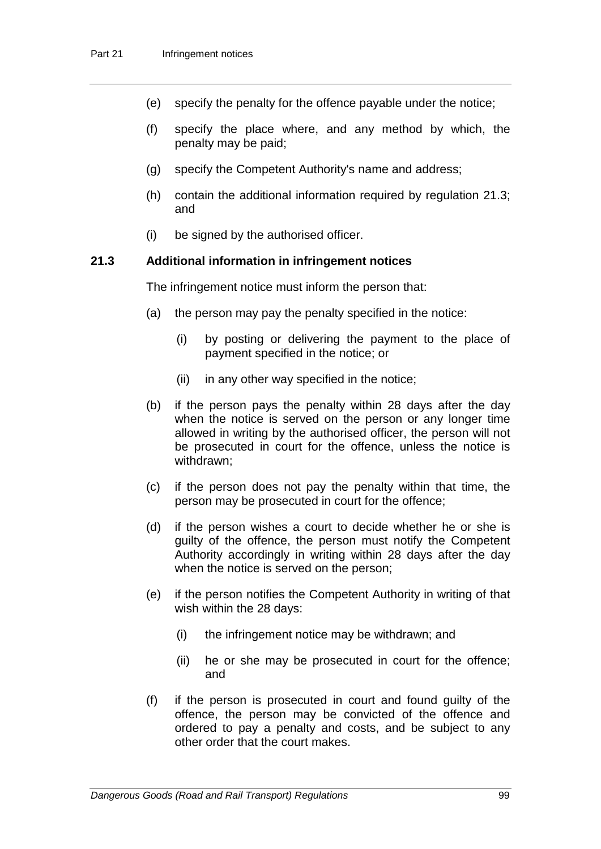- (e) specify the penalty for the offence payable under the notice;
- (f) specify the place where, and any method by which, the penalty may be paid;
- (g) specify the Competent Authority's name and address;
- (h) contain the additional information required by regulation 21.3; and
- (i) be signed by the authorised officer.

### **21.3 Additional information in infringement notices**

The infringement notice must inform the person that:

- (a) the person may pay the penalty specified in the notice:
	- (i) by posting or delivering the payment to the place of payment specified in the notice; or
	- (ii) in any other way specified in the notice;
- (b) if the person pays the penalty within 28 days after the day when the notice is served on the person or any longer time allowed in writing by the authorised officer, the person will not be prosecuted in court for the offence, unless the notice is withdrawn;
- (c) if the person does not pay the penalty within that time, the person may be prosecuted in court for the offence;
- (d) if the person wishes a court to decide whether he or she is guilty of the offence, the person must notify the Competent Authority accordingly in writing within 28 days after the day when the notice is served on the person;
- (e) if the person notifies the Competent Authority in writing of that wish within the 28 days:
	- (i) the infringement notice may be withdrawn; and
	- (ii) he or she may be prosecuted in court for the offence; and
- (f) if the person is prosecuted in court and found guilty of the offence, the person may be convicted of the offence and ordered to pay a penalty and costs, and be subject to any other order that the court makes.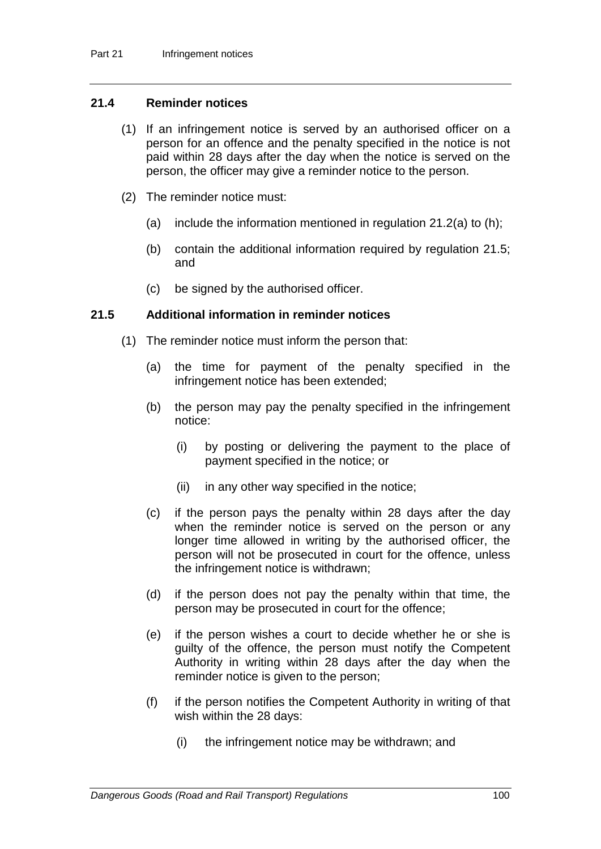### **21.4 Reminder notices**

- (1) If an infringement notice is served by an authorised officer on a person for an offence and the penalty specified in the notice is not paid within 28 days after the day when the notice is served on the person, the officer may give a reminder notice to the person.
- (2) The reminder notice must:
	- (a) include the information mentioned in regulation  $21.2(a)$  to (h);
	- (b) contain the additional information required by regulation 21.5; and
	- (c) be signed by the authorised officer.

### **21.5 Additional information in reminder notices**

- (1) The reminder notice must inform the person that:
	- (a) the time for payment of the penalty specified in the infringement notice has been extended;
	- (b) the person may pay the penalty specified in the infringement notice:
		- (i) by posting or delivering the payment to the place of payment specified in the notice; or
		- (ii) in any other way specified in the notice;
	- (c) if the person pays the penalty within 28 days after the day when the reminder notice is served on the person or any longer time allowed in writing by the authorised officer, the person will not be prosecuted in court for the offence, unless the infringement notice is withdrawn;
	- (d) if the person does not pay the penalty within that time, the person may be prosecuted in court for the offence;
	- (e) if the person wishes a court to decide whether he or she is guilty of the offence, the person must notify the Competent Authority in writing within 28 days after the day when the reminder notice is given to the person;
	- (f) if the person notifies the Competent Authority in writing of that wish within the 28 days:
		- (i) the infringement notice may be withdrawn; and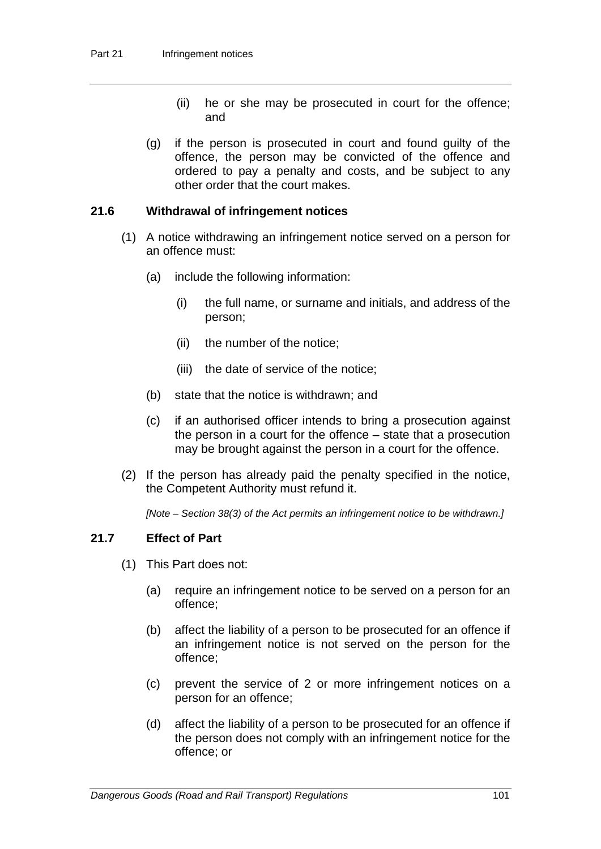- (ii) he or she may be prosecuted in court for the offence; and
- (g) if the person is prosecuted in court and found guilty of the offence, the person may be convicted of the offence and ordered to pay a penalty and costs, and be subject to any other order that the court makes.

### **21.6 Withdrawal of infringement notices**

- (1) A notice withdrawing an infringement notice served on a person for an offence must:
	- (a) include the following information:
		- (i) the full name, or surname and initials, and address of the person;
		- (ii) the number of the notice;
		- (iii) the date of service of the notice;
	- (b) state that the notice is withdrawn; and
	- (c) if an authorised officer intends to bring a prosecution against the person in a court for the offence – state that a prosecution may be brought against the person in a court for the offence.
- (2) If the person has already paid the penalty specified in the notice, the Competent Authority must refund it.

*[Note – Section 38(3) of the Act permits an infringement notice to be withdrawn.]*

### **21.7 Effect of Part**

- (1) This Part does not:
	- (a) require an infringement notice to be served on a person for an offence;
	- (b) affect the liability of a person to be prosecuted for an offence if an infringement notice is not served on the person for the offence;
	- (c) prevent the service of 2 or more infringement notices on a person for an offence;
	- (d) affect the liability of a person to be prosecuted for an offence if the person does not comply with an infringement notice for the offence; or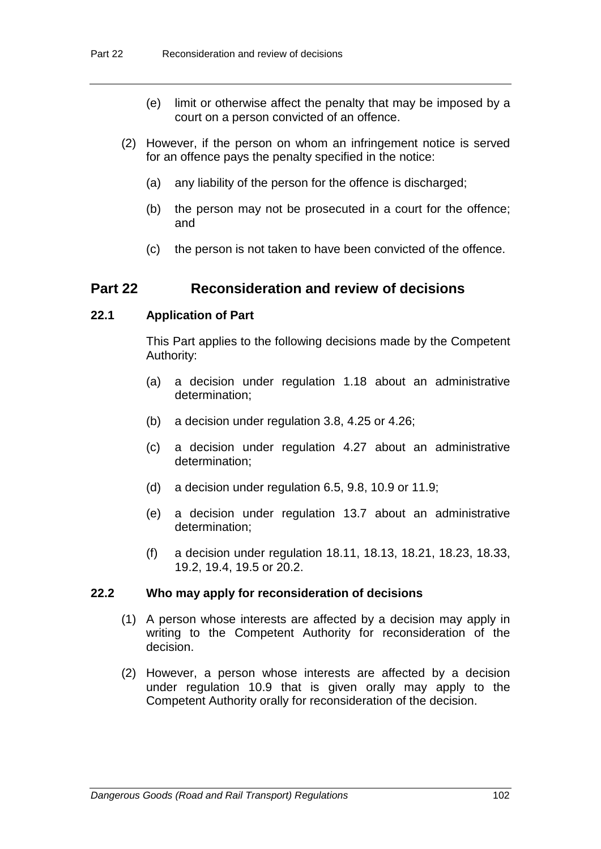- (e) limit or otherwise affect the penalty that may be imposed by a court on a person convicted of an offence.
- (2) However, if the person on whom an infringement notice is served for an offence pays the penalty specified in the notice:
	- (a) any liability of the person for the offence is discharged;
	- (b) the person may not be prosecuted in a court for the offence; and
	- (c) the person is not taken to have been convicted of the offence.

# **Part 22 Reconsideration and review of decisions**

### **22.1 Application of Part**

This Part applies to the following decisions made by the Competent Authority:

- (a) a decision under regulation 1.18 about an administrative determination;
- (b) a decision under regulation 3.8, 4.25 or 4.26;
- (c) a decision under regulation 4.27 about an administrative determination;
- (d) a decision under regulation 6.5, 9.8, 10.9 or 11.9;
- (e) a decision under regulation 13.7 about an administrative determination;
- (f) a decision under regulation 18.11, 18.13, 18.21, 18.23, 18.33, 19.2, 19.4, 19.5 or 20.2.

#### **22.2 Who may apply for reconsideration of decisions**

- (1) A person whose interests are affected by a decision may apply in writing to the Competent Authority for reconsideration of the decision.
- (2) However, a person whose interests are affected by a decision under regulation 10.9 that is given orally may apply to the Competent Authority orally for reconsideration of the decision.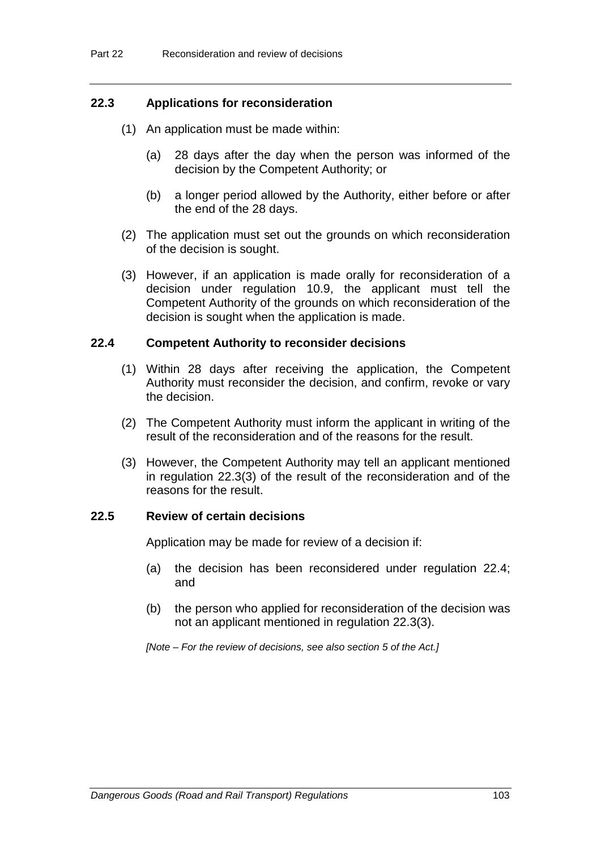### **22.3 Applications for reconsideration**

- (1) An application must be made within:
	- (a) 28 days after the day when the person was informed of the decision by the Competent Authority; or
	- (b) a longer period allowed by the Authority, either before or after the end of the 28 days.
- (2) The application must set out the grounds on which reconsideration of the decision is sought.
- (3) However, if an application is made orally for reconsideration of a decision under regulation 10.9, the applicant must tell the Competent Authority of the grounds on which reconsideration of the decision is sought when the application is made.

#### **22.4 Competent Authority to reconsider decisions**

- (1) Within 28 days after receiving the application, the Competent Authority must reconsider the decision, and confirm, revoke or vary the decision.
- (2) The Competent Authority must inform the applicant in writing of the result of the reconsideration and of the reasons for the result.
- (3) However, the Competent Authority may tell an applicant mentioned in regulation 22.3(3) of the result of the reconsideration and of the reasons for the result.

#### **22.5 Review of certain decisions**

Application may be made for review of a decision if:

- (a) the decision has been reconsidered under regulation 22.4; and
- (b) the person who applied for reconsideration of the decision was not an applicant mentioned in regulation 22.3(3).

*[Note – For the review of decisions, see also section 5 of the Act.]*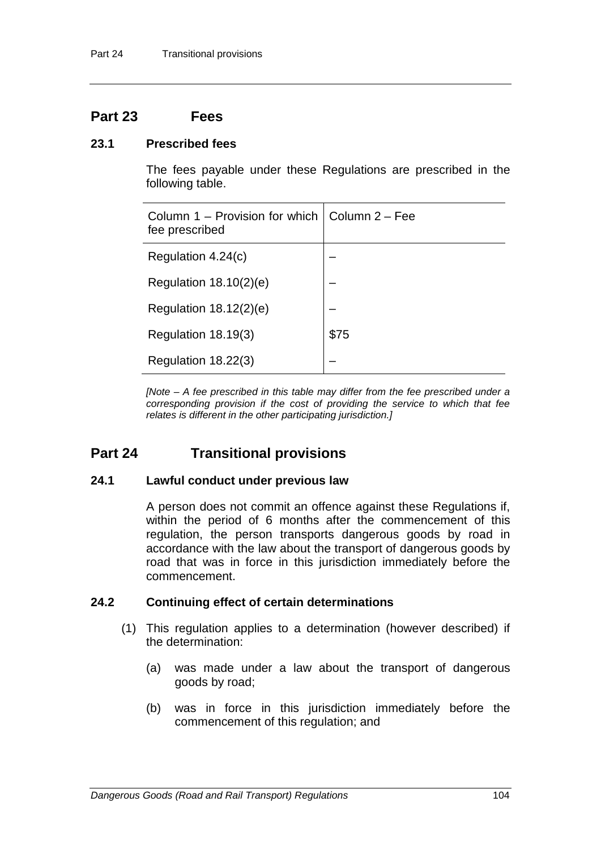# **Part 23 Fees**

### **23.1 Prescribed fees**

The fees payable under these Regulations are prescribed in the following table.

| Column 1 – Provision for which $\vert$ Column 2 – Fee<br>fee prescribed |      |
|-------------------------------------------------------------------------|------|
| Regulation 4.24(c)                                                      |      |
| Regulation $18.10(2)(e)$                                                |      |
| Regulation $18.12(2)(e)$                                                |      |
| Regulation 18.19(3)                                                     | \$75 |
| Regulation 18.22(3)                                                     |      |

*[Note – A fee prescribed in this table may differ from the fee prescribed under a corresponding provision if the cost of providing the service to which that fee relates is different in the other participating jurisdiction.]*

# **Part 24 Transitional provisions**

### **24.1 Lawful conduct under previous law**

A person does not commit an offence against these Regulations if, within the period of 6 months after the commencement of this regulation, the person transports dangerous goods by road in accordance with the law about the transport of dangerous goods by road that was in force in this jurisdiction immediately before the commencement.

### **24.2 Continuing effect of certain determinations**

- (1) This regulation applies to a determination (however described) if the determination:
	- (a) was made under a law about the transport of dangerous goods by road;
	- (b) was in force in this jurisdiction immediately before the commencement of this regulation; and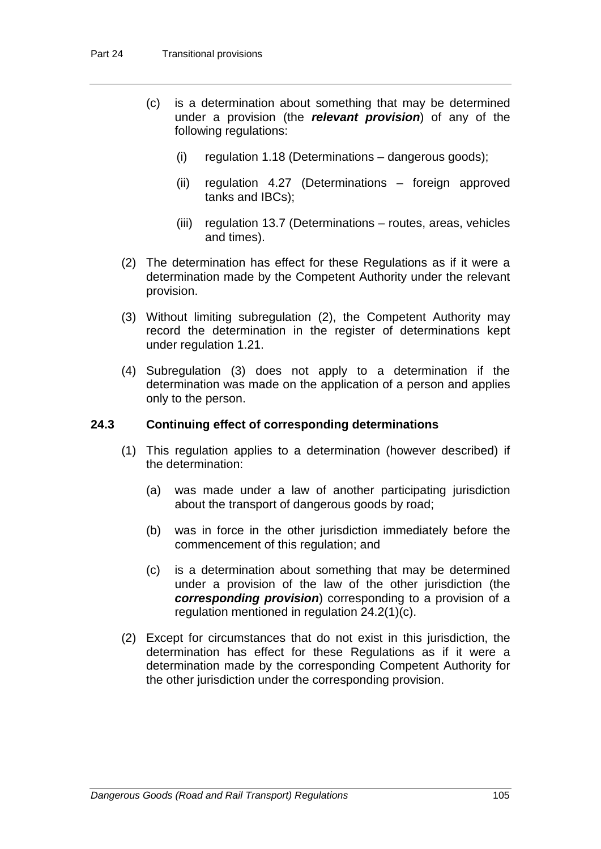- (c) is a determination about something that may be determined under a provision (the *relevant provision*) of any of the following regulations:
	- (i) regulation 1.18 (Determinations dangerous goods);
	- (ii) regulation 4.27 (Determinations foreign approved tanks and IBCs);
	- (iii) regulation 13.7 (Determinations routes, areas, vehicles and times).
- (2) The determination has effect for these Regulations as if it were a determination made by the Competent Authority under the relevant provision.
- (3) Without limiting subregulation (2), the Competent Authority may record the determination in the register of determinations kept under regulation 1.21.
- (4) Subregulation (3) does not apply to a determination if the determination was made on the application of a person and applies only to the person.

### **24.3 Continuing effect of corresponding determinations**

- (1) This regulation applies to a determination (however described) if the determination:
	- (a) was made under a law of another participating jurisdiction about the transport of dangerous goods by road;
	- (b) was in force in the other jurisdiction immediately before the commencement of this regulation; and
	- (c) is a determination about something that may be determined under a provision of the law of the other jurisdiction (the *corresponding provision*) corresponding to a provision of a regulation mentioned in regulation 24.2(1)(c).
- (2) Except for circumstances that do not exist in this jurisdiction, the determination has effect for these Regulations as if it were a determination made by the corresponding Competent Authority for the other jurisdiction under the corresponding provision.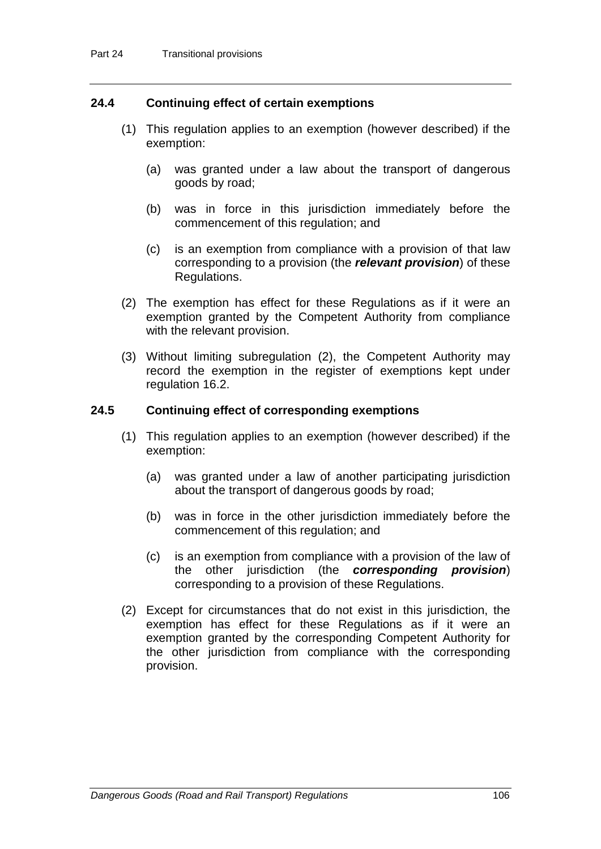### **24.4 Continuing effect of certain exemptions**

- (1) This regulation applies to an exemption (however described) if the exemption:
	- (a) was granted under a law about the transport of dangerous goods by road;
	- (b) was in force in this jurisdiction immediately before the commencement of this regulation; and
	- (c) is an exemption from compliance with a provision of that law corresponding to a provision (the *relevant provision*) of these Regulations.
- (2) The exemption has effect for these Regulations as if it were an exemption granted by the Competent Authority from compliance with the relevant provision.
- (3) Without limiting subregulation (2), the Competent Authority may record the exemption in the register of exemptions kept under regulation 16.2.

#### **24.5 Continuing effect of corresponding exemptions**

- (1) This regulation applies to an exemption (however described) if the exemption:
	- (a) was granted under a law of another participating jurisdiction about the transport of dangerous goods by road;
	- (b) was in force in the other jurisdiction immediately before the commencement of this regulation; and
	- (c) is an exemption from compliance with a provision of the law of the other jurisdiction (the *corresponding provision*) corresponding to a provision of these Regulations.
- (2) Except for circumstances that do not exist in this jurisdiction, the exemption has effect for these Regulations as if it were an exemption granted by the corresponding Competent Authority for the other jurisdiction from compliance with the corresponding provision.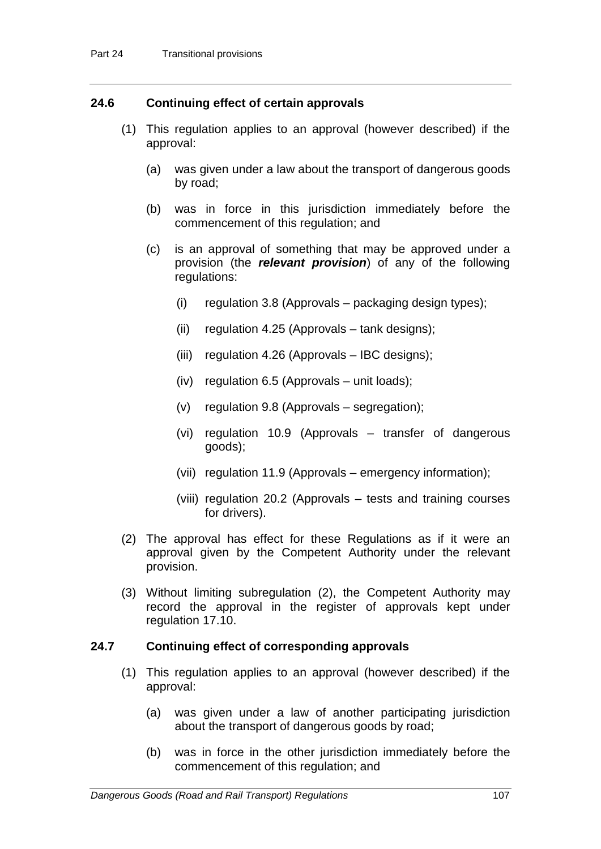### **24.6 Continuing effect of certain approvals**

- (1) This regulation applies to an approval (however described) if the approval:
	- (a) was given under a law about the transport of dangerous goods by road;
	- (b) was in force in this jurisdiction immediately before the commencement of this regulation; and
	- (c) is an approval of something that may be approved under a provision (the *relevant provision*) of any of the following regulations:
		- (i) regulation 3.8 (Approvals packaging design types);
		- (ii) regulation 4.25 (Approvals tank designs);
		- (iii) regulation 4.26 (Approvals IBC designs);
		- (iv) regulation 6.5 (Approvals unit loads);
		- (v) regulation 9.8 (Approvals segregation);
		- (vi) regulation 10.9 (Approvals transfer of dangerous goods);
		- (vii) regulation 11.9 (Approvals emergency information);
		- (viii) regulation 20.2 (Approvals tests and training courses for drivers).
- (2) The approval has effect for these Regulations as if it were an approval given by the Competent Authority under the relevant provision.
- (3) Without limiting subregulation (2), the Competent Authority may record the approval in the register of approvals kept under regulation 17.10.

#### **24.7 Continuing effect of corresponding approvals**

- (1) This regulation applies to an approval (however described) if the approval:
	- (a) was given under a law of another participating jurisdiction about the transport of dangerous goods by road;
	- (b) was in force in the other jurisdiction immediately before the commencement of this regulation; and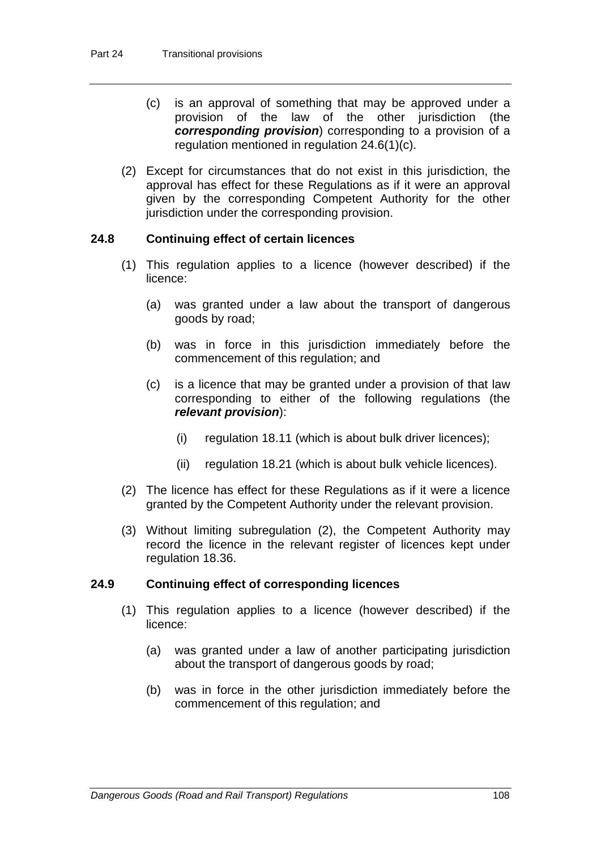- (c) is an approval of something that may be approved under a provision of the law of the other jurisdiction (the *corresponding provision*) corresponding to a provision of a regulation mentioned in regulation 24.6(1)(c).
- (2) Except for circumstances that do not exist in this jurisdiction, the approval has effect for these Regulations as if it were an approval given by the corresponding Competent Authority for the other jurisdiction under the corresponding provision.

### **24.8 Continuing effect of certain licences**

- (1) This regulation applies to a licence (however described) if the licence:
	- (a) was granted under a law about the transport of dangerous goods by road;
	- (b) was in force in this jurisdiction immediately before the commencement of this regulation; and
	- (c) is a licence that may be granted under a provision of that law corresponding to either of the following regulations (the *relevant provision*):
		- (i) regulation 18.11 (which is about bulk driver licences);
		- (ii) regulation 18.21 (which is about bulk vehicle licences).
- (2) The licence has effect for these Regulations as if it were a licence granted by the Competent Authority under the relevant provision.
- (3) Without limiting subregulation (2), the Competent Authority may record the licence in the relevant register of licences kept under regulation 18.36.

### **24.9 Continuing effect of corresponding licences**

- (1) This regulation applies to a licence (however described) if the licence:
	- (a) was granted under a law of another participating jurisdiction about the transport of dangerous goods by road;
	- (b) was in force in the other jurisdiction immediately before the commencement of this regulation; and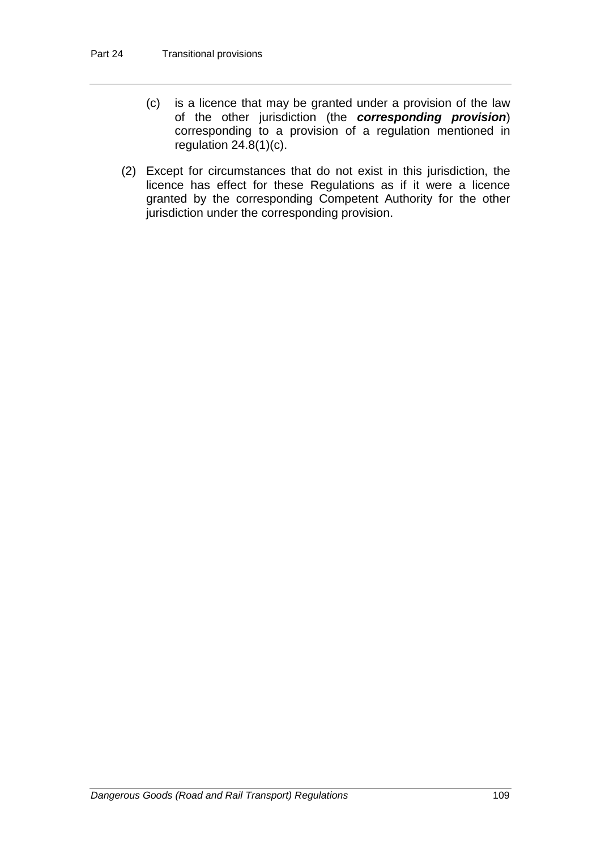- (c) is a licence that may be granted under a provision of the law of the other jurisdiction (the *corresponding provision*) corresponding to a provision of a regulation mentioned in regulation 24.8(1)(c).
- (2) Except for circumstances that do not exist in this jurisdiction, the licence has effect for these Regulations as if it were a licence granted by the corresponding Competent Authority for the other jurisdiction under the corresponding provision.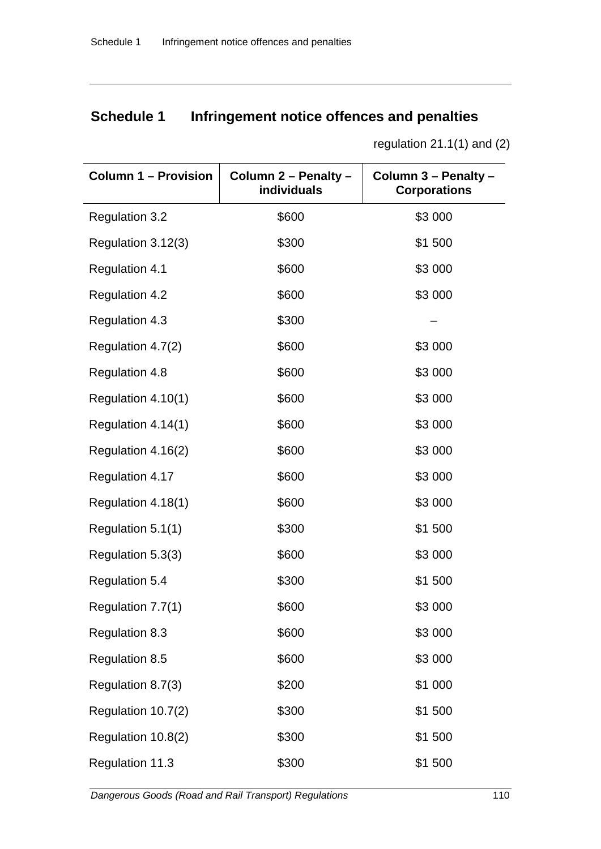# **Schedule 1 Infringement notice offences and penalties**

| <b>Column 1 - Provision</b> | Column 2 - Penalty -<br>individuals | Column 3 - Penalty -<br><b>Corporations</b> |
|-----------------------------|-------------------------------------|---------------------------------------------|
| <b>Regulation 3.2</b>       | \$600                               | \$3 000                                     |
| Regulation 3.12(3)          | \$300                               | \$1 500                                     |
| <b>Regulation 4.1</b>       | \$600                               | \$3 000                                     |
| <b>Regulation 4.2</b>       | \$600                               | \$3 000                                     |
| Regulation 4.3              | \$300                               |                                             |
| Regulation 4.7(2)           | \$600                               | \$3 000                                     |
| Regulation 4.8              | \$600                               | \$3 000                                     |
| Regulation 4.10(1)          | \$600                               | \$3 000                                     |
| Regulation 4.14(1)          | \$600                               | \$3 000                                     |
| Regulation 4.16(2)          | \$600                               | \$3 000                                     |
| Regulation 4.17             | \$600                               | \$3 000                                     |
| Regulation 4.18(1)          | \$600                               | \$3 000                                     |
| Regulation 5.1(1)           | \$300                               | \$1 500                                     |
| Regulation 5.3(3)           | \$600                               | \$3 000                                     |
| <b>Regulation 5.4</b>       | \$300                               | \$1 500                                     |
| Regulation 7.7(1)           | \$600                               | \$3 000                                     |
| <b>Regulation 8.3</b>       | \$600                               | \$3 000                                     |
| Regulation 8.5              | \$600                               | \$3 000                                     |
| Regulation 8.7(3)           | \$200                               | \$1 000                                     |
| Regulation 10.7(2)          | \$300                               | \$1 500                                     |
| Regulation 10.8(2)          | \$300                               | \$1 500                                     |
| Regulation 11.3             | \$300                               | \$1 500                                     |

regulation 21.1(1) and (2)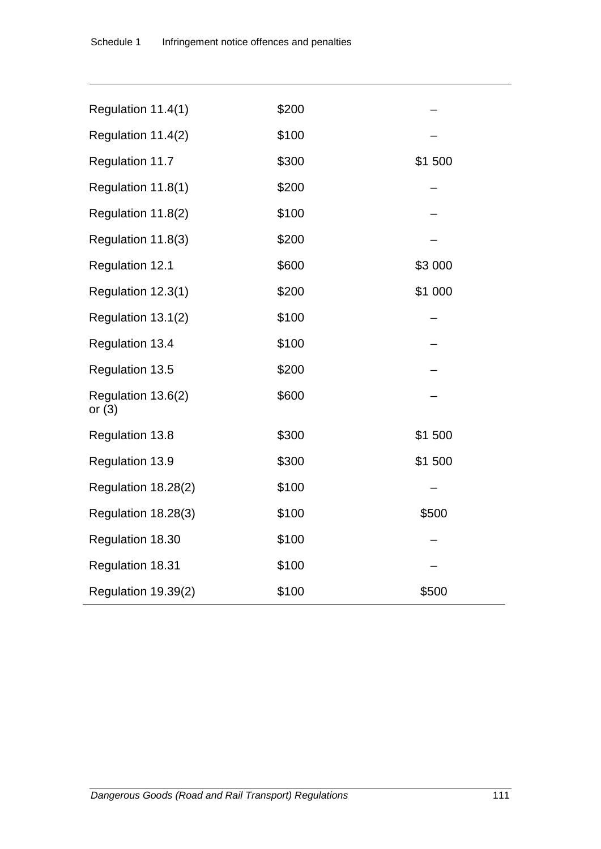| Regulation 11.4(1)             | \$200 |         |
|--------------------------------|-------|---------|
| Regulation 11.4(2)             | \$100 |         |
| Regulation 11.7                | \$300 | \$1500  |
| Regulation 11.8(1)             | \$200 |         |
| Regulation 11.8(2)             | \$100 |         |
| Regulation 11.8(3)             | \$200 |         |
| Regulation 12.1                | \$600 | \$3 000 |
| Regulation 12.3(1)             | \$200 | \$1 000 |
| Regulation 13.1(2)             | \$100 |         |
| <b>Regulation 13.4</b>         | \$100 |         |
| Regulation 13.5                | \$200 |         |
| Regulation 13.6(2)<br>or $(3)$ | \$600 |         |
| Regulation 13.8                | \$300 | \$1500  |
| Regulation 13.9                | \$300 | \$1500  |
| Regulation 18.28(2)            | \$100 |         |
| Regulation 18.28(3)            | \$100 | \$500   |
| Regulation 18.30               | \$100 |         |
| Regulation 18.31               | \$100 |         |
| Regulation 19.39(2)            | \$100 | \$500   |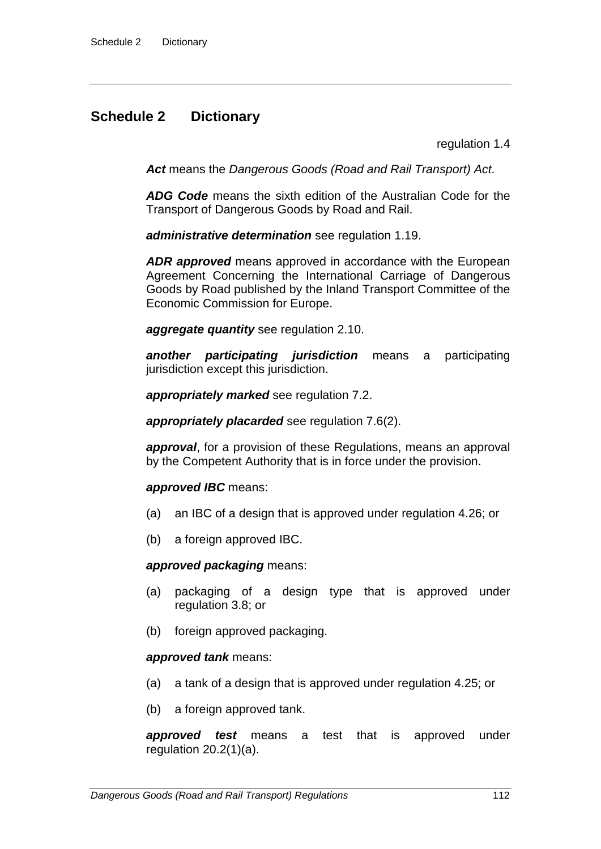# **Schedule 2 Dictionary**

regulation 1.4

*Act* means the *Dangerous Goods (Road and Rail Transport) Act*.

*ADG Code* means the sixth edition of the Australian Code for the Transport of Dangerous Goods by Road and Rail.

*administrative determination* see regulation 1.19.

*ADR approved* means approved in accordance with the European Agreement Concerning the International Carriage of Dangerous Goods by Road published by the Inland Transport Committee of the Economic Commission for Europe.

*aggregate quantity* see regulation 2.10.

*another participating jurisdiction* means a participating jurisdiction except this jurisdiction.

*appropriately marked* see regulation 7.2.

*appropriately placarded* see regulation 7.6(2).

*approval*, for a provision of these Regulations, means an approval by the Competent Authority that is in force under the provision.

#### *approved IBC* means:

- (a) an IBC of a design that is approved under regulation 4.26; or
- (b) a foreign approved IBC.

#### *approved packaging* means:

- (a) packaging of a design type that is approved under regulation 3.8; or
- (b) foreign approved packaging.

### *approved tank* means:

- (a) a tank of a design that is approved under regulation 4.25; or
- (b) a foreign approved tank.

*approved test* means a test that is approved under regulation  $20.2(1)(a)$ .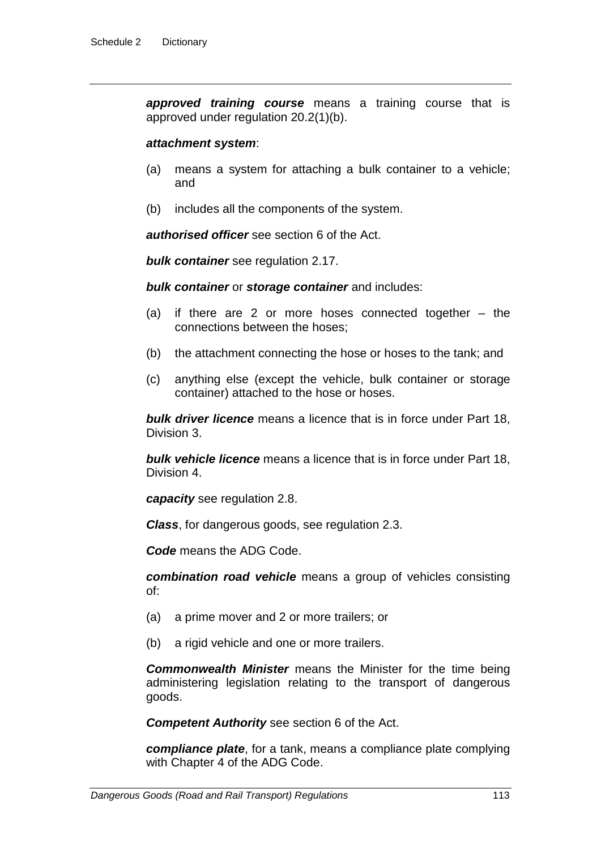*approved training course* means a training course that is approved under regulation 20.2(1)(b).

#### *attachment system*:

- (a) means a system for attaching a bulk container to a vehicle; and
- (b) includes all the components of the system.

*authorised officer* see section 6 of the Act.

*bulk container* see regulation 2.17.

*bulk container* or *storage container* and includes:

- (a) if there are 2 or more hoses connected together the connections between the hoses;
- (b) the attachment connecting the hose or hoses to the tank; and
- (c) anything else (except the vehicle, bulk container or storage container) attached to the hose or hoses.

*bulk driver licence* means a licence that is in force under Part 18, Division 3.

*bulk vehicle licence* means a licence that is in force under Part 18, Division 4.

*capacity* see regulation 2.8.

*Class*, for dangerous goods, see regulation 2.3.

*Code* means the ADG Code.

*combination road vehicle* means a group of vehicles consisting of:

- (a) a prime mover and 2 or more trailers; or
- (b) a rigid vehicle and one or more trailers.

*Commonwealth Minister* means the Minister for the time being administering legislation relating to the transport of dangerous goods.

*Competent Authority* see section 6 of the Act.

*compliance plate*, for a tank, means a compliance plate complying with Chapter 4 of the ADG Code.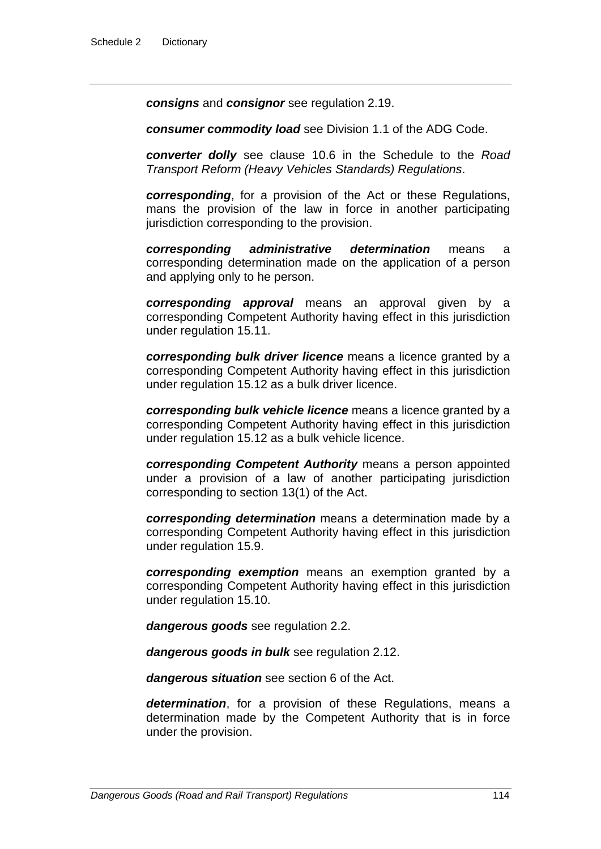*consigns* and *consignor* see regulation 2.19.

*consumer commodity load* see Division 1.1 of the ADG Code.

*converter dolly* see clause 10.6 in the Schedule to the *Road Transport Reform (Heavy Vehicles Standards) Regulations*.

*corresponding*, for a provision of the Act or these Regulations, mans the provision of the law in force in another participating jurisdiction corresponding to the provision.

*corresponding administrative determination* means a corresponding determination made on the application of a person and applying only to he person.

*corresponding approval* means an approval given by a corresponding Competent Authority having effect in this jurisdiction under regulation 15.11.

*corresponding bulk driver licence* means a licence granted by a corresponding Competent Authority having effect in this jurisdiction under regulation 15.12 as a bulk driver licence.

*corresponding bulk vehicle licence* means a licence granted by a corresponding Competent Authority having effect in this jurisdiction under regulation 15.12 as a bulk vehicle licence.

*corresponding Competent Authority* means a person appointed under a provision of a law of another participating jurisdiction corresponding to section 13(1) of the Act.

*corresponding determination* means a determination made by a corresponding Competent Authority having effect in this jurisdiction under regulation 15.9.

*corresponding exemption* means an exemption granted by a corresponding Competent Authority having effect in this jurisdiction under regulation 15.10.

*dangerous goods* see regulation 2.2.

*dangerous goods in bulk* see regulation 2.12.

*dangerous situation* see section 6 of the Act.

*determination*, for a provision of these Regulations, means a determination made by the Competent Authority that is in force under the provision.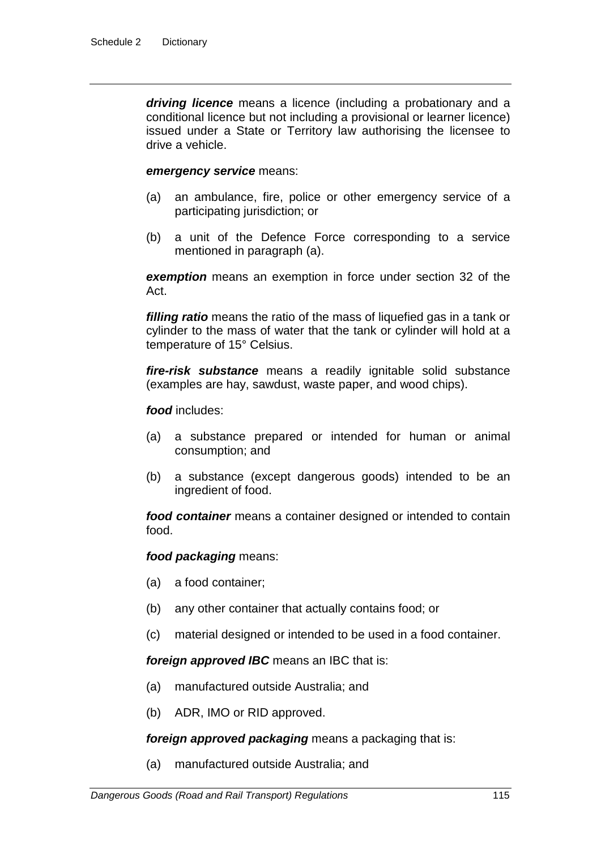*driving licence* means a licence (including a probationary and a conditional licence but not including a provisional or learner licence) issued under a State or Territory law authorising the licensee to drive a vehicle.

#### *emergency service* means:

- (a) an ambulance, fire, police or other emergency service of a participating jurisdiction; or
- (b) a unit of the Defence Force corresponding to a service mentioned in paragraph (a).

*exemption* means an exemption in force under section 32 of the Act.

*filling ratio* means the ratio of the mass of liquefied gas in a tank or cylinder to the mass of water that the tank or cylinder will hold at a temperature of 15° Celsius.

*fire-risk substance* means a readily ignitable solid substance (examples are hay, sawdust, waste paper, and wood chips).

*food* includes:

- (a) a substance prepared or intended for human or animal consumption; and
- (b) a substance (except dangerous goods) intended to be an ingredient of food.

*food container* means a container designed or intended to contain food.

#### *food packaging* means:

- (a) a food container;
- (b) any other container that actually contains food; or
- (c) material designed or intended to be used in a food container.

*foreign approved IBC* means an IBC that is:

- (a) manufactured outside Australia; and
- (b) ADR, IMO or RID approved.

*foreign approved packaging* means a packaging that is:

(a) manufactured outside Australia; and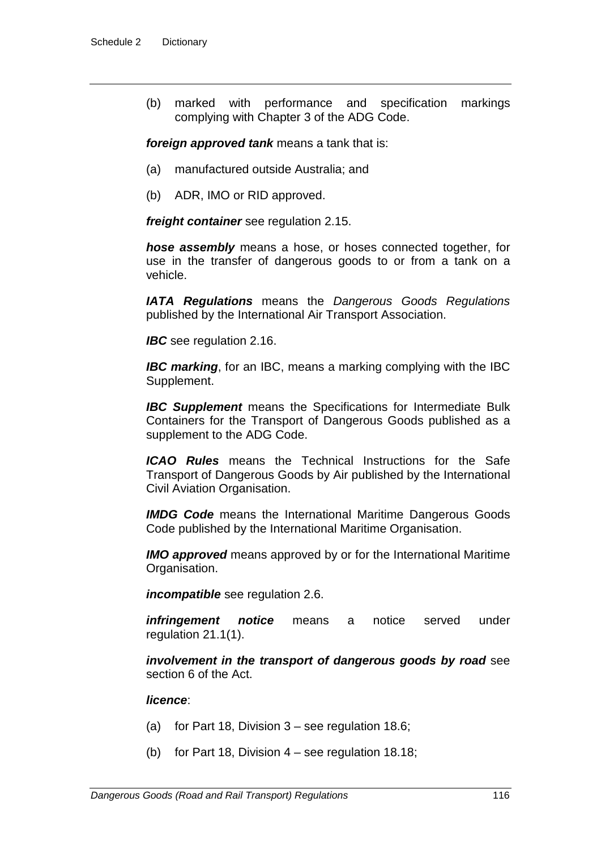(b) marked with performance and specification markings complying with Chapter 3 of the ADG Code.

*foreign approved tank* means a tank that is:

- (a) manufactured outside Australia; and
- (b) ADR, IMO or RID approved.

*freight container* see regulation 2.15.

*hose assembly* means a hose, or hoses connected together, for use in the transfer of dangerous goods to or from a tank on a vehicle.

*IATA Regulations* means the *Dangerous Goods Regulations* published by the International Air Transport Association.

*IBC* see regulation 2.16.

*IBC marking*, for an IBC, means a marking complying with the IBC Supplement.

*IBC Supplement* means the Specifications for Intermediate Bulk Containers for the Transport of Dangerous Goods published as a supplement to the ADG Code.

*ICAO Rules* means the Technical Instructions for the Safe Transport of Dangerous Goods by Air published by the International Civil Aviation Organisation.

*IMDG Code* means the International Maritime Dangerous Goods Code published by the International Maritime Organisation.

*IMO approved* means approved by or for the International Maritime Organisation.

*incompatible* see regulation 2.6.

*infringement notice* means a notice served under regulation 21.1(1).

*involvement in the transport of dangerous goods by road* see section 6 of the Act.

#### *licence*:

- (a) for Part 18, Division  $3 -$  see regulation 18.6;
- (b) for Part 18, Division  $4 -$  see regulation 18.18;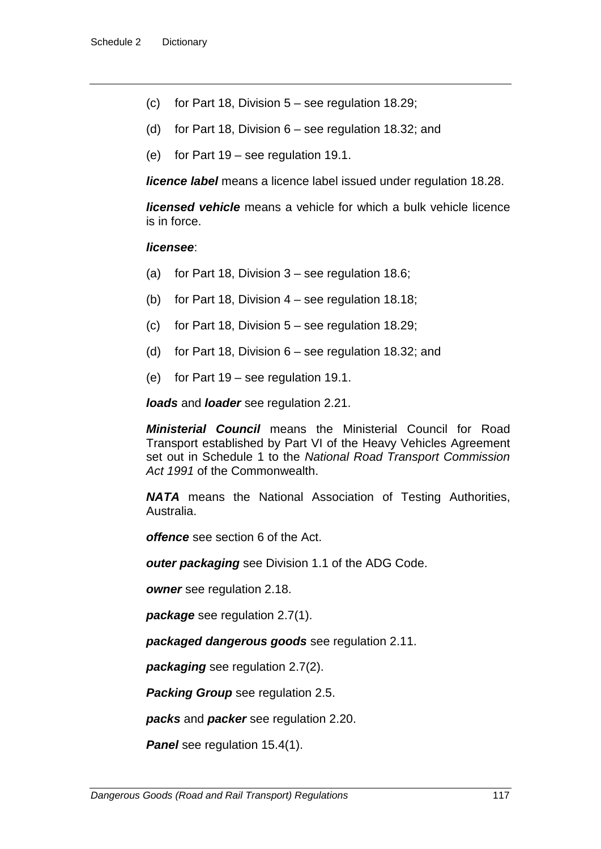- (c) for Part 18, Division  $5 -$  see regulation 18.29;
- (d) for Part 18, Division 6 see regulation 18.32; and
- (e) for Part 19 see regulation 19.1.

*licence label* means a licence label issued under regulation 18.28.

*licensed vehicle* means a vehicle for which a bulk vehicle licence is in force.

#### *licensee*:

- (a) for Part 18, Division  $3 -$  see regulation 18.6;
- (b) for Part 18, Division 4 see regulation 18.18;
- (c) for Part 18, Division  $5 -$  see regulation 18.29;
- (d) for Part 18, Division 6 see regulation 18.32; and
- (e) for Part 19 see regulation 19.1.

*loads* and *loader* see regulation 2.21.

*Ministerial Council* means the Ministerial Council for Road Transport established by Part VI of the Heavy Vehicles Agreement set out in Schedule 1 to the *National Road Transport Commission Act 1991* of the Commonwealth.

*NATA* means the National Association of Testing Authorities, Australia.

*offence* see section 6 of the Act.

*outer packaging* see Division 1.1 of the ADG Code.

*owner* see regulation 2.18.

*package* see regulation 2.7(1).

*packaged dangerous goods* see regulation 2.11.

*packaging* see regulation 2.7(2).

*Packing Group* see regulation 2.5.

*packs* and *packer* see regulation 2.20.

*Panel* see regulation 15.4(1).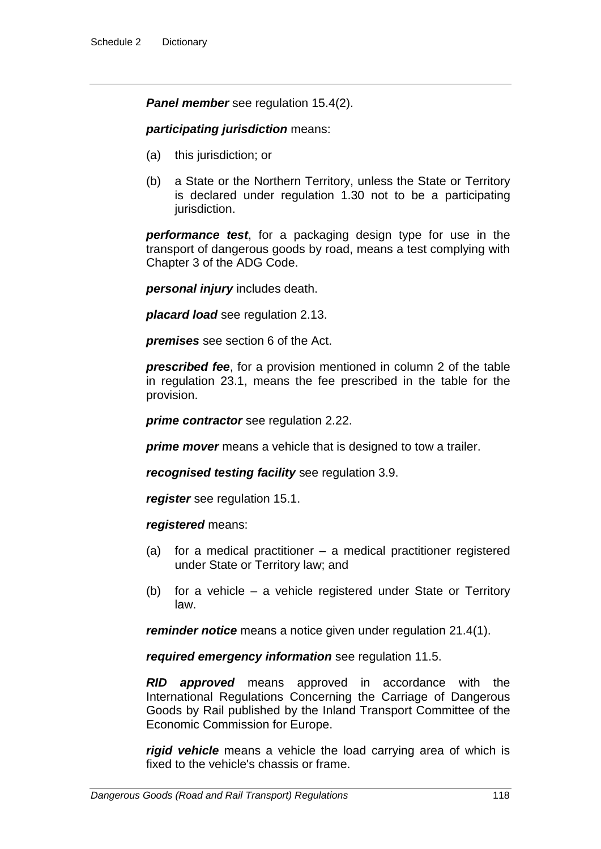**Panel member** see regulation 15.4(2).

#### *participating jurisdiction* means:

- (a) this jurisdiction; or
- (b) a State or the Northern Territory, unless the State or Territory is declared under regulation 1.30 not to be a participating jurisdiction.

*performance test*, for a packaging design type for use in the transport of dangerous goods by road, means a test complying with Chapter 3 of the ADG Code.

*personal injury* includes death.

*placard load* see regulation 2.13.

*premises* see section 6 of the Act.

*prescribed fee*, for a provision mentioned in column 2 of the table in regulation 23.1, means the fee prescribed in the table for the provision.

*prime contractor* see regulation 2.22.

*prime mover* means a vehicle that is designed to tow a trailer.

*recognised testing facility* see regulation 3.9.

*register* see regulation 15.1.

#### *registered* means:

- (a) for a medical practitioner a medical practitioner registered under State or Territory law; and
- (b) for a vehicle a vehicle registered under State or Territory law.

*reminder notice* means a notice given under regulation 21.4(1).

*required emergency information* see regulation 11.5.

*RID approved* means approved in accordance with the International Regulations Concerning the Carriage of Dangerous Goods by Rail published by the Inland Transport Committee of the Economic Commission for Europe.

*rigid vehicle* means a vehicle the load carrying area of which is fixed to the vehicle's chassis or frame.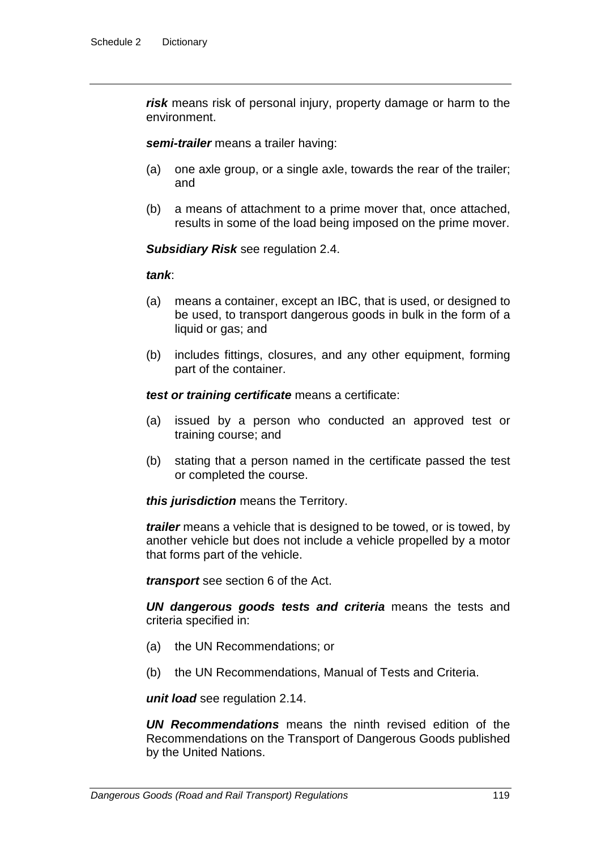*risk* means risk of personal injury, property damage or harm to the environment.

*semi-trailer* means a trailer having:

- (a) one axle group, or a single axle, towards the rear of the trailer; and
- (b) a means of attachment to a prime mover that, once attached, results in some of the load being imposed on the prime mover.

*Subsidiary Risk* see regulation 2.4.

#### *tank*:

- (a) means a container, except an IBC, that is used, or designed to be used, to transport dangerous goods in bulk in the form of a liquid or gas; and
- (b) includes fittings, closures, and any other equipment, forming part of the container.

*test or training certificate* means a certificate:

- (a) issued by a person who conducted an approved test or training course; and
- (b) stating that a person named in the certificate passed the test or completed the course.

*this jurisdiction* means the Territory.

*trailer* means a vehicle that is designed to be towed, or is towed, by another vehicle but does not include a vehicle propelled by a motor that forms part of the vehicle.

*transport* see section 6 of the Act.

*UN dangerous goods tests and criteria* means the tests and criteria specified in:

- (a) the UN Recommendations; or
- (b) the UN Recommendations, Manual of Tests and Criteria.

*unit load* see regulation 2.14.

*UN Recommendations* means the ninth revised edition of the Recommendations on the Transport of Dangerous Goods published by the United Nations.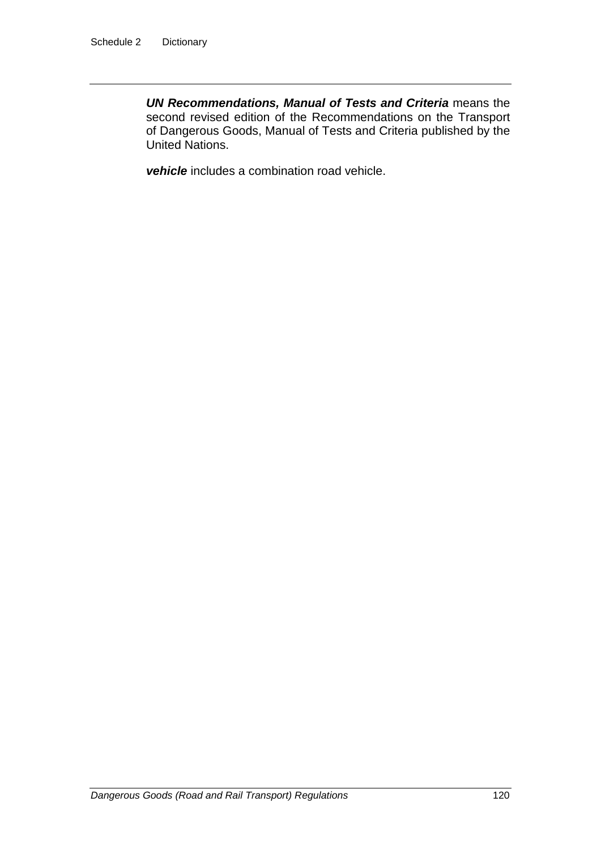*UN Recommendations, Manual of Tests and Criteria* means the second revised edition of the Recommendations on the Transport of Dangerous Goods, Manual of Tests and Criteria published by the United Nations.

*vehicle* includes a combination road vehicle.